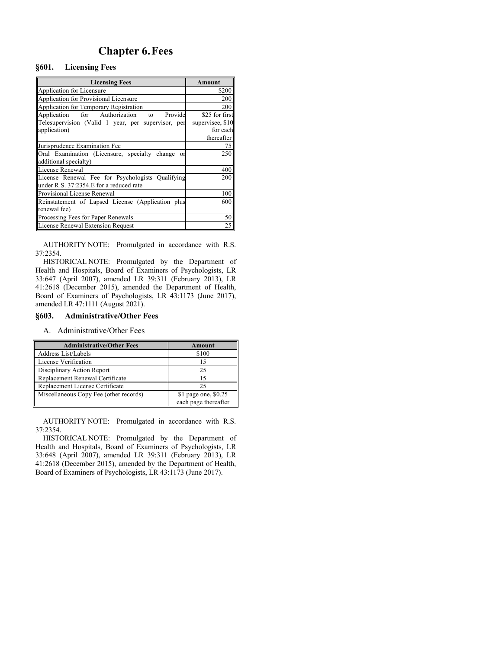## **Chapter 6.Fees**

### **§601. Licensing Fees**

| <b>Licensing Fees</b>                               | Amount           |
|-----------------------------------------------------|------------------|
| Application for Licensure                           | \$200            |
| Application for Provisional Licensure               | 200              |
| Application for Temporary Registration              | 200              |
| Provide<br>Application for Authorization to         | \$25 for first   |
| Telesupervision (Valid 1 year, per supervisor, per  | supervisee, \$10 |
| application)                                        | for each         |
|                                                     | thereafter       |
| Jurisprudence Examination Fee                       | 75               |
| Oral Examination (Licensure, specialty change<br>or | 250              |
| additional specialty)                               |                  |
| License Renewal                                     | 400              |
| License Renewal Fee for Psychologists Qualifying    | 200              |
| under R.S. 37:2354.E for a reduced rate             |                  |
| Provisional License Renewal                         | 100              |
| Reinstatement of Lapsed License (Application plus   | 600              |
| renewal fee)                                        |                  |
| Processing Fees for Paper Renewals                  | 50               |
| License Renewal Extension Request                   | 25               |

AUTHORITY NOTE: Promulgated in accordance with R.S. 37:2354.

HISTORICAL NOTE: Promulgated by the Department of Health and Hospitals, Board of Examiners of Psychologists, LR 33:647 (April 2007), amended LR 39:311 (February 2013), LR 41:2618 (December 2015), amended the Department of Health, Board of Examiners of Psychologists, LR 43:1173 (June 2017), amended LR 47:1111 (August 2021).

#### **§603. Administrative/Other Fees**

A. Administrative/Other Fees

| <b>Administrative/Other Fees</b>       | Amount                                       |
|----------------------------------------|----------------------------------------------|
| Address List/Labels                    | \$100                                        |
| License Verification                   | 15                                           |
| Disciplinary Action Report             | 25                                           |
| Replacement Renewal Certificate        | 15                                           |
| Replacement License Certificate        | 25                                           |
| Miscellaneous Copy Fee (other records) | \$1 page one, \$0.25<br>each page thereafter |

AUTHORITY NOTE: Promulgated in accordance with R.S. 37:2354.

HISTORICAL NOTE: Promulgated by the Department of Health and Hospitals, Board of Examiners of Psychologists, LR 33:648 (April 2007), amended LR 39:311 (February 2013), LR 41:2618 (December 2015), amended by the Department of Health, Board of Examiners of Psychologists, LR 43:1173 (June 2017).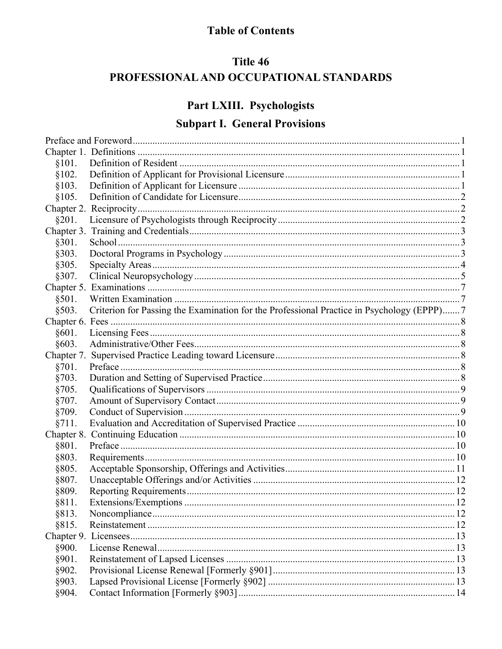# **Table of Contents**

# Title 46 PROFESSIONAL AND OCCUPATIONAL STANDARDS

# Part LXIII. Psychologists

# **Subpart I. General Provisions**

| §101.      |                                                                                           |    |
|------------|-------------------------------------------------------------------------------------------|----|
| §102.      |                                                                                           |    |
| \$103.     |                                                                                           |    |
| §105.      |                                                                                           |    |
|            |                                                                                           |    |
| §201.      |                                                                                           |    |
|            |                                                                                           |    |
| §301.      |                                                                                           |    |
| §303.      |                                                                                           |    |
| §305.      |                                                                                           |    |
| §307.      |                                                                                           |    |
|            |                                                                                           |    |
| §501.      |                                                                                           |    |
| §503.      | Criterion for Passing the Examination for the Professional Practice in Psychology (EPPP)7 |    |
|            |                                                                                           |    |
| §601.      |                                                                                           |    |
| §603.      |                                                                                           |    |
| Chapter 7. |                                                                                           |    |
| §701.      | Preface                                                                                   |    |
| §703.      |                                                                                           |    |
| §705.      |                                                                                           |    |
| §707.      |                                                                                           |    |
| §709.      |                                                                                           |    |
| §711.      |                                                                                           |    |
|            |                                                                                           |    |
| §801.      |                                                                                           |    |
| §803.      |                                                                                           |    |
| §805.      |                                                                                           |    |
| §807.      |                                                                                           |    |
| §809.      |                                                                                           |    |
| §811.      | Extensions/Exemptions                                                                     | 12 |
| §813.      |                                                                                           |    |
| §815.      |                                                                                           |    |
|            |                                                                                           |    |
| §900.      |                                                                                           |    |
| §901.      |                                                                                           |    |
| §902.      |                                                                                           |    |
| §903.      |                                                                                           |    |
| §904.      |                                                                                           |    |
|            |                                                                                           |    |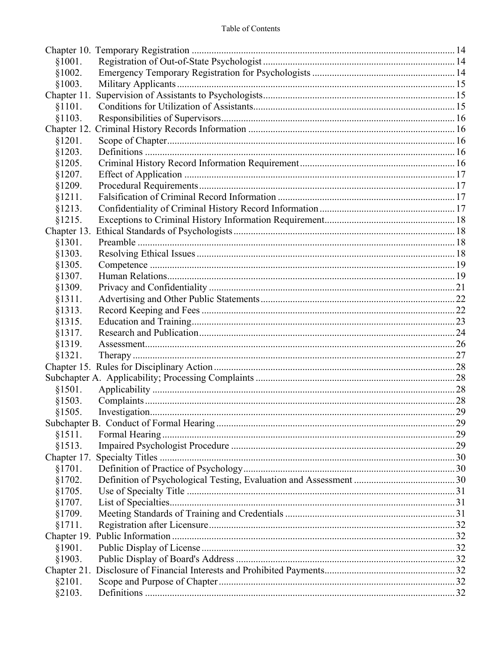| §1001.      |  |
|-------------|--|
| \$1002.     |  |
| §1003.      |  |
| Chapter 11. |  |
| §1101.      |  |
| §1103.      |  |
| Chapter 12. |  |
| §1201.      |  |
| §1203.      |  |
| §1205.      |  |
| §1207.      |  |
| §1209.      |  |
| §1211.      |  |
| \$1213.     |  |
| §1215.      |  |
| Chapter 13. |  |
| §1301.      |  |
| §1303.      |  |
| §1305.      |  |
| §1307.      |  |
| §1309.      |  |
| §1311.      |  |
| §1313.      |  |
| §1315.      |  |
| §1317.      |  |
| §1319.      |  |
| §1321.      |  |
|             |  |
|             |  |
| §1501.      |  |
| §1503.      |  |
| §1505.      |  |
|             |  |
| §1511.      |  |
| §1513.      |  |
| Chapter 17. |  |
| §1701.      |  |
| §1702.      |  |
| §1705.      |  |
| §1707.      |  |
| §1709.      |  |
| §1711.      |  |
| Chapter 19. |  |
| §1901.      |  |
| §1903.      |  |
| Chapter 21. |  |
| §2101.      |  |
| §2103.      |  |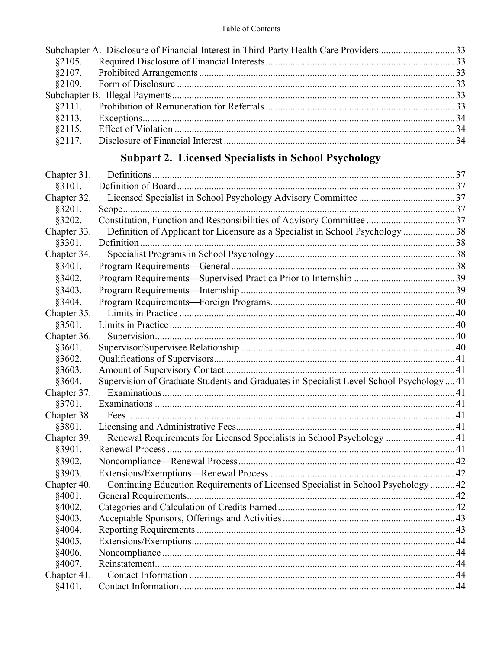| Subchapter A. Disclosure of Financial Interest in Third-Party Health Care Providers33 |  |
|---------------------------------------------------------------------------------------|--|
|                                                                                       |  |
|                                                                                       |  |
|                                                                                       |  |
|                                                                                       |  |
|                                                                                       |  |
|                                                                                       |  |
|                                                                                       |  |
|                                                                                       |  |
|                                                                                       |  |

# **Subpart 2. Licensed Specialists in School Psychology**

| §3101.<br>Chapter 32.<br>§3201.<br>§3202.<br>Chapter 33.<br>§3301.<br>Chapter 34.<br>§3401.<br>§3402.<br>§3403.<br>§3404.<br>Chapter 35.<br>§3501.<br>Chapter 36.<br>§3601.<br>§3602.<br>§3603.<br>§3604.<br>Chapter 37.<br>§3701.<br>Chapter 38.<br>§3801.<br>Chapter 39.<br>§3901.<br>§3902.<br>§3903.<br>Continuing Education Requirements of Licensed Specialist in School Psychology  42<br>Chapter 40.<br>§4001.<br>§4002.<br>§4003.<br>§4004.<br>§4005.<br>§4006.<br>§4007.<br>Chapter 41.<br>§4101. | Chapter 31. |                                                                                          |  |
|-------------------------------------------------------------------------------------------------------------------------------------------------------------------------------------------------------------------------------------------------------------------------------------------------------------------------------------------------------------------------------------------------------------------------------------------------------------------------------------------------------------|-------------|------------------------------------------------------------------------------------------|--|
|                                                                                                                                                                                                                                                                                                                                                                                                                                                                                                             |             |                                                                                          |  |
|                                                                                                                                                                                                                                                                                                                                                                                                                                                                                                             |             |                                                                                          |  |
|                                                                                                                                                                                                                                                                                                                                                                                                                                                                                                             |             |                                                                                          |  |
|                                                                                                                                                                                                                                                                                                                                                                                                                                                                                                             |             |                                                                                          |  |
|                                                                                                                                                                                                                                                                                                                                                                                                                                                                                                             |             | Definition of Applicant for Licensure as a Specialist in School Psychology 38            |  |
|                                                                                                                                                                                                                                                                                                                                                                                                                                                                                                             |             |                                                                                          |  |
|                                                                                                                                                                                                                                                                                                                                                                                                                                                                                                             |             |                                                                                          |  |
|                                                                                                                                                                                                                                                                                                                                                                                                                                                                                                             |             |                                                                                          |  |
|                                                                                                                                                                                                                                                                                                                                                                                                                                                                                                             |             |                                                                                          |  |
|                                                                                                                                                                                                                                                                                                                                                                                                                                                                                                             |             |                                                                                          |  |
|                                                                                                                                                                                                                                                                                                                                                                                                                                                                                                             |             |                                                                                          |  |
|                                                                                                                                                                                                                                                                                                                                                                                                                                                                                                             |             |                                                                                          |  |
|                                                                                                                                                                                                                                                                                                                                                                                                                                                                                                             |             |                                                                                          |  |
|                                                                                                                                                                                                                                                                                                                                                                                                                                                                                                             |             |                                                                                          |  |
|                                                                                                                                                                                                                                                                                                                                                                                                                                                                                                             |             |                                                                                          |  |
|                                                                                                                                                                                                                                                                                                                                                                                                                                                                                                             |             |                                                                                          |  |
|                                                                                                                                                                                                                                                                                                                                                                                                                                                                                                             |             |                                                                                          |  |
|                                                                                                                                                                                                                                                                                                                                                                                                                                                                                                             |             | Supervision of Graduate Students and Graduates in Specialist Level School Psychology  41 |  |
|                                                                                                                                                                                                                                                                                                                                                                                                                                                                                                             |             |                                                                                          |  |
|                                                                                                                                                                                                                                                                                                                                                                                                                                                                                                             |             |                                                                                          |  |
|                                                                                                                                                                                                                                                                                                                                                                                                                                                                                                             |             |                                                                                          |  |
|                                                                                                                                                                                                                                                                                                                                                                                                                                                                                                             |             |                                                                                          |  |
|                                                                                                                                                                                                                                                                                                                                                                                                                                                                                                             |             | Renewal Requirements for Licensed Specialists in School Psychology  41                   |  |
|                                                                                                                                                                                                                                                                                                                                                                                                                                                                                                             |             |                                                                                          |  |
|                                                                                                                                                                                                                                                                                                                                                                                                                                                                                                             |             |                                                                                          |  |
|                                                                                                                                                                                                                                                                                                                                                                                                                                                                                                             |             |                                                                                          |  |
|                                                                                                                                                                                                                                                                                                                                                                                                                                                                                                             |             |                                                                                          |  |
|                                                                                                                                                                                                                                                                                                                                                                                                                                                                                                             |             |                                                                                          |  |
|                                                                                                                                                                                                                                                                                                                                                                                                                                                                                                             |             |                                                                                          |  |
|                                                                                                                                                                                                                                                                                                                                                                                                                                                                                                             |             |                                                                                          |  |
|                                                                                                                                                                                                                                                                                                                                                                                                                                                                                                             |             |                                                                                          |  |
|                                                                                                                                                                                                                                                                                                                                                                                                                                                                                                             |             |                                                                                          |  |
|                                                                                                                                                                                                                                                                                                                                                                                                                                                                                                             |             |                                                                                          |  |
|                                                                                                                                                                                                                                                                                                                                                                                                                                                                                                             |             |                                                                                          |  |
|                                                                                                                                                                                                                                                                                                                                                                                                                                                                                                             |             |                                                                                          |  |
|                                                                                                                                                                                                                                                                                                                                                                                                                                                                                                             |             |                                                                                          |  |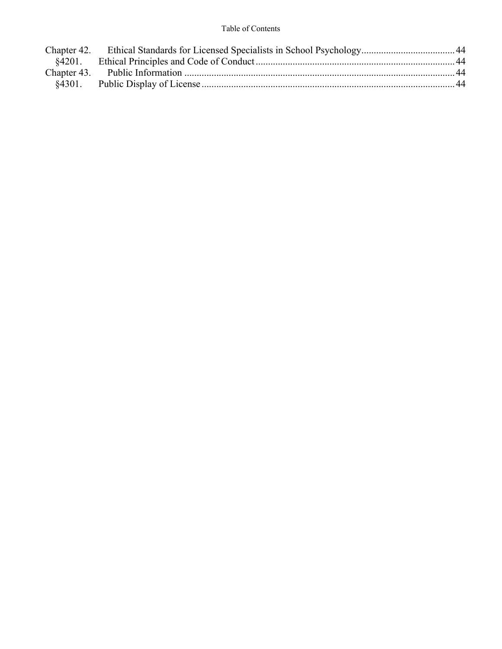### Table of Contents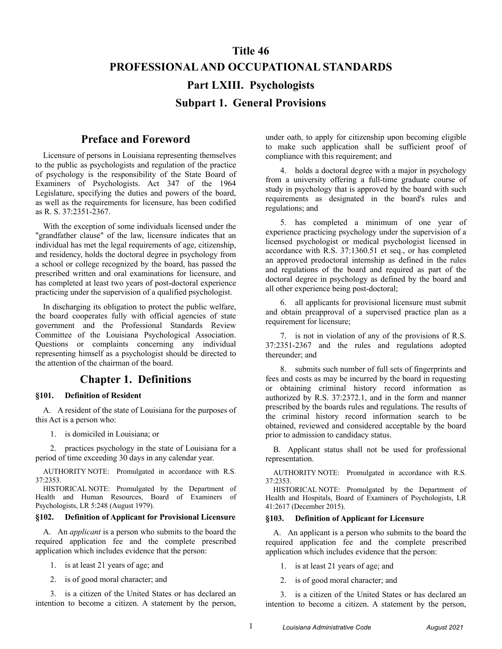# **Title 46 PROFESSIONAL AND OCCUPATIONAL STANDARDS Part LXIII. Psychologists Subpart 1. General Provisions**

### **Preface and Foreword**

Licensure of persons in Louisiana representing themselves to the public as psychologists and regulation of the practice of psychology is the responsibility of the State Board of Examiners of Psychologists. Act 347 of the 1964 Legislature, specifying the duties and powers of the board, as well as the requirements for licensure, has been codified as R. S. 37:2351-2367.

With the exception of some individuals licensed under the "grandfather clause" of the law, licensure indicates that an individual has met the legal requirements of age, citizenship, and residency, holds the doctoral degree in psychology from a school or college recognized by the board, has passed the prescribed written and oral examinations for licensure, and has completed at least two years of post-doctoral experience practicing under the supervision of a qualified psychologist.

In discharging its obligation to protect the public welfare, the board cooperates fully with official agencies of state government and the Professional Standards Review Committee of the Louisiana Psychological Association. Questions or complaints concerning any individual representing himself as a psychologist should be directed to the attention of the chairman of the board.

### **Chapter 1. Definitions**

### **§101. Definition of Resident**

A. A resident of the state of Louisiana for the purposes of this Act is a person who:

1. is domiciled in Louisiana; or

2. practices psychology in the state of Louisiana for a period of time exceeding 30 days in any calendar year.

AUTHORITY NOTE: Promulgated in accordance with R.S. 37:2353.

HISTORICAL NOTE: Promulgated by the Department of Health and Human Resources, Board of Examiners of Psychologists, LR 5:248 (August 1979).

#### **§102. Definition of Applicant for Provisional Licensure**

A. An *applicant* is a person who submits to the board the required application fee and the complete prescribed application which includes evidence that the person:

- 1. is at least 21 years of age; and
- 2. is of good moral character; and

3. is a citizen of the United States or has declared an intention to become a citizen. A statement by the person,

under oath, to apply for citizenship upon becoming eligible to make such application shall be sufficient proof of compliance with this requirement; and

4. holds a doctoral degree with a major in psychology from a university offering a full-time graduate course of study in psychology that is approved by the board with such requirements as designated in the board's rules and regulations; and

5. has completed a minimum of one year of experience practicing psychology under the supervision of a licensed psychologist or medical psychologist licensed in accordance with R.S. 37:1360.51 et seq., or has completed an approved predoctoral internship as defined in the rules and regulations of the board and required as part of the doctoral degree in psychology as defined by the board and all other experience being post-doctoral;

6. all applicants for provisional licensure must submit and obtain preapproval of a supervised practice plan as a requirement for licensure;

7. is not in violation of any of the provisions of R.S. 37:2351-2367 and the rules and regulations adopted thereunder; and

8. submits such number of full sets of fingerprints and fees and costs as may be incurred by the board in requesting or obtaining criminal history record information as authorized by R.S. 37:2372.1, and in the form and manner prescribed by the boards rules and regulations. The results of the criminal history record information search to be obtained, reviewed and considered acceptable by the board prior to admission to candidacy status.

B. Applicant status shall not be used for professional representation.

AUTHORITY NOTE: Promulgated in accordance with R.S. 37:2353.

HISTORICAL NOTE: Promulgated by the Department of Health and Hospitals, Board of Examiners of Psychologists, LR 41:2617 (December 2015).

#### **§103. Definition of Applicant for Licensure**

A. An applicant is a person who submits to the board the required application fee and the complete prescribed application which includes evidence that the person:

- 1. is at least 21 years of age; and
- 2. is of good moral character; and

3. is a citizen of the United States or has declared an intention to become a citizen. A statement by the person,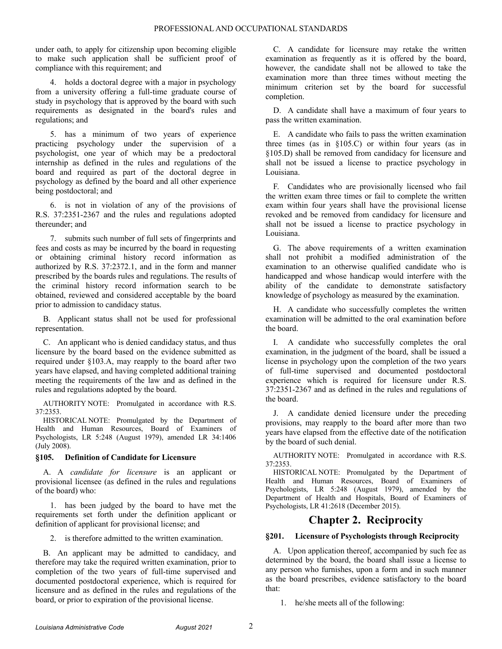under oath, to apply for citizenship upon becoming eligible to make such application shall be sufficient proof of compliance with this requirement; and

4. holds a doctoral degree with a major in psychology from a university offering a full-time graduate course of study in psychology that is approved by the board with such requirements as designated in the board's rules and regulations; and

5. has a minimum of two years of experience practicing psychology under the supervision of a psychologist, one year of which may be a predoctoral internship as defined in the rules and regulations of the board and required as part of the doctoral degree in psychology as defined by the board and all other experience being postdoctoral; and

6. is not in violation of any of the provisions of R.S. 37:2351-2367 and the rules and regulations adopted thereunder; and

7. submits such number of full sets of fingerprints and fees and costs as may be incurred by the board in requesting or obtaining criminal history record information as authorized by R.S. 37:2372.1, and in the form and manner prescribed by the boards rules and regulations. The results of the criminal history record information search to be obtained, reviewed and considered acceptable by the board prior to admission to candidacy status.

B. Applicant status shall not be used for professional representation.

C. An applicant who is denied candidacy status, and thus licensure by the board based on the evidence submitted as required under §103.A, may reapply to the board after two years have elapsed, and having completed additional training meeting the requirements of the law and as defined in the rules and regulations adopted by the board.

AUTHORITY NOTE: Promulgated in accordance with R.S. 37:2353.

HISTORICAL NOTE: Promulgated by the Department of Health and Human Resources, Board of Examiners of Psychologists, LR 5:248 (August 1979), amended LR 34:1406 (July 2008).

#### **§105. Definition of Candidate for Licensure**

A. A *candidate for licensure* is an applicant or provisional licensee (as defined in the rules and regulations of the board) who:

1. has been judged by the board to have met the requirements set forth under the definition applicant or definition of applicant for provisional license; and

2. is therefore admitted to the written examination.

B. An applicant may be admitted to candidacy, and therefore may take the required written examination, prior to completion of the two years of full-time supervised and documented postdoctoral experience, which is required for licensure and as defined in the rules and regulations of the board, or prior to expiration of the provisional license.

C. A candidate for licensure may retake the written examination as frequently as it is offered by the board, however, the candidate shall not be allowed to take the examination more than three times without meeting the minimum criterion set by the board for successful completion.

D. A candidate shall have a maximum of four years to pass the written examination.

E. A candidate who fails to pass the written examination three times (as in §105.C) or within four years (as in §105.D) shall be removed from candidacy for licensure and shall not be issued a license to practice psychology in Louisiana.

F. Candidates who are provisionally licensed who fail the written exam three times or fail to complete the written exam within four years shall have the provisional license revoked and be removed from candidacy for licensure and shall not be issued a license to practice psychology in Louisiana.

G. The above requirements of a written examination shall not prohibit a modified administration of the examination to an otherwise qualified candidate who is handicapped and whose handicap would interfere with the ability of the candidate to demonstrate satisfactory knowledge of psychology as measured by the examination.

H. A candidate who successfully completes the written examination will be admitted to the oral examination before the board.

I. A candidate who successfully completes the oral examination, in the judgment of the board, shall be issued a license in psychology upon the completion of the two years of full-time supervised and documented postdoctoral experience which is required for licensure under R.S. 37:2351-2367 and as defined in the rules and regulations of the board.

J. A candidate denied licensure under the preceding provisions, may reapply to the board after more than two years have elapsed from the effective date of the notification by the board of such denial.

AUTHORITY NOTE: Promulgated in accordance with R.S. 37:2353.

HISTORICAL NOTE: Promulgated by the Department of Health and Human Resources, Board of Examiners of Psychologists, LR 5:248 (August 1979), amended by the Department of Health and Hospitals, Board of Examiners of Psychologists, LR 41:2618 (December 2015).

## **Chapter 2. Reciprocity**

### **§201. Licensure of Psychologists through Reciprocity**

A. Upon application thereof, accompanied by such fee as determined by the board, the board shall issue a license to any person who furnishes, upon a form and in such manner as the board prescribes, evidence satisfactory to the board that:

1. he/she meets all of the following: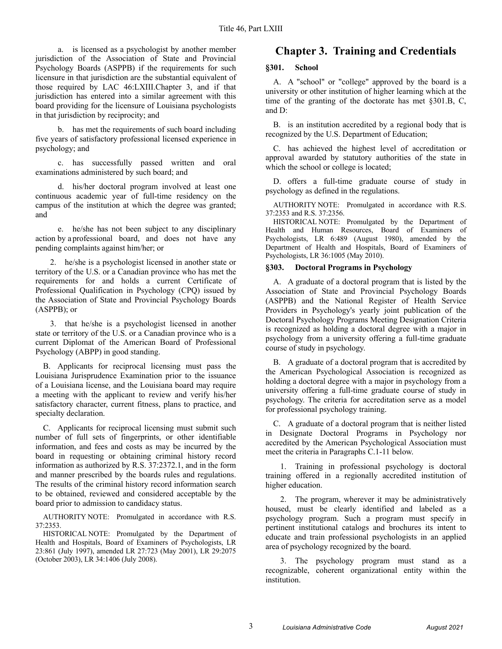a. is licensed as a psychologist by another member jurisdiction of the Association of State and Provincial Psychology Boards (ASPPB) if the requirements for such licensure in that jurisdiction are the substantial equivalent of those required by LAC 46:LXIII.Chapter 3, and if that jurisdiction has entered into a similar agreement with this board providing for the licensure of Louisiana psychologists in that jurisdiction by reciprocity; and

b. has met the requirements of such board including five years of satisfactory professional licensed experience in psychology; and

c. has successfully passed written and oral examinations administered by such board; and

d. his/her doctoral program involved at least one continuous academic year of full-time residency on the campus of the institution at which the degree was granted; and

e. he/she has not been subject to any disciplinary action by a professional board, and does not have any pending complaints against him/her; or

2. he/she is a psychologist licensed in another state or territory of the U.S. or a Canadian province who has met the requirements for and holds a current Certificate of Professional Qualification in Psychology (CPQ) issued by the Association of State and Provincial Psychology Boards (ASPPB); or

3. that he/she is a psychologist licensed in another state or territory of the U.S. or a Canadian province who is a current Diplomat of the American Board of Professional Psychology (ABPP) in good standing.

B. Applicants for reciprocal licensing must pass the Louisiana Jurisprudence Examination prior to the issuance of a Louisiana license, and the Louisiana board may require a meeting with the applicant to review and verify his/her satisfactory character, current fitness, plans to practice, and specialty declaration.

C. Applicants for reciprocal licensing must submit such number of full sets of fingerprints, or other identifiable information, and fees and costs as may be incurred by the board in requesting or obtaining criminal history record information as authorized by R.S. 37:2372.1, and in the form and manner prescribed by the boards rules and regulations. The results of the criminal history record information search to be obtained, reviewed and considered acceptable by the board prior to admission to candidacy status.

AUTHORITY NOTE: Promulgated in accordance with R.S. 37:2353.

HISTORICAL NOTE: Promulgated by the Department of Health and Hospitals, Board of Examiners of Psychologists, LR 23:861 (July 1997), amended LR 27:723 (May 2001), LR 29:2075 (October 2003), LR 34:1406 (July 2008).

## **Chapter 3. Training and Credentials**

### **§301. School**

A. A "school" or "college" approved by the board is a university or other institution of higher learning which at the time of the granting of the doctorate has met §301.B, C, and D:

B. is an institution accredited by a regional body that is recognized by the U.S. Department of Education;

C. has achieved the highest level of accreditation or approval awarded by statutory authorities of the state in which the school or college is located;

D. offers a full-time graduate course of study in psychology as defined in the regulations.

AUTHORITY NOTE: Promulgated in accordance with R.S. 37:2353 and R.S. 37:2356.

HISTORICAL NOTE: Promulgated by the Department of Health and Human Resources, Board of Examiners of Psychologists, LR 6:489 (August 1980), amended by the Department of Health and Hospitals, Board of Examiners of Psychologists, LR 36:1005 (May 2010).

### **§303. Doctoral Programs in Psychology**

A. A graduate of a doctoral program that is listed by the Association of State and Provincial Psychology Boards (ASPPB) and the National Register of Health Service Providers in Psychology's yearly joint publication of the Doctoral Psychology Programs Meeting Designation Criteria is recognized as holding a doctoral degree with a major in psychology from a university offering a full-time graduate course of study in psychology.

B. A graduate of a doctoral program that is accredited by the American Psychological Association is recognized as holding a doctoral degree with a major in psychology from a university offering a full-time graduate course of study in psychology. The criteria for accreditation serve as a model for professional psychology training.

C. A graduate of a doctoral program that is neither listed in Designate Doctoral Programs in Psychology nor accredited by the American Psychological Association must meet the criteria in Paragraphs C.1-11 below.

1. Training in professional psychology is doctoral training offered in a regionally accredited institution of higher education.

2. The program, wherever it may be administratively housed, must be clearly identified and labeled as a psychology program. Such a program must specify in pertinent institutional catalogs and brochures its intent to educate and train professional psychologists in an applied area of psychology recognized by the board.

3. The psychology program must stand as a recognizable, coherent organizational entity within the institution.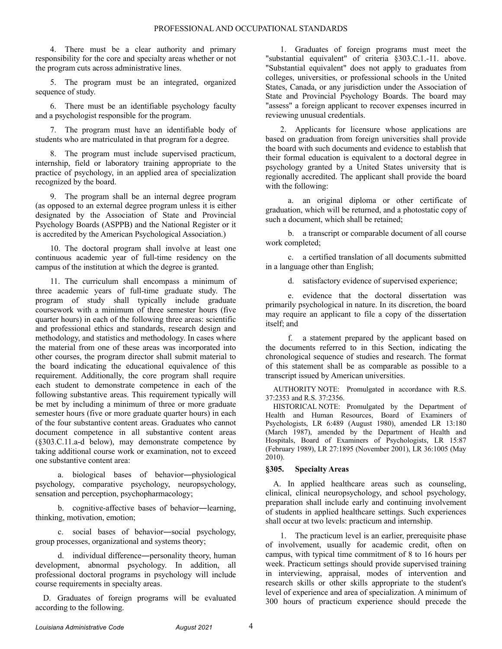4. There must be a clear authority and primary responsibility for the core and specialty areas whether or not the program cuts across administrative lines.

5. The program must be an integrated, organized sequence of study.

6. There must be an identifiable psychology faculty and a psychologist responsible for the program.

7. The program must have an identifiable body of students who are matriculated in that program for a degree.

8. The program must include supervised practicum, internship, field or laboratory training appropriate to the practice of psychology, in an applied area of specialization recognized by the board.

9. The program shall be an internal degree program (as opposed to an external degree program unless it is either designated by the Association of State and Provincial Psychology Boards (ASPPB) and the National Register or it is accredited by the American Psychological Association.)

10. The doctoral program shall involve at least one continuous academic year of full-time residency on the campus of the institution at which the degree is granted.

11. The curriculum shall encompass a minimum of three academic years of full-time graduate study. The program of study shall typically include graduate coursework with a minimum of three semester hours (five quarter hours) in each of the following three areas: scientific and professional ethics and standards, research design and methodology, and statistics and methodology. In cases where the material from one of these areas was incorporated into other courses, the program director shall submit material to the board indicating the educational equivalence of this requirement. Additionally, the core program shall require each student to demonstrate competence in each of the following substantive areas. This requirement typically will be met by including a minimum of three or more graduate semester hours (five or more graduate quarter hours) in each of the four substantive content areas. Graduates who cannot document competence in all substantive content areas (§303.C.11.a-d below), may demonstrate competence by taking additional course work or examination, not to exceed one substantive content area:

a. biological bases of behavior―physiological psychology, comparative psychology, neuropsychology, sensation and perception, psychopharmacology;

b. cognitive-affective bases of behavior―learning, thinking, motivation, emotion;

c. social bases of behavior―social psychology, group processes, organizational and systems theory;

d. individual difference―personality theory, human development, abnormal psychology. In addition, all professional doctoral programs in psychology will include course requirements in specialty areas.

D. Graduates of foreign programs will be evaluated according to the following.

1. Graduates of foreign programs must meet the "substantial equivalent" of criteria §303.C.1.-11. above. "Substantial equivalent" does not apply to graduates from colleges, universities, or professional schools in the United States, Canada, or any jurisdiction under the Association of State and Provincial Psychology Boards. The board may "assess" a foreign applicant to recover expenses incurred in reviewing unusual credentials.

2. Applicants for licensure whose applications are based on graduation from foreign universities shall provide the board with such documents and evidence to establish that their formal education is equivalent to a doctoral degree in psychology granted by a United States university that is regionally accredited. The applicant shall provide the board with the following:

a. an original diploma or other certificate of graduation, which will be returned, and a photostatic copy of such a document, which shall be retained;

b. a transcript or comparable document of all course work completed;

c. a certified translation of all documents submitted in a language other than English;

d. satisfactory evidence of supervised experience;

e. evidence that the doctoral dissertation was primarily psychological in nature. In its discretion, the board may require an applicant to file a copy of the dissertation itself; and

f. a statement prepared by the applicant based on the documents referred to in this Section, indicating the chronological sequence of studies and research. The format of this statement shall be as comparable as possible to a transcript issued by American universities.

AUTHORITY NOTE: Promulgated in accordance with R.S. 37:2353 and R.S. 37:2356.

HISTORICAL NOTE: Promulgated by the Department of Health and Human Resources, Board of Examiners of Psychologists, LR 6:489 (August 1980), amended LR 13:180 (March 1987), amended by the Department of Health and Hospitals, Board of Examiners of Psychologists, LR 15:87 (February 1989), LR 27:1895 (November 2001), LR 36:1005 (May 2010).

### **§305. Specialty Areas**

A. In applied healthcare areas such as counseling, clinical, clinical neuropsychology, and school psychology, preparation shall include early and continuing involvement of students in applied healthcare settings. Such experiences shall occur at two levels: practicum and internship.

1. The practicum level is an earlier, prerequisite phase of involvement, usually for academic credit, often on campus, with typical time commitment of 8 to 16 hours per week. Practicum settings should provide supervised training in interviewing, appraisal, modes of intervention and research skills or other skills appropriate to the student's level of experience and area of specialization. A minimum of 300 hours of practicum experience should precede the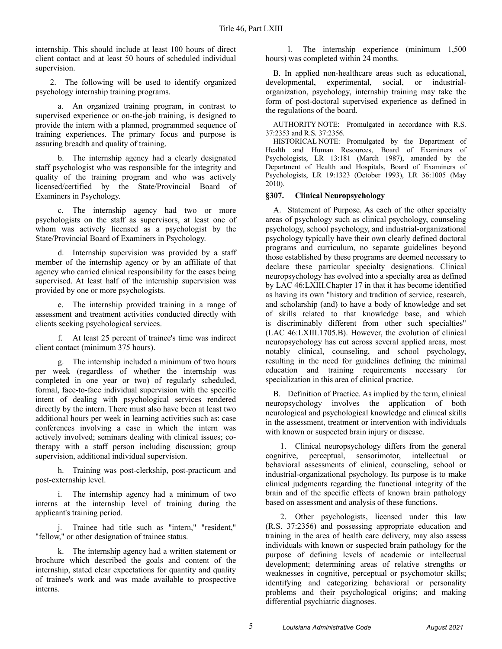internship. This should include at least 100 hours of direct client contact and at least 50 hours of scheduled individual supervision.

2. The following will be used to identify organized psychology internship training programs.

a. An organized training program, in contrast to supervised experience or on-the-job training, is designed to provide the intern with a planned, programmed sequence of training experiences. The primary focus and purpose is assuring breadth and quality of training.

b. The internship agency had a clearly designated staff psychologist who was responsible for the integrity and quality of the training program and who was actively licensed/certified by the State/Provincial Board of Examiners in Psychology.

c. The internship agency had two or more psychologists on the staff as supervisors, at least one of whom was actively licensed as a psychologist by the State/Provincial Board of Examiners in Psychology.

d. Internship supervision was provided by a staff member of the internship agency or by an affiliate of that agency who carried clinical responsibility for the cases being supervised. At least half of the internship supervision was provided by one or more psychologists.

e. The internship provided training in a range of assessment and treatment activities conducted directly with clients seeking psychological services.

f. At least 25 percent of trainee's time was indirect client contact (minimum 375 hours).

g. The internship included a minimum of two hours per week (regardless of whether the internship was completed in one year or two) of regularly scheduled, formal, face-to-face individual supervision with the specific intent of dealing with psychological services rendered directly by the intern. There must also have been at least two additional hours per week in learning activities such as: case conferences involving a case in which the intern was actively involved; seminars dealing with clinical issues; cotherapy with a staff person including discussion; group supervision, additional individual supervision.

h. Training was post-clerkship, post-practicum and post-externship level.

i. The internship agency had a minimum of two interns at the internship level of training during the applicant's training period.

j. Trainee had title such as "intern," "resident," "fellow," or other designation of trainee status.

k. The internship agency had a written statement or brochure which described the goals and content of the internship, stated clear expectations for quantity and quality of trainee's work and was made available to prospective interns.

l. The internship experience (minimum 1,500 hours) was completed within 24 months.

B. In applied non-healthcare areas such as educational, developmental, experimental, social, or industrialorganization, psychology, internship training may take the form of post-doctoral supervised experience as defined in the regulations of the board.

AUTHORITY NOTE: Promulgated in accordance with R.S. 37:2353 and R.S. 37:2356.

HISTORICAL NOTE: Promulgated by the Department of Health and Human Resources, Board of Examiners of Psychologists, LR 13:181 (March 1987), amended by the Department of Health and Hospitals, Board of Examiners of Psychologists, LR 19:1323 (October 1993), LR 36:1005 (May 2010).

### **§307. Clinical Neuropsychology**

A. Statement of Purpose. As each of the other specialty areas of psychology such as clinical psychology, counseling psychology, school psychology, and industrial-organizational psychology typically have their own clearly defined doctoral programs and curriculum, no separate guidelines beyond those established by these programs are deemed necessary to declare these particular specialty designations. Clinical neuropsychology has evolved into a specialty area as defined by LAC 46:LXIII.Chapter 17 in that it has become identified as having its own "history and tradition of service, research, and scholarship (and) to have a body of knowledge and set of skills related to that knowledge base, and which is discriminably different from other such specialties" (LAC 46:LXIII.1705.B). However, the evolution of clinical neuropsychology has cut across several applied areas, most notably clinical, counseling, and school psychology, resulting in the need for guidelines defining the minimal education and training requirements necessary for specialization in this area of clinical practice.

B. Definition of Practice. As implied by the term, clinical neuropsychology involves the application of both neurological and psychological knowledge and clinical skills in the assessment, treatment or intervention with individuals with known or suspected brain injury or disease.

1. Clinical neuropsychology differs from the general cognitive, perceptual, sensorimotor, intellectual or behavioral assessments of clinical, counseling, school or industrial-organizational psychology. Its purpose is to make clinical judgments regarding the functional integrity of the brain and of the specific effects of known brain pathology based on assessment and analysis of these functions.

2. Other psychologists, licensed under this law (R.S. 37:2356) and possessing appropriate education and training in the area of health care delivery, may also assess individuals with known or suspected brain pathology for the purpose of defining levels of academic or intellectual development; determining areas of relative strengths or weaknesses in cognitive, perceptual or psychomotor skills; identifying and categorizing behavioral or personality problems and their psychological origins; and making differential psychiatric diagnoses.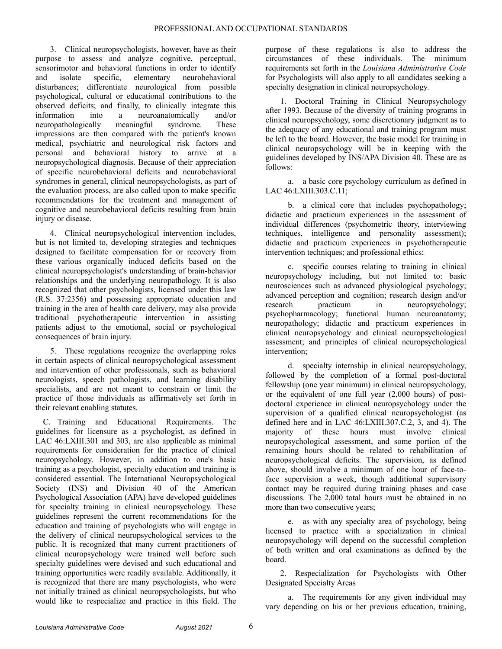3. Clinical neuropsychologists, however, have as their purpose to assess and analyze cognitive, perceptual, sensorimotor and behavioral functions in order to identify and isolate specific, elementary neurobehavioral disturbances; differentiate neurological from possible psychological, cultural or educational contributions to the observed deficits; and finally, to clinically integrate this information into a neuroanatomically and/or neuropathologically meaningful syndrome. These impressions are then compared with the patient's known medical, psychiatric and neurological risk factors and personal and behavioral history to arrive at a neuropsychological diagnosis. Because of their appreciation of specific neurobehavioral deficits and neurobehavioral syndromes in general, clinical neuropsychologists, as part of the evaluation process, are also called upon to make specific recommendations for the treatment and management of cognitive and neurobehavioral deficits resulting from brain injury or disease.

4. Clinical neuropsychological intervention includes, but is not limited to, developing strategies and techniques designed to facilitate compensation for or recovery from these various organically induced deficits based on the clinical neuropsychologist's understanding of brain-behavior relationships and the underlying neuropathology. It is also recognized that other psychologists, licensed under this law (R.S. 37:2356) and possessing appropriate education and training in the area of health care delivery, may also provide traditional psychotherapeutic intervention in assisting patients adjust to the emotional, social or psychological consequences of brain injury.

5. These regulations recognize the overlapping roles in certain aspects of clinical neuropsychological assessment and intervention of other professionals, such as behavioral neurologists, speech pathologists, and learning disability specialists, and are not meant to constrain or limit the practice of those individuals as affirmatively set forth in their relevant enabling statutes.

C. Training and Educational Requirements. The guidelines for licensure as a psychologist, as defined in LAC 46:LXIII.301 and 303, are also applicable as minimal requirements for consideration for the practice of clinical neuropsychology. However, in addition to one's basic training as a psychologist, specialty education and training is considered essential. The International Neuropsychological Society (INS) and Division 40 of the American Psychological Association (APA) have developed guidelines for specialty training in clinical neuropsychology. These guidelines represent the current recommendations for the education and training of psychologists who will engage in the delivery of clinical neuropsychological services to the public. It is recognized that many current practitioners of clinical neuropsychology were trained well before such specialty guidelines were devised and such educational and training opportunities were readily available. Additionally, it is recognized that there are many psychologists, who were not initially trained as clinical neuropsychologists, but who would like to respecialize and practice in this field. The purpose of these regulations is also to address the circumstances of these individuals. The minimum requirements set forth in the *Louisiana Administrative Code* for Psychologists will also apply to all candidates seeking a specialty designation in clinical neuropsychology.

1. Doctoral Training in Clinical Neuropsychology after 1993. Because of the diversity of training programs in clinical neuropsychology, some discretionary judgment as to the adequacy of any educational and training program must be left to the board. However, the basic model for training in clinical neuropsychology will be in keeping with the guidelines developed by INS/APA Division 40. These are as follows:

a. a basic core psychology curriculum as defined in LAC 46:LXIII.303.C.11;

b. a clinical core that includes psychopathology; didactic and practicum experiences in the assessment of individual differences (psychometric theory, interviewing techniques, intelligence and personality assessment); didactic and practicum experiences in psychotherapeutic intervention techniques; and professional ethics;

c. specific courses relating to training in clinical neuropsychology including, but not limited to: basic neurosciences such as advanced physiological psychology; advanced perception and cognition; research design and/or research practicum in neuropsychology; research practicum in neuropsychology; psychopharmacology; functional human neuroanatomy; neuropathology; didactic and practicum experiences in clinical neuropsychology and clinical neuropsychological assessment; and principles of clinical neuropsychological intervention;

d. specialty internship in clinical neuropsychology, followed by the completion of a formal post-doctoral fellowship (one year minimum) in clinical neuropsychology, or the equivalent of one full year (2,000 hours) of postdoctoral experience in clinical neuropsychology under the supervision of a qualified clinical neuropsychologist (as defined here and in LAC 46:LXIII.307.C.2, 3, and 4). The majority of these hours must involve clinical neuropsychological assessment, and some portion of the remaining hours should be related to rehabilitation of neuropsychological deficits. The supervision, as defined above, should involve a minimum of one hour of face-toface supervision a week, though additional supervisory contact may be required during training phases and case discussions. The 2,000 total hours must be obtained in no more than two consecutive years;

e. as with any specialty area of psychology, being licensed to practice with a specialization in clinical neuropsychology will depend on the successful completion of both written and oral examinations as defined by the board.

2. Respecialization for Psychologists with Other Designated Specialty Areas

a. The requirements for any given individual may vary depending on his or her previous education, training,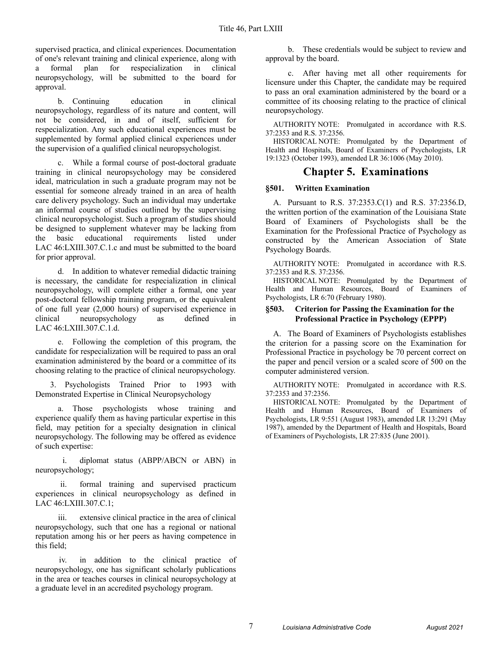supervised practica, and clinical experiences. Documentation of one's relevant training and clinical experience, along with a formal plan for respecialization in clinical neuropsychology, will be submitted to the board for approval.

b. Continuing education in clinical neuropsychology, regardless of its nature and content, will not be considered, in and of itself, sufficient for respecialization. Any such educational experiences must be supplemented by formal applied clinical experiences under the supervision of a qualified clinical neuropsychologist.

c. While a formal course of post-doctoral graduate training in clinical neuropsychology may be considered ideal, matriculation in such a graduate program may not be essential for someone already trained in an area of health care delivery psychology. Such an individual may undertake an informal course of studies outlined by the supervising clinical neuropsychologist. Such a program of studies should be designed to supplement whatever may be lacking from the basic educational requirements listed under LAC 46:LXIII.307.C.1.c and must be submitted to the board for prior approval.

d. In addition to whatever remedial didactic training is necessary, the candidate for respecialization in clinical neuropsychology, will complete either a formal, one year post-doctoral fellowship training program, or the equivalent of one full year (2,000 hours) of supervised experience in clinical neuropsychology as defined in LAC 46:LXIII.307.C.1.d.

e. Following the completion of this program, the candidate for respecialization will be required to pass an oral examination administered by the board or a committee of its choosing relating to the practice of clinical neuropsychology.

3. Psychologists Trained Prior to 1993 with Demonstrated Expertise in Clinical Neuropsychology

a. Those psychologists whose training and experience qualify them as having particular expertise in this field, may petition for a specialty designation in clinical neuropsychology. The following may be offered as evidence of such expertise:

i. diplomat status (ABPP/ABCN or ABN) in neuropsychology;

ii. formal training and supervised practicum experiences in clinical neuropsychology as defined in LAC 46:LXIII.307.C.1;

extensive clinical practice in the area of clinical neuropsychology, such that one has a regional or national reputation among his or her peers as having competence in this field;

iv. in addition to the clinical practice of neuropsychology, one has significant scholarly publications in the area or teaches courses in clinical neuropsychology at a graduate level in an accredited psychology program.

b. These credentials would be subject to review and approval by the board.

c. After having met all other requirements for licensure under this Chapter, the candidate may be required to pass an oral examination administered by the board or a committee of its choosing relating to the practice of clinical neuropsychology.

AUTHORITY NOTE: Promulgated in accordance with R.S. 37:2353 and R.S. 37:2356.

HISTORICAL NOTE: Promulgated by the Department of Health and Hospitals, Board of Examiners of Psychologists, LR 19:1323 (October 1993), amended LR 36:1006 (May 2010).

### **Chapter 5. Examinations**

### **§501. Written Examination**

A. Pursuant to R.S. 37:2353.C(1) and R.S. 37:2356.D, the written portion of the examination of the Louisiana State Board of Examiners of Psychologists shall be the Examination for the Professional Practice of Psychology as constructed by the American Association of State Psychology Boards.

AUTHORITY NOTE: Promulgated in accordance with R.S. 37:2353 and R.S. 37:2356.

HISTORICAL NOTE: Promulgated by the Department of Health and Human Resources, Board of Examiners of Psychologists, LR 6:70 (February 1980).

#### **§503. Criterion for Passing the Examination for the Professional Practice in Psychology (EPPP)**

A. The Board of Examiners of Psychologists establishes the criterion for a passing score on the Examination for Professional Practice in psychology be 70 percent correct on the paper and pencil version or a scaled score of 500 on the computer administered version.

AUTHORITY NOTE: Promulgated in accordance with R.S. 37:2353 and 37:2356.

HISTORICAL NOTE: Promulgated by the Department of Health and Human Resources, Board of Examiners of Psychologists, LR 9:551 (August 1983), amended LR 13:291 (May 1987), amended by the Department of Health and Hospitals, Board of Examiners of Psychologists, LR 27:835 (June 2001).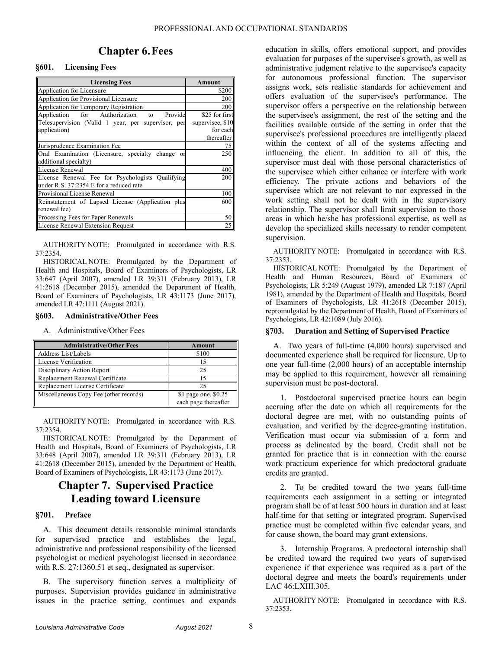## **Chapter 6.Fees**

### **§601. Licensing Fees**

| <b>Licensing Fees</b>                              | Amount           |
|----------------------------------------------------|------------------|
| Application for Licensure                          | \$200            |
| Application for Provisional Licensure              | 200              |
| Application for Temporary Registration             | 200              |
| Application for Authorization to Provide           | \$25 for first   |
| Telesupervision (Valid 1 year, per supervisor, per | supervisee, \$10 |
| application)                                       | for each         |
|                                                    | thereafter       |
| Jurisprudence Examination Fee                      | 75               |
| Oral Examination (Licensure, specialty change or   | 250              |
| additional specialty)                              |                  |
| License Renewal                                    | 400              |
| License Renewal Fee for Psychologists Qualifying   | 200              |
| under R.S. 37:2354.E for a reduced rate            |                  |
| Provisional License Renewal                        | 100              |
| Reinstatement of Lapsed License (Application plus  | 600              |
| renewal fee)                                       |                  |
| Processing Fees for Paper Renewals                 | 50               |
| License Renewal Extension Request                  | 25               |

AUTHORITY NOTE: Promulgated in accordance with R.S. 37:2354.

HISTORICAL NOTE: Promulgated by the Department of Health and Hospitals, Board of Examiners of Psychologists, LR 33:647 (April 2007), amended LR 39:311 (February 2013), LR 41:2618 (December 2015), amended the Department of Health, Board of Examiners of Psychologists, LR 43:1173 (June 2017), amended LR 47:1111 (August 2021).

#### **§603. Administrative/Other Fees**

#### A. Administrative/Other Fees

| <b>Administrative/Other Fees</b>       | <b>Amount</b>                                |
|----------------------------------------|----------------------------------------------|
| Address List/Labels                    | \$100                                        |
| License Verification                   | 15                                           |
| Disciplinary Action Report             | 25                                           |
| Replacement Renewal Certificate        | 15                                           |
| Replacement License Certificate        | 25                                           |
| Miscellaneous Copy Fee (other records) | \$1 page one, \$0.25<br>each page thereafter |

AUTHORITY NOTE: Promulgated in accordance with R.S. 37:2354.

HISTORICAL NOTE: Promulgated by the Department of Health and Hospitals, Board of Examiners of Psychologists, LR 33:648 (April 2007), amended LR 39:311 (February 2013), LR 41:2618 (December 2015), amended by the Department of Health, Board of Examiners of Psychologists, LR 43:1173 (June 2017).

## **Chapter 7. Supervised Practice Leading toward Licensure**

#### **§701. Preface**

A. This document details reasonable minimal standards for supervised practice and establishes the legal, administrative and professional responsibility of the licensed psychologist or medical psychologist licensed in accordance with R.S. 27:1360.51 et seq., designated as supervisor.

B. The supervisory function serves a multiplicity of purposes. Supervision provides guidance in administrative issues in the practice setting, continues and expands education in skills, offers emotional support, and provides evaluation for purposes of the supervisee's growth, as well as administrative judgment relative to the supervisee's capacity for autonomous professional function. The supervisor assigns work, sets realistic standards for achievement and offers evaluation of the supervisee's performance. The supervisor offers a perspective on the relationship between the supervisee's assignment, the rest of the setting and the facilities available outside of the setting in order that the supervisee's professional procedures are intelligently placed within the context of all of the systems affecting and influencing the client. In addition to all of this, the supervisor must deal with those personal characteristics of the supervisee which either enhance or interfere with work efficiency. The private actions and behaviors of the supervisee which are not relevant to nor expressed in the work setting shall not be dealt with in the supervisory relationship. The supervisor shall limit supervision to those areas in which he/she has professional expertise, as well as develop the specialized skills necessary to render competent supervision.

AUTHORITY NOTE: Promulgated in accordance with R.S. 37:2353.

HISTORICAL NOTE: Promulgated by the Department of Health and Human Resources, Board of Examiners of Psychologists, LR 5:249 (August 1979), amended LR 7:187 (April 1981), amended by the Department of Health and Hospitals, Board of Examiners of Psychologists, LR 41:2618 (December 2015), repromulgated by the Department of Health, Board of Examiners of Psychologists, LR 42:1089 (July 2016).

#### **§703. Duration and Setting of Supervised Practice**

A. Two years of full-time (4,000 hours) supervised and documented experience shall be required for licensure. Up to one year full-time (2,000 hours) of an acceptable internship may be applied to this requirement, however all remaining supervision must be post-doctoral.

1. Postdoctoral supervised practice hours can begin accruing after the date on which all requirements for the doctoral degree are met, with no outstanding points of evaluation, and verified by the degree-granting institution. Verification must occur via submission of a form and process as delineated by the board. Credit shall not be granted for practice that is in connection with the course work practicum experience for which predoctoral graduate credits are granted.

2. To be credited toward the two years full-time requirements each assignment in a setting or integrated program shall be of at least 500 hours in duration and at least half-time for that setting or integrated program. Supervised practice must be completed within five calendar years, and for cause shown, the board may grant extensions.

3. Internship Programs. A predoctoral internship shall be credited toward the required two years of supervised experience if that experience was required as a part of the doctoral degree and meets the board's requirements under LAC 46:LXIII.305.

AUTHORITY NOTE: Promulgated in accordance with R.S. 37:2353.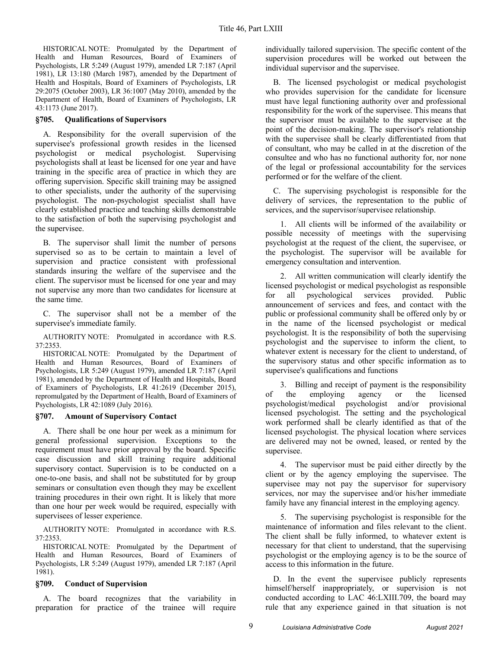HISTORICAL NOTE: Promulgated by the Department of Health and Human Resources, Board of Examiners of Psychologists, LR 5:249 (August 1979), amended LR 7:187 (April 1981), LR 13:180 (March 1987), amended by the Department of Health and Hospitals, Board of Examiners of Psychologists, LR 29:2075 (October 2003), LR 36:1007 (May 2010), amended by the Department of Health, Board of Examiners of Psychologists, LR 43:1173 (June 2017).

### **§705. Qualifications of Supervisors**

A. Responsibility for the overall supervision of the supervisee's professional growth resides in the licensed psychologist or medical psychologist. Supervising psychologists shall at least be licensed for one year and have training in the specific area of practice in which they are offering supervision. Specific skill training may be assigned to other specialists, under the authority of the supervising psychologist. The non-psychologist specialist shall have clearly established practice and teaching skills demonstrable to the satisfaction of both the supervising psychologist and the supervisee.

B. The supervisor shall limit the number of persons supervised so as to be certain to maintain a level of supervision and practice consistent with professional standards insuring the welfare of the supervisee and the client. The supervisor must be licensed for one year and may not supervise any more than two candidates for licensure at the same time.

C. The supervisor shall not be a member of the supervisee's immediate family.

AUTHORITY NOTE: Promulgated in accordance with R.S. 37:2353.

HISTORICAL NOTE: Promulgated by the Department of Health and Human Resources, Board of Examiners of Psychologists, LR 5:249 (August 1979), amended LR 7:187 (April 1981), amended by the Department of Health and Hospitals, Board of Examiners of Psychologists, LR 41:2619 (December 2015), repromulgated by the Department of Health, Board of Examiners of Psychologists, LR 42:1089 (July 2016).

#### **§707. Amount of Supervisory Contact**

A. There shall be one hour per week as a minimum for general professional supervision. Exceptions to the requirement must have prior approval by the board. Specific case discussion and skill training require additional supervisory contact. Supervision is to be conducted on a one-to-one basis, and shall not be substituted for by group seminars or consultation even though they may be excellent training procedures in their own right. It is likely that more than one hour per week would be required, especially with supervisees of lesser experience.

AUTHORITY NOTE: Promulgated in accordance with R.S. 37:2353.

HISTORICAL NOTE: Promulgated by the Department of Health and Human Resources, Board of Examiners of Psychologists, LR 5:249 (August 1979), amended LR 7:187 (April 1981).

#### **§709. Conduct of Supervision**

A. The board recognizes that the variability in preparation for practice of the trainee will require individually tailored supervision. The specific content of the supervision procedures will be worked out between the individual supervisor and the supervisee.

B. The licensed psychologist or medical psychologist who provides supervision for the candidate for licensure must have legal functioning authority over and professional responsibility for the work of the supervisee. This means that the supervisor must be available to the supervisee at the point of the decision-making. The supervisor's relationship with the supervisee shall be clearly differentiated from that of consultant, who may be called in at the discretion of the consultee and who has no functional authority for, nor none of the legal or professional accountability for the services performed or for the welfare of the client.

C. The supervising psychologist is responsible for the delivery of services, the representation to the public of services, and the supervisor/supervisee relationship.

1. All clients will be informed of the availability or possible necessity of meetings with the supervising psychologist at the request of the client, the supervisee, or the psychologist. The supervisor will be available for emergency consultation and intervention.

2. All written communication will clearly identify the licensed psychologist or medical psychologist as responsible for all psychological services provided. Public announcement of services and fees, and contact with the public or professional community shall be offered only by or in the name of the licensed psychologist or medical psychologist. It is the responsibility of both the supervising psychologist and the supervisee to inform the client, to whatever extent is necessary for the client to understand, of the supervisory status and other specific information as to supervisee's qualifications and functions

3. Billing and receipt of payment is the responsibility of the employing agency or the licensed psychologist/medical psychologist and/or provisional licensed psychologist. The setting and the psychological work performed shall be clearly identified as that of the licensed psychologist. The physical location where services are delivered may not be owned, leased, or rented by the supervisee.

4. The supervisor must be paid either directly by the client or by the agency employing the supervisee. The supervisee may not pay the supervisor for supervisory services, nor may the supervisee and/or his/her immediate family have any financial interest in the employing agency.

5. The supervising psychologist is responsible for the maintenance of information and files relevant to the client. The client shall be fully informed, to whatever extent is necessary for that client to understand, that the supervising psychologist or the employing agency is to be the source of access to this information in the future.

D. In the event the supervisee publicly represents himself/herself inappropriately, or supervision is not conducted according to LAC 46:LXIII.709, the board may rule that any experience gained in that situation is not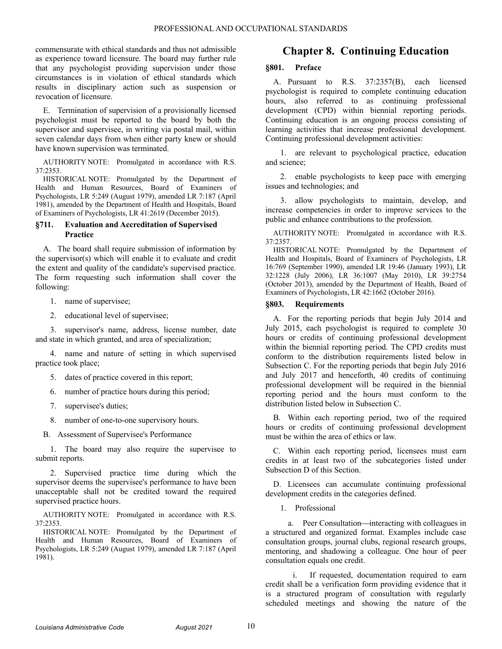commensurate with ethical standards and thus not admissible as experience toward licensure. The board may further rule that any psychologist providing supervision under those circumstances is in violation of ethical standards which results in disciplinary action such as suspension or revocation of licensure.

E. Termination of supervision of a provisionally licensed psychologist must be reported to the board by both the supervisor and supervisee, in writing via postal mail, within seven calendar days from when either party knew or should have known supervision was terminated.

AUTHORITY NOTE: Promulgated in accordance with R.S. 37:2353.

HISTORICAL NOTE: Promulgated by the Department of Health and Human Resources, Board of Examiners of Psychologists, LR 5:249 (August 1979), amended LR 7:187 (April 1981), amended by the Department of Health and Hospitals, Board of Examiners of Psychologists, LR 41:2619 (December 2015).

### **§711. Evaluation and Accreditation of Supervised Practice**

A. The board shall require submission of information by the supervisor(s) which will enable it to evaluate and credit the extent and quality of the candidate's supervised practice. The form requesting such information shall cover the following:

- 1. name of supervisee;
- 2. educational level of supervisee;

3. supervisor's name, address, license number, date and state in which granted, and area of specialization;

4. name and nature of setting in which supervised practice took place;

- 5. dates of practice covered in this report;
- 6. number of practice hours during this period;
- 7. supervisee's duties;
- 8. number of one-to-one supervisory hours.
- B. Assessment of Supervisee's Performance

1. The board may also require the supervisee to submit reports.

2. Supervised practice time during which the supervisor deems the supervisee's performance to have been unacceptable shall not be credited toward the required supervised practice hours.

AUTHORITY NOTE: Promulgated in accordance with R.S. 37:2353.

HISTORICAL NOTE: Promulgated by the Department of Health and Human Resources, Board of Examiners of Psychologists, LR 5:249 (August 1979), amended LR 7:187 (April 1981).

## **Chapter 8. Continuing Education**

### **§801. Preface**

A. Pursuant to R.S. 37:2357(B), each licensed psychologist is required to complete continuing education hours, also referred to as continuing professional development (CPD) within biennial reporting periods. Continuing education is an ongoing process consisting of learning activities that increase professional development. Continuing professional development activities:

1. are relevant to psychological practice, education and science;

2. enable psychologists to keep pace with emerging issues and technologies; and

3. allow psychologists to maintain, develop, and increase competencies in order to improve services to the public and enhance contributions to the profession.

AUTHORITY NOTE: Promulgated in accordance with R.S. 37:2357.

HISTORICAL NOTE: Promulgated by the Department of Health and Hospitals, Board of Examiners of Psychologists, LR 16:769 (September 1990), amended LR 19:46 (January 1993), LR 32:1228 (July 2006), LR 36:1007 (May 2010), LR 39:2754 (October 2013), amended by the Department of Health, Board of Examiners of Psychologists, LR 42:1662 (October 2016).

#### **§803. Requirements**

A. For the reporting periods that begin July 2014 and July 2015, each psychologist is required to complete 30 hours or credits of continuing professional development within the biennial reporting period. The CPD credits must conform to the distribution requirements listed below in Subsection C. For the reporting periods that begin July 2016 and July 2017 and henceforth, 40 credits of continuing professional development will be required in the biennial reporting period and the hours must conform to the distribution listed below in Subsection C.

B. Within each reporting period, two of the required hours or credits of continuing professional development must be within the area of ethics or law.

C. Within each reporting period, licensees must earn credits in at least two of the subcategories listed under Subsection D of this Section.

D. Licensees can accumulate continuing professional development credits in the categories defined.

1. Professional

a. Peer Consultation—interacting with colleagues in a structured and organized format. Examples include case consultation groups, journal clubs, regional research groups, mentoring, and shadowing a colleague. One hour of peer consultation equals one credit.

i. If requested, documentation required to earn credit shall be a verification form providing evidence that it is a structured program of consultation with regularly scheduled meetings and showing the nature of the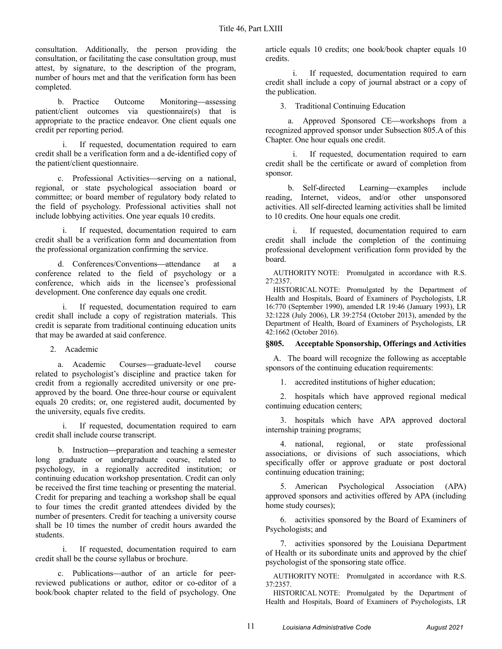consultation. Additionally, the person providing the consultation, or facilitating the case consultation group, must attest, by signature, to the description of the program, number of hours met and that the verification form has been completed.

b. Practice Outcome Monitoring—assessing patient/client outcomes via questionnaire(s) that is appropriate to the practice endeavor. One client equals one credit per reporting period.

i. If requested, documentation required to earn credit shall be a verification form and a de-identified copy of the patient/client questionnaire.

c. Professional Activities—serving on a national, regional, or state psychological association board or committee; or board member of regulatory body related to the field of psychology. Professional activities shall not include lobbying activities. One year equals 10 credits.

i. If requested, documentation required to earn credit shall be a verification form and documentation from the professional organization confirming the service.

d. Conferences/Conventions—attendance at conference related to the field of psychology or a conference, which aids in the licensee's professional development. One conference day equals one credit.

i. If requested, documentation required to earn credit shall include a copy of registration materials. This credit is separate from traditional continuing education units that may be awarded at said conference.

2. Academic

a. Academic Courses—graduate-level course related to psychologist's discipline and practice taken for credit from a regionally accredited university or one preapproved by the board. One three-hour course or equivalent equals 20 credits; or, one registered audit, documented by the university, equals five credits.

i. If requested, documentation required to earn credit shall include course transcript.

b. Instruction-preparation and teaching a semester long graduate or undergraduate course, related to psychology, in a regionally accredited institution; or continuing education workshop presentation. Credit can only be received the first time teaching or presenting the material. Credit for preparing and teaching a workshop shall be equal to four times the credit granted attendees divided by the number of presenters. Credit for teaching a university course shall be 10 times the number of credit hours awarded the students.

If requested, documentation required to earn credit shall be the course syllabus or brochure.

c. Publications—author of an article for peerreviewed publications or author, editor or co-editor of a book/book chapter related to the field of psychology. One

article equals 10 credits; one book/book chapter equals 10 credits.

If requested, documentation required to earn credit shall include a copy of journal abstract or a copy of the publication.

3. Traditional Continuing Education

a. Approved Sponsored CE—workshops from a recognized approved sponsor under Subsection 805.A of this Chapter. One hour equals one credit.

If requested, documentation required to earn credit shall be the certificate or award of completion from sponsor.

b. Self-directed Learning—examples include reading, Internet, videos, and/or other unsponsored activities. All self-directed learning activities shall be limited to 10 credits. One hour equals one credit.

If requested, documentation required to earn credit shall include the completion of the continuing professional development verification form provided by the board.

AUTHORITY NOTE: Promulgated in accordance with R.S. 27:2357.

HISTORICAL NOTE: Promulgated by the Department of Health and Hospitals, Board of Examiners of Psychologists, LR 16:770 (September 1990), amended LR 19:46 (January 1993), LR 32:1228 (July 2006), LR 39:2754 (October 2013), amended by the Department of Health, Board of Examiners of Psychologists, LR 42:1662 (October 2016).

### **§805. Acceptable Sponsorship, Offerings and Activities**

A. The board will recognize the following as acceptable sponsors of the continuing education requirements:

1. accredited institutions of higher education;

2. hospitals which have approved regional medical continuing education centers;

3. hospitals which have APA approved doctoral internship training programs;

4. national, regional, or state professional associations, or divisions of such associations, which specifically offer or approve graduate or post doctoral continuing education training;

5. American Psychological Association (APA) approved sponsors and activities offered by APA (including home study courses);

6. activities sponsored by the Board of Examiners of Psychologists; and

7. activities sponsored by the Louisiana Department of Health or its subordinate units and approved by the chief psychologist of the sponsoring state office.

AUTHORITY NOTE: Promulgated in accordance with R.S. 37:2357.

HISTORICAL NOTE: Promulgated by the Department of Health and Hospitals, Board of Examiners of Psychologists, LR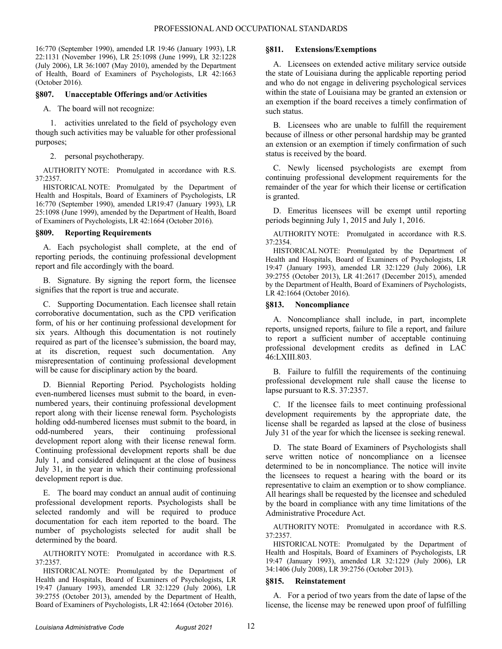16:770 (September 1990), amended LR 19:46 (January 1993), LR 22:1131 (November 1996), LR 25:1098 (June 1999), LR 32:1228 (July 2006), LR 36:1007 (May 2010), amended by the Department of Health, Board of Examiners of Psychologists, LR 42:1663 (October 2016).

### **§807. Unacceptable Offerings and/or Activities**

A. The board will not recognize:

1. activities unrelated to the field of psychology even though such activities may be valuable for other professional purposes;

2. personal psychotherapy.

AUTHORITY NOTE: Promulgated in accordance with R.S. 37:2357.

HISTORICAL NOTE: Promulgated by the Department of Health and Hospitals, Board of Examiners of Psychologists, LR 16:770 (September 1990), amended LR19:47 (January 1993), LR 25:1098 (June 1999), amended by the Department of Health, Board of Examiners of Psychologists, LR 42:1664 (October 2016).

#### **§809. Reporting Requirements**

A. Each psychologist shall complete, at the end of reporting periods, the continuing professional development report and file accordingly with the board.

B. Signature. By signing the report form, the licensee signifies that the report is true and accurate.

C. Supporting Documentation. Each licensee shall retain corroborative documentation, such as the CPD verification form, of his or her continuing professional development for six years. Although this documentation is not routinely required as part of the licensee's submission, the board may, at its discretion, request such documentation. Any misrepresentation of continuing professional development will be cause for disciplinary action by the board.

D. Biennial Reporting Period. Psychologists holding even-numbered licenses must submit to the board, in evennumbered years, their continuing professional development report along with their license renewal form. Psychologists holding odd-numbered licenses must submit to the board, in odd-numbered years, their continuing professional development report along with their license renewal form. Continuing professional development reports shall be due July 1, and considered delinquent at the close of business July 31, in the year in which their continuing professional development report is due.

E. The board may conduct an annual audit of continuing professional development reports. Psychologists shall be selected randomly and will be required to produce documentation for each item reported to the board. The number of psychologists selected for audit shall be determined by the board.

AUTHORITY NOTE: Promulgated in accordance with R.S. 37:2357.

HISTORICAL NOTE: Promulgated by the Department of Health and Hospitals, Board of Examiners of Psychologists, LR 19:47 (January 1993), amended LR 32:1229 (July 2006), LR 39:2755 (October 2013), amended by the Department of Health, Board of Examiners of Psychologists, LR 42:1664 (October 2016).

### **§811. Extensions/Exemptions**

A. Licensees on extended active military service outside the state of Louisiana during the applicable reporting period and who do not engage in delivering psychological services within the state of Louisiana may be granted an extension or an exemption if the board receives a timely confirmation of such status.

B. Licensees who are unable to fulfill the requirement because of illness or other personal hardship may be granted an extension or an exemption if timely confirmation of such status is received by the board.

C. Newly licensed psychologists are exempt from continuing professional development requirements for the remainder of the year for which their license or certification is granted.

D. Emeritus licensees will be exempt until reporting periods beginning July 1, 2015 and July 1, 2016.

AUTHORITY NOTE: Promulgated in accordance with R.S. 37:2354.

HISTORICAL NOTE: Promulgated by the Department of Health and Hospitals, Board of Examiners of Psychologists, LR 19:47 (January 1993), amended LR 32:1229 (July 2006), LR 39:2755 (October 2013), LR 41:2617 (December 2015), amended by the Department of Health, Board of Examiners of Psychologists, LR 42:1664 (October 2016).

#### **§813. Noncompliance**

A. Noncompliance shall include, in part, incomplete reports, unsigned reports, failure to file a report, and failure to report a sufficient number of acceptable continuing professional development credits as defined in LAC 46:LXIII.803.

B. Failure to fulfill the requirements of the continuing professional development rule shall cause the license to lapse pursuant to R.S. 37:2357.

C. If the licensee fails to meet continuing professional development requirements by the appropriate date, the license shall be regarded as lapsed at the close of business July 31 of the year for which the licensee is seeking renewal.

D. The state Board of Examiners of Psychologists shall serve written notice of noncompliance on a licensee determined to be in noncompliance. The notice will invite the licensees to request a hearing with the board or its representative to claim an exemption or to show compliance. All hearings shall be requested by the licensee and scheduled by the board in compliance with any time limitations of the Administrative Procedure Act.

AUTHORITY NOTE: Promulgated in accordance with R.S. 37:2357.

HISTORICAL NOTE: Promulgated by the Department of Health and Hospitals, Board of Examiners of Psychologists, LR 19:47 (January 1993), amended LR 32:1229 (July 2006), LR 34:1406 (July 2008), LR 39:2756 (October 2013).

#### **§815. Reinstatement**

A. For a period of two years from the date of lapse of the license, the license may be renewed upon proof of fulfilling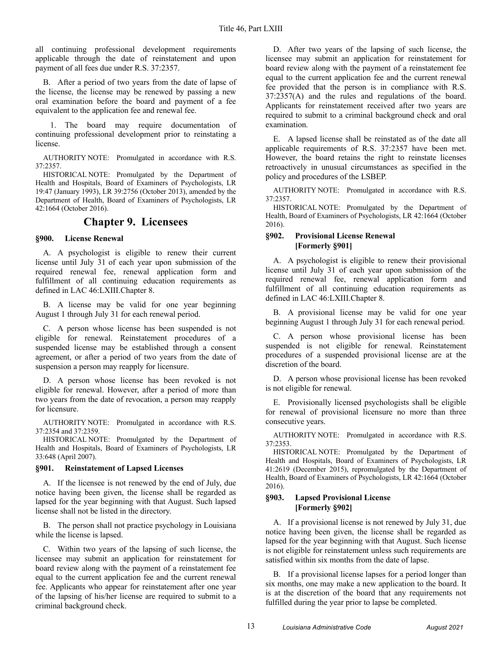all continuing professional development requirements applicable through the date of reinstatement and upon payment of all fees due under R.S. 37:2357.

B. After a period of two years from the date of lapse of the license, the license may be renewed by passing a new oral examination before the board and payment of a fee equivalent to the application fee and renewal fee.

1. The board may require documentation of continuing professional development prior to reinstating a license.

AUTHORITY NOTE: Promulgated in accordance with R.S. 37:2357.

HISTORICAL NOTE: Promulgated by the Department of Health and Hospitals, Board of Examiners of Psychologists, LR 19:47 (January 1993), LR 39:2756 (October 2013), amended by the Department of Health, Board of Examiners of Psychologists, LR 42:1664 (October 2016).

## **Chapter 9. Licensees**

### **§900. License Renewal**

A. A psychologist is eligible to renew their current license until July 31 of each year upon submission of the required renewal fee, renewal application form and fulfillment of all continuing education requirements as defined in LAC 46:LXIII.Chapter 8.

B. A license may be valid for one year beginning August 1 through July 31 for each renewal period.

C. A person whose license has been suspended is not eligible for renewal. Reinstatement procedures of a suspended license may be established through a consent agreement, or after a period of two years from the date of suspension a person may reapply for licensure.

D. A person whose license has been revoked is not eligible for renewal. However, after a period of more than two years from the date of revocation, a person may reapply for licensure.

AUTHORITY NOTE: Promulgated in accordance with R.S. 37:2354 and 37:2359.

HISTORICAL NOTE: Promulgated by the Department of Health and Hospitals, Board of Examiners of Psychologists, LR 33:648 (April 2007).

### **§901. Reinstatement of Lapsed Licenses**

A. If the licensee is not renewed by the end of July, due notice having been given, the license shall be regarded as lapsed for the year beginning with that August. Such lapsed license shall not be listed in the directory.

B. The person shall not practice psychology in Louisiana while the license is lapsed.

C. Within two years of the lapsing of such license, the licensee may submit an application for reinstatement for board review along with the payment of a reinstatement fee equal to the current application fee and the current renewal fee. Applicants who appear for reinstatement after one year of the lapsing of his/her license are required to submit to a criminal background check.

D. After two years of the lapsing of such license, the licensee may submit an application for reinstatement for board review along with the payment of a reinstatement fee equal to the current application fee and the current renewal fee provided that the person is in compliance with R.S. 37:2357(A) and the rules and regulations of the board. Applicants for reinstatement received after two years are required to submit to a criminal background check and oral examination.

E. A lapsed license shall be reinstated as of the date all applicable requirements of R.S. 37:2357 have been met. However, the board retains the right to reinstate licenses retroactively in unusual circumstances as specified in the policy and procedures of the LSBEP.

AUTHORITY NOTE: Promulgated in accordance with R.S. 37:2357.

HISTORICAL NOTE: Promulgated by the Department of Health, Board of Examiners of Psychologists, LR 42:1664 (October 2016).

### **§902. Provisional License Renewal [Formerly §901]**

A. A psychologist is eligible to renew their provisional license until July 31 of each year upon submission of the required renewal fee, renewal application form and fulfillment of all continuing education requirements as defined in LAC 46:LXIII.Chapter 8.

B. A provisional license may be valid for one year beginning August 1 through July 31 for each renewal period.

C. A person whose provisional license has been suspended is not eligible for renewal. Reinstatement procedures of a suspended provisional license are at the discretion of the board.

D. A person whose provisional license has been revoked is not eligible for renewal.

E. Provisionally licensed psychologists shall be eligible for renewal of provisional licensure no more than three consecutive years.

AUTHORITY NOTE: Promulgated in accordance with R.S. 37:2353.

HISTORICAL NOTE: Promulgated by the Department of Health and Hospitals, Board of Examiners of Psychologists, LR 41:2619 (December 2015), repromulgated by the Department of Health, Board of Examiners of Psychologists, LR 42:1664 (October 2016).

### **§903. Lapsed Provisional License [Formerly §902]**

A. If a provisional license is not renewed by July 31, due notice having been given, the license shall be regarded as lapsed for the year beginning with that August. Such license is not eligible for reinstatement unless such requirements are satisfied within six months from the date of lapse.

B. If a provisional license lapses for a period longer than six months, one may make a new application to the board. It is at the discretion of the board that any requirements not fulfilled during the year prior to lapse be completed.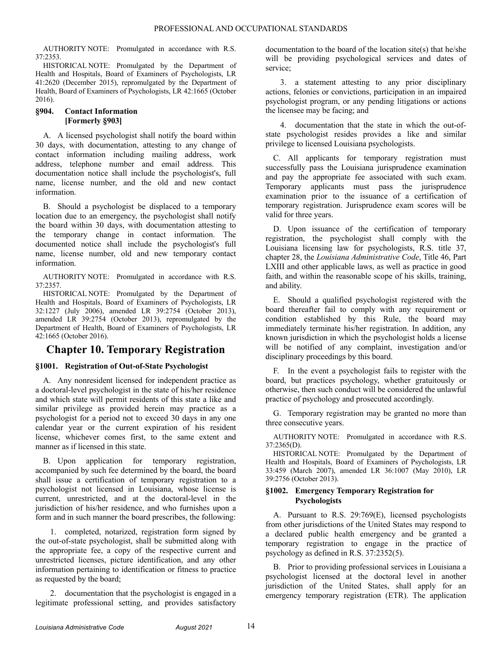AUTHORITY NOTE: Promulgated in accordance with R.S. 37:2353.

HISTORICAL NOTE: Promulgated by the Department of Health and Hospitals, Board of Examiners of Psychologists, LR 41:2620 (December 2015), repromulgated by the Department of Health, Board of Examiners of Psychologists, LR 42:1665 (October 2016).

### **§904. Contact Information [Formerly §903]**

A. A licensed psychologist shall notify the board within 30 days, with documentation, attesting to any change of contact information including mailing address, work address, telephone number and email address. This documentation notice shall include the psychologist's, full name, license number, and the old and new contact information.

B. Should a psychologist be displaced to a temporary location due to an emergency, the psychologist shall notify the board within 30 days, with documentation attesting to the temporary change in contact information. The documented notice shall include the psychologist's full name, license number, old and new temporary contact information.

AUTHORITY NOTE: Promulgated in accordance with R.S. 37:2357.

HISTORICAL NOTE: Promulgated by the Department of Health and Hospitals, Board of Examiners of Psychologists, LR 32:1227 (July 2006), amended LR 39:2754 (October 2013), amended LR 39:2754 (October 2013), repromulgated by the Department of Health, Board of Examiners of Psychologists, LR 42:1665 (October 2016).

## **Chapter 10. Temporary Registration**

### **§1001. Registration of Out-of-State Psychologist**

A. Any nonresident licensed for independent practice as a doctoral-level psychologist in the state of his/her residence and which state will permit residents of this state a like and similar privilege as provided herein may practice as a psychologist for a period not to exceed 30 days in any one calendar year or the current expiration of his resident license, whichever comes first, to the same extent and manner as if licensed in this state.

B. Upon application for temporary registration, accompanied by such fee determined by the board, the board shall issue a certification of temporary registration to a psychologist not licensed in Louisiana, whose license is current, unrestricted, and at the doctoral-level in the jurisdiction of his/her residence, and who furnishes upon a form and in such manner the board prescribes, the following:

1. completed, notarized, registration form signed by the out-of-state psychologist, shall be submitted along with the appropriate fee, a copy of the respective current and unrestricted licenses, picture identification, and any other information pertaining to identification or fitness to practice as requested by the board;

2. documentation that the psychologist is engaged in a legitimate professional setting, and provides satisfactory documentation to the board of the location site(s) that he/she will be providing psychological services and dates of service;

3. a statement attesting to any prior disciplinary actions, felonies or convictions, participation in an impaired psychologist program, or any pending litigations or actions the licensee may be facing; and

4. documentation that the state in which the out-ofstate psychologist resides provides a like and similar privilege to licensed Louisiana psychologists.

C. All applicants for temporary registration must successfully pass the Louisiana jurisprudence examination and pay the appropriate fee associated with such exam. Temporary applicants must pass the jurisprudence examination prior to the issuance of a certification of temporary registration. Jurisprudence exam scores will be valid for three years.

D. Upon issuance of the certification of temporary registration, the psychologist shall comply with the Louisiana licensing law for psychologists, R.S. title 37, chapter 28, the *Louisiana Administrative Code*, Title 46, Part LXIII and other applicable laws, as well as practice in good faith, and within the reasonable scope of his skills, training, and ability.

E. Should a qualified psychologist registered with the board thereafter fail to comply with any requirement or condition established by this Rule, the board may immediately terminate his/her registration. In addition, any known jurisdiction in which the psychologist holds a license will be notified of any complaint, investigation and/or disciplinary proceedings by this board.

F. In the event a psychologist fails to register with the board, but practices psychology, whether gratuitously or otherwise, then such conduct will be considered the unlawful practice of psychology and prosecuted accordingly.

G. Temporary registration may be granted no more than three consecutive years.

AUTHORITY NOTE: Promulgated in accordance with R.S. 37:2365(D).

HISTORICAL NOTE: Promulgated by the Department of Health and Hospitals, Board of Examiners of Psychologists, LR 33:459 (March 2007), amended LR 36:1007 (May 2010), LR 39:2756 (October 2013).

### **§1002. Emergency Temporary Registration for Psychologists**

A. Pursuant to R.S. 29:769(E), licensed psychologists from other jurisdictions of the United States may respond to a declared public health emergency and be granted a temporary registration to engage in the practice of psychology as defined in R.S. 37:2352(5).

B. Prior to providing professional services in Louisiana a psychologist licensed at the doctoral level in another jurisdiction of the United States, shall apply for an emergency temporary registration (ETR). The application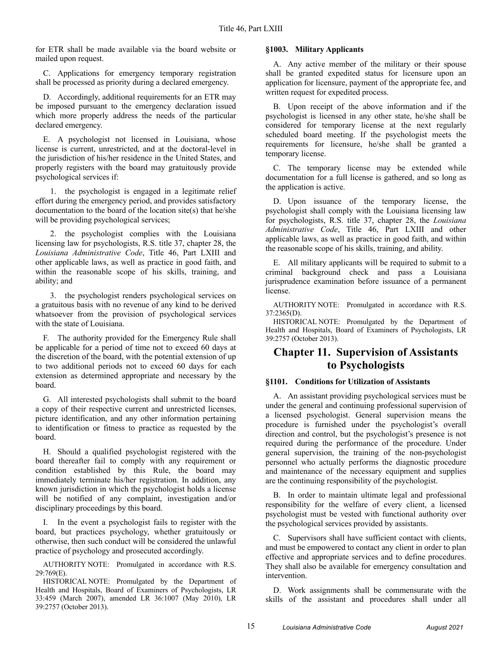for ETR shall be made available via the board website or mailed upon request.

C. Applications for emergency temporary registration shall be processed as priority during a declared emergency.

D. Accordingly, additional requirements for an ETR may be imposed pursuant to the emergency declaration issued which more properly address the needs of the particular declared emergency.

E. A psychologist not licensed in Louisiana, whose license is current, unrestricted, and at the doctoral-level in the jurisdiction of his/her residence in the United States, and properly registers with the board may gratuitously provide psychological services if:

1. the psychologist is engaged in a legitimate relief effort during the emergency period, and provides satisfactory documentation to the board of the location site(s) that he/she will be providing psychological services;

2. the psychologist complies with the Louisiana licensing law for psychologists, R.S. title 37, chapter 28, the *Louisiana Administrative Code*, Title 46, Part LXIII and other applicable laws, as well as practice in good faith, and within the reasonable scope of his skills, training, and ability; and

3. the psychologist renders psychological services on a gratuitous basis with no revenue of any kind to be derived whatsoever from the provision of psychological services with the state of Louisiana.

F. The authority provided for the Emergency Rule shall be applicable for a period of time not to exceed 60 days at the discretion of the board, with the potential extension of up to two additional periods not to exceed 60 days for each extension as determined appropriate and necessary by the board.

G. All interested psychologists shall submit to the board a copy of their respective current and unrestricted licenses, picture identification, and any other information pertaining to identification or fitness to practice as requested by the board.

H. Should a qualified psychologist registered with the board thereafter fail to comply with any requirement or condition established by this Rule, the board may immediately terminate his/her registration. In addition, any known jurisdiction in which the psychologist holds a license will be notified of any complaint, investigation and/or disciplinary proceedings by this board.

I. In the event a psychologist fails to register with the board, but practices psychology, whether gratuitously or otherwise, then such conduct will be considered the unlawful practice of psychology and prosecuted accordingly.

AUTHORITY NOTE: Promulgated in accordance with R.S. 29:769(E).

HISTORICAL NOTE: Promulgated by the Department of Health and Hospitals, Board of Examiners of Psychologists, LR 33:459 (March 2007), amended LR 36:1007 (May 2010), LR 39:2757 (October 2013).

### **§1003. Military Applicants**

A. Any active member of the military or their spouse shall be granted expedited status for licensure upon an application for licensure, payment of the appropriate fee, and written request for expedited process.

B. Upon receipt of the above information and if the psychologist is licensed in any other state, he/she shall be considered for temporary license at the next regularly scheduled board meeting. If the psychologist meets the requirements for licensure, he/she shall be granted a temporary license.

C. The temporary license may be extended while documentation for a full license is gathered, and so long as the application is active.

D. Upon issuance of the temporary license, the psychologist shall comply with the Louisiana licensing law for psychologists, R.S. title 37, chapter 28, the *Louisiana Administrative Code*, Title 46, Part LXIII and other applicable laws, as well as practice in good faith, and within the reasonable scope of his skills, training, and ability.

E. All military applicants will be required to submit to a criminal background check and pass a Louisiana jurisprudence examination before issuance of a permanent license.

AUTHORITY NOTE: Promulgated in accordance with R.S. 37:2365(D).

HISTORICAL NOTE: Promulgated by the Department of Health and Hospitals, Board of Examiners of Psychologists, LR 39:2757 (October 2013).

## **Chapter 11. Supervision of Assistants to Psychologists**

### **§1101. Conditions for Utilization of Assistants**

A. An assistant providing psychological services must be under the general and continuing professional supervision of a licensed psychologist. General supervision means the procedure is furnished under the psychologist's overall direction and control, but the psychologist's presence is not required during the performance of the procedure. Under general supervision, the training of the non-psychologist personnel who actually performs the diagnostic procedure and maintenance of the necessary equipment and supplies are the continuing responsibility of the psychologist.

B. In order to maintain ultimate legal and professional responsibility for the welfare of every client, a licensed psychologist must be vested with functional authority over the psychological services provided by assistants.

C. Supervisors shall have sufficient contact with clients, and must be empowered to contact any client in order to plan effective and appropriate services and to define procedures. They shall also be available for emergency consultation and intervention.

D. Work assignments shall be commensurate with the skills of the assistant and procedures shall under all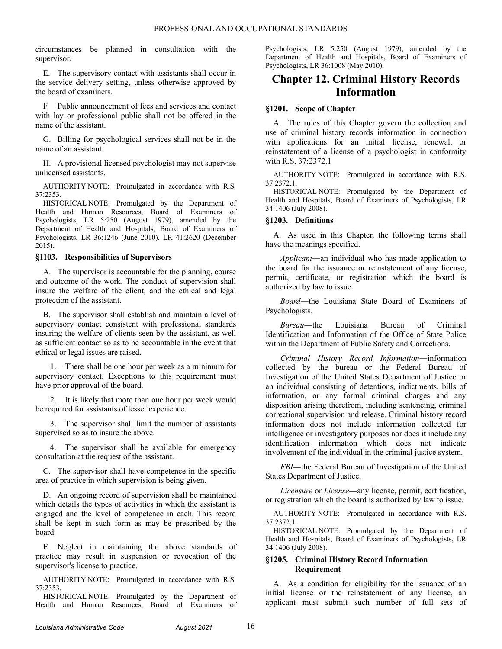circumstances be planned in consultation with the supervisor.

E. The supervisory contact with assistants shall occur in the service delivery setting, unless otherwise approved by the board of examiners.

F. Public announcement of fees and services and contact with lay or professional public shall not be offered in the name of the assistant.

G. Billing for psychological services shall not be in the name of an assistant.

H. A provisional licensed psychologist may not supervise unlicensed assistants.

AUTHORITY NOTE: Promulgated in accordance with R.S. 37:2353.

HISTORICAL NOTE: Promulgated by the Department of Health and Human Resources, Board of Examiners of Psychologists, LR 5:250 (August 1979), amended by the Department of Health and Hospitals, Board of Examiners of Psychologists, LR 36:1246 (June 2010), LR 41:2620 (December 2015).

### **§1103. Responsibilities of Supervisors**

A. The supervisor is accountable for the planning, course and outcome of the work. The conduct of supervision shall insure the welfare of the client, and the ethical and legal protection of the assistant.

B. The supervisor shall establish and maintain a level of supervisory contact consistent with professional standards insuring the welfare of clients seen by the assistant, as well as sufficient contact so as to be accountable in the event that ethical or legal issues are raised.

1. There shall be one hour per week as a minimum for supervisory contact. Exceptions to this requirement must have prior approval of the board.

2. It is likely that more than one hour per week would be required for assistants of lesser experience.

The supervisor shall limit the number of assistants supervised so as to insure the above.

The supervisor shall be available for emergency consultation at the request of the assistant.

C. The supervisor shall have competence in the specific area of practice in which supervision is being given.

D. An ongoing record of supervision shall be maintained which details the types of activities in which the assistant is engaged and the level of competence in each. This record shall be kept in such form as may be prescribed by the board.

E. Neglect in maintaining the above standards of practice may result in suspension or revocation of the supervisor's license to practice.

AUTHORITY NOTE: Promulgated in accordance with R.S. 37:2353.

HISTORICAL NOTE: Promulgated by the Department of Health and Human Resources, Board of Examiners of Psychologists, LR 5:250 (August 1979), amended by the Department of Health and Hospitals, Board of Examiners of Psychologists, LR 36:1008 (May 2010).

## **Chapter 12. Criminal History Records Information**

### **§1201. Scope of Chapter**

A. The rules of this Chapter govern the collection and use of criminal history records information in connection with applications for an initial license, renewal, or reinstatement of a license of a psychologist in conformity with R.S. 37:2372.1

AUTHORITY NOTE: Promulgated in accordance with R.S. 37:2372.1.

HISTORICAL NOTE: Promulgated by the Department of Health and Hospitals, Board of Examiners of Psychologists, LR 34:1406 (July 2008).

### **§1203. Definitions**

A. As used in this Chapter, the following terms shall have the meanings specified.

*Applicant*―an individual who has made application to the board for the issuance or reinstatement of any license, permit, certificate, or registration which the board is authorized by law to issue.

*Board*―the Louisiana State Board of Examiners of Psychologists.

*Bureau*―the Louisiana Bureau of Criminal Identification and Information of the Office of State Police within the Department of Public Safety and Corrections.

*Criminal History Record Information*―information collected by the bureau or the Federal Bureau of Investigation of the United States Department of Justice or an individual consisting of detentions, indictments, bills of information, or any formal criminal charges and any disposition arising therefrom, including sentencing, criminal correctional supervision and release. Criminal history record information does not include information collected for intelligence or investigatory purposes nor does it include any identification information which does not indicate involvement of the individual in the criminal justice system.

*FBI*―the Federal Bureau of Investigation of the United States Department of Justice.

*Licensure* or *License*―any license, permit, certification, or registration which the board is authorized by law to issue.

AUTHORITY NOTE: Promulgated in accordance with R.S. 37:2372.1.

HISTORICAL NOTE: Promulgated by the Department of Health and Hospitals, Board of Examiners of Psychologists, LR 34:1406 (July 2008).

### **§1205. Criminal History Record Information Requirement**

A. As a condition for eligibility for the issuance of an initial license or the reinstatement of any license, an applicant must submit such number of full sets of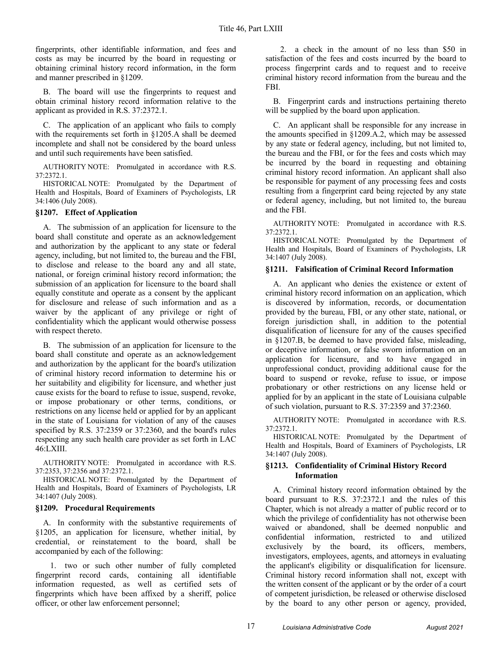fingerprints, other identifiable information, and fees and costs as may be incurred by the board in requesting or obtaining criminal history record information, in the form and manner prescribed in §1209.

B. The board will use the fingerprints to request and obtain criminal history record information relative to the applicant as provided in R.S. 37:2372.1.

C. The application of an applicant who fails to comply with the requirements set forth in §1205.A shall be deemed incomplete and shall not be considered by the board unless and until such requirements have been satisfied.

AUTHORITY NOTE: Promulgated in accordance with R.S. 37:2372.1.

HISTORICAL NOTE: Promulgated by the Department of Health and Hospitals, Board of Examiners of Psychologists, LR 34:1406 (July 2008).

### **§1207. Effect of Application**

A. The submission of an application for licensure to the board shall constitute and operate as an acknowledgement and authorization by the applicant to any state or federal agency, including, but not limited to, the bureau and the FBI, to disclose and release to the board any and all state, national, or foreign criminal history record information; the submission of an application for licensure to the board shall equally constitute and operate as a consent by the applicant for disclosure and release of such information and as a waiver by the applicant of any privilege or right of confidentiality which the applicant would otherwise possess with respect thereto.

B. The submission of an application for licensure to the board shall constitute and operate as an acknowledgement and authorization by the applicant for the board's utilization of criminal history record information to determine his or her suitability and eligibility for licensure, and whether just cause exists for the board to refuse to issue, suspend, revoke, or impose probationary or other terms, conditions, or restrictions on any license held or applied for by an applicant in the state of Louisiana for violation of any of the causes specified by R.S. 37:2359 or 37:2360, and the board's rules respecting any such health care provider as set forth in LAC 46:LXIII.

AUTHORITY NOTE: Promulgated in accordance with R.S. 37:2353, 37:2356 and 37:2372.1.

HISTORICAL NOTE: Promulgated by the Department of Health and Hospitals, Board of Examiners of Psychologists, LR 34:1407 (July 2008).

### **§1209. Procedural Requirements**

A. In conformity with the substantive requirements of §1205, an application for licensure, whether initial, by credential, or reinstatement to the board, shall be accompanied by each of the following:

1. two or such other number of fully completed fingerprint record cards, containing all identifiable information requested, as well as certified sets of fingerprints which have been affixed by a sheriff, police officer, or other law enforcement personnel;

2. a check in the amount of no less than \$50 in satisfaction of the fees and costs incurred by the board to process fingerprint cards and to request and to receive criminal history record information from the bureau and the FBI.

B. Fingerprint cards and instructions pertaining thereto will be supplied by the board upon application.

C. An applicant shall be responsible for any increase in the amounts specified in §1209.A.2, which may be assessed by any state or federal agency, including, but not limited to, the bureau and the FBI, or for the fees and costs which may be incurred by the board in requesting and obtaining criminal history record information. An applicant shall also be responsible for payment of any processing fees and costs resulting from a fingerprint card being rejected by any state or federal agency, including, but not limited to, the bureau and the FBI.

AUTHORITY NOTE: Promulgated in accordance with R.S. 37:2372.1.

HISTORICAL NOTE: Promulgated by the Department of Health and Hospitals, Board of Examiners of Psychologists, LR 34:1407 (July 2008).

### **§1211. Falsification of Criminal Record Information**

A. An applicant who denies the existence or extent of criminal history record information on an application, which is discovered by information, records, or documentation provided by the bureau, FBI, or any other state, national, or foreign jurisdiction shall, in addition to the potential disqualification of licensure for any of the causes specified in §1207.B, be deemed to have provided false, misleading, or deceptive information, or false sworn information on an application for licensure, and to have engaged in unprofessional conduct, providing additional cause for the board to suspend or revoke, refuse to issue, or impose probationary or other restrictions on any license held or applied for by an applicant in the state of Louisiana culpable of such violation, pursuant to R.S. 37:2359 and 37:2360.

AUTHORITY NOTE: Promulgated in accordance with R.S. 37:2372.1.

HISTORICAL NOTE: Promulgated by the Department of Health and Hospitals, Board of Examiners of Psychologists, LR 34:1407 (July 2008).

### **§1213. Confidentiality of Criminal History Record Information**

A. Criminal history record information obtained by the board pursuant to R.S. 37:2372.1 and the rules of this Chapter, which is not already a matter of public record or to which the privilege of confidentiality has not otherwise been waived or abandoned, shall be deemed nonpublic and confidential information, restricted to and utilized exclusively by the board, its officers, members, investigators, employees, agents, and attorneys in evaluating the applicant's eligibility or disqualification for licensure. Criminal history record information shall not, except with the written consent of the applicant or by the order of a court of competent jurisdiction, be released or otherwise disclosed by the board to any other person or agency, provided,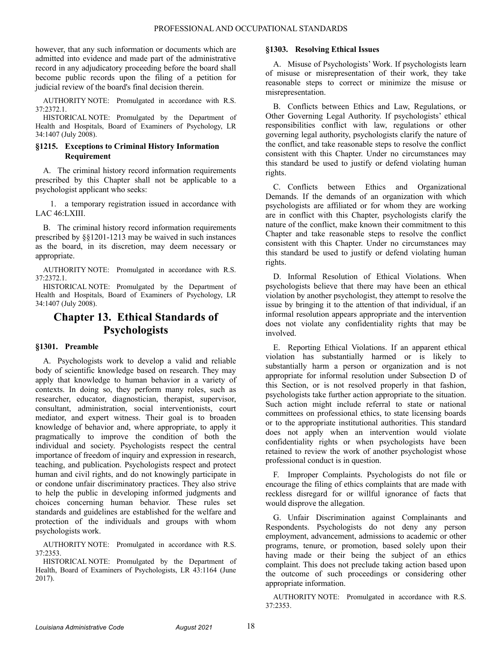however, that any such information or documents which are admitted into evidence and made part of the administrative record in any adjudicatory proceeding before the board shall become public records upon the filing of a petition for judicial review of the board's final decision therein.

AUTHORITY NOTE: Promulgated in accordance with R.S. 37:2372.1.

HISTORICAL NOTE: Promulgated by the Department of Health and Hospitals, Board of Examiners of Psychology, LR 34:1407 (July 2008).

### **§1215. Exceptions to Criminal History Information Requirement**

A. The criminal history record information requirements prescribed by this Chapter shall not be applicable to a psychologist applicant who seeks:

1. a temporary registration issued in accordance with LAC 46:LXIII.

B. The criminal history record information requirements prescribed by §§1201-1213 may be waived in such instances as the board, in its discretion, may deem necessary or appropriate.

AUTHORITY NOTE: Promulgated in accordance with R.S. 37:2372.1.

HISTORICAL NOTE: Promulgated by the Department of Health and Hospitals, Board of Examiners of Psychology, LR 34:1407 (July 2008).

## **Chapter 13. Ethical Standards of Psychologists**

### **§1301. Preamble**

A. Psychologists work to develop a valid and reliable body of scientific knowledge based on research. They may apply that knowledge to human behavior in a variety of contexts. In doing so, they perform many roles, such as researcher, educator, diagnostician, therapist, supervisor, consultant, administration, social interventionists, court mediator, and expert witness. Their goal is to broaden knowledge of behavior and, where appropriate, to apply it pragmatically to improve the condition of both the individual and society. Psychologists respect the central importance of freedom of inquiry and expression in research, teaching, and publication. Psychologists respect and protect human and civil rights, and do not knowingly participate in or condone unfair discriminatory practices. They also strive to help the public in developing informed judgments and choices concerning human behavior. These rules set standards and guidelines are established for the welfare and protection of the individuals and groups with whom psychologists work.

AUTHORITY NOTE: Promulgated in accordance with R.S. 37:2353.

HISTORICAL NOTE: Promulgated by the Department of Health, Board of Examiners of Psychologists, LR 43:1164 (June 2017).

### **§1303. Resolving Ethical Issues**

A. Misuse of Psychologists' Work. If psychologists learn of misuse or misrepresentation of their work, they take reasonable steps to correct or minimize the misuse or misrepresentation.

B. Conflicts between Ethics and Law, Regulations, or Other Governing Legal Authority. If psychologists' ethical responsibilities conflict with law, regulations or other governing legal authority, psychologists clarify the nature of the conflict, and take reasonable steps to resolve the conflict consistent with this Chapter. Under no circumstances may this standard be used to justify or defend violating human rights.

C. Conflicts between Ethics and Organizational Demands. If the demands of an organization with which psychologists are affiliated or for whom they are working are in conflict with this Chapter, psychologists clarify the nature of the conflict, make known their commitment to this Chapter and take reasonable steps to resolve the conflict consistent with this Chapter. Under no circumstances may this standard be used to justify or defend violating human rights.

D. Informal Resolution of Ethical Violations. When psychologists believe that there may have been an ethical violation by another psychologist, they attempt to resolve the issue by bringing it to the attention of that individual, if an informal resolution appears appropriate and the intervention does not violate any confidentiality rights that may be involved.

E. Reporting Ethical Violations. If an apparent ethical violation has substantially harmed or is likely to substantially harm a person or organization and is not appropriate for informal resolution under Subsection D of this Section, or is not resolved properly in that fashion, psychologists take further action appropriate to the situation. Such action might include referral to state or national committees on professional ethics, to state licensing boards or to the appropriate institutional authorities. This standard does not apply when an intervention would violate confidentiality rights or when psychologists have been retained to review the work of another psychologist whose professional conduct is in question.

F. Improper Complaints. Psychologists do not file or encourage the filing of ethics complaints that are made with reckless disregard for or willful ignorance of facts that would disprove the allegation.

G. Unfair Discrimination against Complainants and Respondents. Psychologists do not deny any person employment, advancement, admissions to academic or other programs, tenure, or promotion, based solely upon their having made or their being the subject of an ethics complaint. This does not preclude taking action based upon the outcome of such proceedings or considering other appropriate information.

AUTHORITY NOTE: Promulgated in accordance with R.S. 37:2353.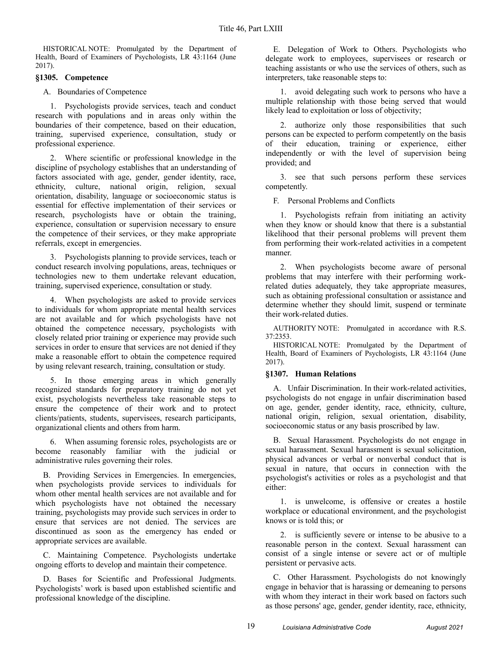HISTORICAL NOTE: Promulgated by the Department of Health, Board of Examiners of Psychologists, LR 43:1164 (June 2017).

### **§1305. Competence**

### A. Boundaries of Competence

1. Psychologists provide services, teach and conduct research with populations and in areas only within the boundaries of their competence, based on their education, training, supervised experience, consultation, study or professional experience.

2. Where scientific or professional knowledge in the discipline of psychology establishes that an understanding of factors associated with age, gender, gender identity, race, ethnicity, culture, national origin, religion, sexual orientation, disability, language or socioeconomic status is essential for effective implementation of their services or research, psychologists have or obtain the training, experience, consultation or supervision necessary to ensure the competence of their services, or they make appropriate referrals, except in emergencies.

3. Psychologists planning to provide services, teach or conduct research involving populations, areas, techniques or technologies new to them undertake relevant education, training, supervised experience, consultation or study.

4. When psychologists are asked to provide services to individuals for whom appropriate mental health services are not available and for which psychologists have not obtained the competence necessary, psychologists with closely related prior training or experience may provide such services in order to ensure that services are not denied if they make a reasonable effort to obtain the competence required by using relevant research, training, consultation or study.

5. In those emerging areas in which generally recognized standards for preparatory training do not yet exist, psychologists nevertheless take reasonable steps to ensure the competence of their work and to protect clients/patients, students, supervisees, research participants, organizational clients and others from harm.

6. When assuming forensic roles, psychologists are or become reasonably familiar with the judicial or administrative rules governing their roles.

B. Providing Services in Emergencies. In emergencies, when psychologists provide services to individuals for whom other mental health services are not available and for which psychologists have not obtained the necessary training, psychologists may provide such services in order to ensure that services are not denied. The services are discontinued as soon as the emergency has ended or appropriate services are available.

C. Maintaining Competence. Psychologists undertake ongoing efforts to develop and maintain their competence.

D. Bases for Scientific and Professional Judgments. Psychologists' work is based upon established scientific and professional knowledge of the discipline.

E. Delegation of Work to Others. Psychologists who delegate work to employees, supervisees or research or teaching assistants or who use the services of others, such as interpreters, take reasonable steps to:

1. avoid delegating such work to persons who have a multiple relationship with those being served that would likely lead to exploitation or loss of objectivity;

2. authorize only those responsibilities that such persons can be expected to perform competently on the basis of their education, training or experience, either independently or with the level of supervision being provided; and

3. see that such persons perform these services competently.

F. Personal Problems and Conflicts

1. Psychologists refrain from initiating an activity when they know or should know that there is a substantial likelihood that their personal problems will prevent them from performing their work-related activities in a competent manner.

2. When psychologists become aware of personal problems that may interfere with their performing workrelated duties adequately, they take appropriate measures, such as obtaining professional consultation or assistance and determine whether they should limit, suspend or terminate their work-related duties.

AUTHORITY NOTE: Promulgated in accordance with R.S. 37:2353.

HISTORICAL NOTE: Promulgated by the Department of Health, Board of Examiners of Psychologists, LR 43:1164 (June 2017).

### **§1307. Human Relations**

A. Unfair Discrimination. In their work-related activities, psychologists do not engage in unfair discrimination based on age, gender, gender identity, race, ethnicity, culture, national origin, religion, sexual orientation, disability, socioeconomic status or any basis proscribed by law.

B. Sexual Harassment. Psychologists do not engage in sexual harassment. Sexual harassment is sexual solicitation, physical advances or verbal or nonverbal conduct that is sexual in nature, that occurs in connection with the psychologist's activities or roles as a psychologist and that either:

1. is unwelcome, is offensive or creates a hostile workplace or educational environment, and the psychologist knows or is told this; or

2. is sufficiently severe or intense to be abusive to a reasonable person in the context. Sexual harassment can consist of a single intense or severe act or of multiple persistent or pervasive acts.

C. Other Harassment. Psychologists do not knowingly engage in behavior that is harassing or demeaning to persons with whom they interact in their work based on factors such as those persons' age, gender, gender identity, race, ethnicity,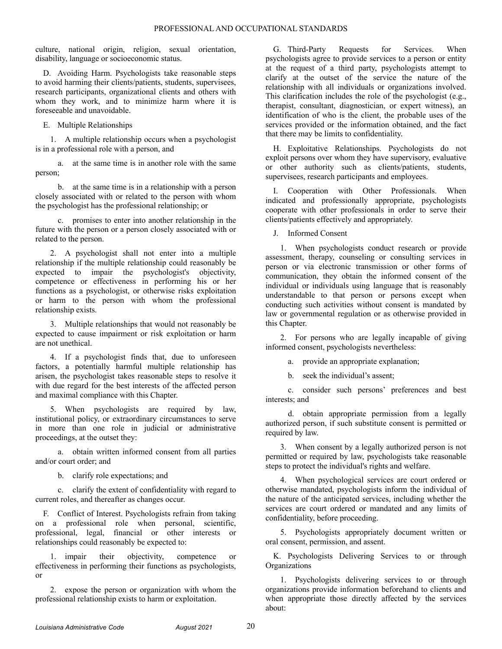culture, national origin, religion, sexual orientation, disability, language or socioeconomic status.

D. Avoiding Harm. Psychologists take reasonable steps to avoid harming their clients/patients, students, supervisees, research participants, organizational clients and others with whom they work, and to minimize harm where it is foreseeable and unavoidable.

E. Multiple Relationships

1. A multiple relationship occurs when a psychologist is in a professional role with a person, and

a. at the same time is in another role with the same person;

b. at the same time is in a relationship with a person closely associated with or related to the person with whom the psychologist has the professional relationship; or

c. promises to enter into another relationship in the future with the person or a person closely associated with or related to the person.

2. A psychologist shall not enter into a multiple relationship if the multiple relationship could reasonably be expected to impair the psychologist's objectivity, competence or effectiveness in performing his or her functions as a psychologist, or otherwise risks exploitation or harm to the person with whom the professional relationship exists.

3. Multiple relationships that would not reasonably be expected to cause impairment or risk exploitation or harm are not unethical.

4. If a psychologist finds that, due to unforeseen factors, a potentially harmful multiple relationship has arisen, the psychologist takes reasonable steps to resolve it with due regard for the best interests of the affected person and maximal compliance with this Chapter.

5. When psychologists are required by law, institutional policy, or extraordinary circumstances to serve in more than one role in judicial or administrative proceedings, at the outset they:

a. obtain written informed consent from all parties and/or court order; and

b. clarify role expectations; and

c. clarify the extent of confidentiality with regard to current roles, and thereafter as changes occur.

F. Conflict of Interest. Psychologists refrain from taking on a professional role when personal, scientific, professional, legal, financial or other interests or relationships could reasonably be expected to:

1. impair their objectivity, competence or effectiveness in performing their functions as psychologists, or

2. expose the person or organization with whom the professional relationship exists to harm or exploitation.

G. Third-Party Requests for Services. When psychologists agree to provide services to a person or entity at the request of a third party, psychologists attempt to clarify at the outset of the service the nature of the relationship with all individuals or organizations involved. This clarification includes the role of the psychologist (e.g., therapist, consultant, diagnostician, or expert witness), an identification of who is the client, the probable uses of the services provided or the information obtained, and the fact that there may be limits to confidentiality.

H. Exploitative Relationships. Psychologists do not exploit persons over whom they have supervisory, evaluative or other authority such as clients/patients, students, supervisees, research participants and employees.

I. Cooperation with Other Professionals. When indicated and professionally appropriate, psychologists cooperate with other professionals in order to serve their clients/patients effectively and appropriately.

J. Informed Consent

1. When psychologists conduct research or provide assessment, therapy, counseling or consulting services in person or via electronic transmission or other forms of communication, they obtain the informed consent of the individual or individuals using language that is reasonably understandable to that person or persons except when conducting such activities without consent is mandated by law or governmental regulation or as otherwise provided in this Chapter.

2. For persons who are legally incapable of giving informed consent, psychologists nevertheless:

a. provide an appropriate explanation;

b. seek the individual's assent;

c. consider such persons' preferences and best interests; and

d. obtain appropriate permission from a legally authorized person, if such substitute consent is permitted or required by law.

3. When consent by a legally authorized person is not permitted or required by law, psychologists take reasonable steps to protect the individual's rights and welfare.

4. When psychological services are court ordered or otherwise mandated, psychologists inform the individual of the nature of the anticipated services, including whether the services are court ordered or mandated and any limits of confidentiality, before proceeding.

5. Psychologists appropriately document written or oral consent, permission, and assent.

K. Psychologists Delivering Services to or through **Organizations** 

1. Psychologists delivering services to or through organizations provide information beforehand to clients and when appropriate those directly affected by the services about: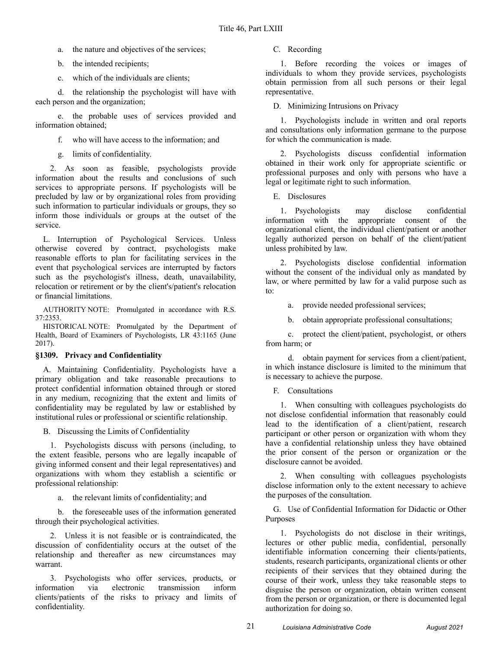- a. the nature and objectives of the services;
- b. the intended recipients;
- c. which of the individuals are clients;

d. the relationship the psychologist will have with each person and the organization;

e. the probable uses of services provided and information obtained;

- f. who will have access to the information; and
- g. limits of confidentiality.

2. As soon as feasible, psychologists provide information about the results and conclusions of such services to appropriate persons. If psychologists will be precluded by law or by organizational roles from providing such information to particular individuals or groups, they so inform those individuals or groups at the outset of the service.

L. Interruption of Psychological Services. Unless otherwise covered by contract, psychologists make reasonable efforts to plan for facilitating services in the event that psychological services are interrupted by factors such as the psychologist's illness, death, unavailability, relocation or retirement or by the client's/patient's relocation or financial limitations.

AUTHORITY NOTE: Promulgated in accordance with R.S. 37:2353.

HISTORICAL NOTE: Promulgated by the Department of Health, Board of Examiners of Psychologists, LR 43:1165 (June 2017).

#### **§1309. Privacy and Confidentiality**

A. Maintaining Confidentiality. Psychologists have a primary obligation and take reasonable precautions to protect confidential information obtained through or stored in any medium, recognizing that the extent and limits of confidentiality may be regulated by law or established by institutional rules or professional or scientific relationship.

B. Discussing the Limits of Confidentiality

1. Psychologists discuss with persons (including, to the extent feasible, persons who are legally incapable of giving informed consent and their legal representatives) and organizations with whom they establish a scientific or professional relationship:

a. the relevant limits of confidentiality; and

b. the foreseeable uses of the information generated through their psychological activities.

2. Unless it is not feasible or is contraindicated, the discussion of confidentiality occurs at the outset of the relationship and thereafter as new circumstances may warrant.

3. Psychologists who offer services, products, or information via electronic transmission inform clients/patients of the risks to privacy and limits of confidentiality.

C. Recording

1. Before recording the voices or images of individuals to whom they provide services, psychologists obtain permission from all such persons or their legal representative.

D. Minimizing Intrusions on Privacy

1. Psychologists include in written and oral reports and consultations only information germane to the purpose for which the communication is made.

2. Psychologists discuss confidential information obtained in their work only for appropriate scientific or professional purposes and only with persons who have a legal or legitimate right to such information.

E. Disclosures

1. Psychologists may disclose confidential information with the appropriate consent of the organizational client, the individual client/patient or another legally authorized person on behalf of the client/patient unless prohibited by law.

2. Psychologists disclose confidential information without the consent of the individual only as mandated by law, or where permitted by law for a valid purpose such as to:

a. provide needed professional services;

b. obtain appropriate professional consultations;

c. protect the client/patient, psychologist, or others from harm; or

d. obtain payment for services from a client/patient, in which instance disclosure is limited to the minimum that is necessary to achieve the purpose.

F. Consultations

1. When consulting with colleagues psychologists do not disclose confidential information that reasonably could lead to the identification of a client/patient, research participant or other person or organization with whom they have a confidential relationship unless they have obtained the prior consent of the person or organization or the disclosure cannot be avoided.

2. When consulting with colleagues psychologists disclose information only to the extent necessary to achieve the purposes of the consultation.

G. Use of Confidential Information for Didactic or Other Purposes

1. Psychologists do not disclose in their writings, lectures or other public media, confidential, personally identifiable information concerning their clients/patients, students, research participants, organizational clients or other recipients of their services that they obtained during the course of their work, unless they take reasonable steps to disguise the person or organization, obtain written consent from the person or organization, or there is documented legal authorization for doing so.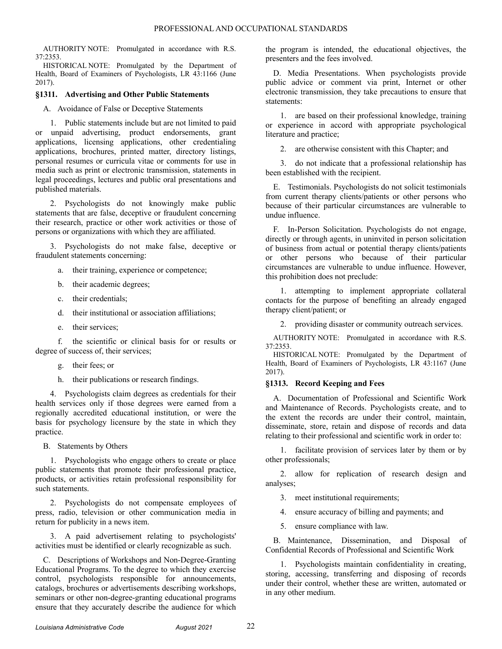AUTHORITY NOTE: Promulgated in accordance with R.S. 37:2353.

HISTORICAL NOTE: Promulgated by the Department of Health, Board of Examiners of Psychologists, LR 43:1166 (June 2017).

#### **§1311. Advertising and Other Public Statements**

A. Avoidance of False or Deceptive Statements

1. Public statements include but are not limited to paid or unpaid advertising, product endorsements, grant applications, licensing applications, other credentialing applications, brochures, printed matter, directory listings, personal resumes or curricula vitae or comments for use in media such as print or electronic transmission, statements in legal proceedings, lectures and public oral presentations and published materials.

2. Psychologists do not knowingly make public statements that are false, deceptive or fraudulent concerning their research, practice or other work activities or those of persons or organizations with which they are affiliated.

3. Psychologists do not make false, deceptive or fraudulent statements concerning:

- a. their training, experience or competence;
- b. their academic degrees;
- c. their credentials;
- d. their institutional or association affiliations;
- e. their services;

f. the scientific or clinical basis for or results or degree of success of, their services;

g. their fees; or

h. their publications or research findings.

4. Psychologists claim degrees as credentials for their health services only if those degrees were earned from a regionally accredited educational institution, or were the basis for psychology licensure by the state in which they practice.

B. Statements by Others

1. Psychologists who engage others to create or place public statements that promote their professional practice, products, or activities retain professional responsibility for such statements.

2. Psychologists do not compensate employees of press, radio, television or other communication media in return for publicity in a news item.

3. A paid advertisement relating to psychologists' activities must be identified or clearly recognizable as such.

C. Descriptions of Workshops and Non-Degree-Granting Educational Programs. To the degree to which they exercise control, psychologists responsible for announcements, catalogs, brochures or advertisements describing workshops, seminars or other non-degree-granting educational programs ensure that they accurately describe the audience for which the program is intended, the educational objectives, the presenters and the fees involved.

D. Media Presentations. When psychologists provide public advice or comment via print, Internet or other electronic transmission, they take precautions to ensure that statements:

1. are based on their professional knowledge, training or experience in accord with appropriate psychological literature and practice;

2. are otherwise consistent with this Chapter; and

3. do not indicate that a professional relationship has been established with the recipient.

E. Testimonials. Psychologists do not solicit testimonials from current therapy clients/patients or other persons who because of their particular circumstances are vulnerable to undue influence.

F. In-Person Solicitation. Psychologists do not engage, directly or through agents, in uninvited in person solicitation of business from actual or potential therapy clients/patients or other persons who because of their particular circumstances are vulnerable to undue influence. However, this prohibition does not preclude:

1. attempting to implement appropriate collateral contacts for the purpose of benefiting an already engaged therapy client/patient; or

2. providing disaster or community outreach services.

AUTHORITY NOTE: Promulgated in accordance with R.S. 37:2353.

HISTORICAL NOTE: Promulgated by the Department of Health, Board of Examiners of Psychologists, LR 43:1167 (June 2017).

### **§1313. Record Keeping and Fees**

A. Documentation of Professional and Scientific Work and Maintenance of Records. Psychologists create, and to the extent the records are under their control, maintain, disseminate, store, retain and dispose of records and data relating to their professional and scientific work in order to:

1. facilitate provision of services later by them or by other professionals;

2. allow for replication of research design and analyses;

- 3. meet institutional requirements;
- 4. ensure accuracy of billing and payments; and
- 5. ensure compliance with law.

B. Maintenance, Dissemination, and Disposal of Confidential Records of Professional and Scientific Work

1. Psychologists maintain confidentiality in creating, storing, accessing, transferring and disposing of records under their control, whether these are written, automated or in any other medium.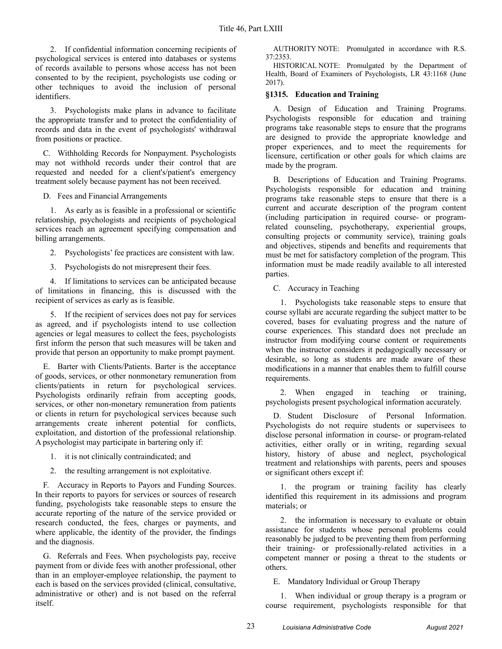2. If confidential information concerning recipients of psychological services is entered into databases or systems of records available to persons whose access has not been consented to by the recipient, psychologists use coding or other techniques to avoid the inclusion of personal identifiers.

3. Psychologists make plans in advance to facilitate the appropriate transfer and to protect the confidentiality of records and data in the event of psychologists' withdrawal from positions or practice.

C. Withholding Records for Nonpayment. Psychologists may not withhold records under their control that are requested and needed for a client's/patient's emergency treatment solely because payment has not been received.

D. Fees and Financial Arrangements

1. As early as is feasible in a professional or scientific relationship, psychologists and recipients of psychological services reach an agreement specifying compensation and billing arrangements.

2. Psychologists' fee practices are consistent with law.

3. Psychologists do not misrepresent their fees.

4. If limitations to services can be anticipated because of limitations in financing, this is discussed with the recipient of services as early as is feasible.

5. If the recipient of services does not pay for services as agreed, and if psychologists intend to use collection agencies or legal measures to collect the fees, psychologists first inform the person that such measures will be taken and provide that person an opportunity to make prompt payment.

E. Barter with Clients/Patients. Barter is the acceptance of goods, services, or other nonmonetary remuneration from clients/patients in return for psychological services. Psychologists ordinarily refrain from accepting goods, services, or other non-monetary remuneration from patients or clients in return for psychological services because such arrangements create inherent potential for conflicts, exploitation, and distortion of the professional relationship. A psychologist may participate in bartering only if:

- 1. it is not clinically contraindicated; and
- 2. the resulting arrangement is not exploitative.

F. Accuracy in Reports to Payors and Funding Sources. In their reports to payors for services or sources of research funding, psychologists take reasonable steps to ensure the accurate reporting of the nature of the service provided or research conducted, the fees, charges or payments, and where applicable, the identity of the provider, the findings and the diagnosis.

G. Referrals and Fees. When psychologists pay, receive payment from or divide fees with another professional, other than in an employer-employee relationship, the payment to each is based on the services provided (clinical, consultative, administrative or other) and is not based on the referral itself.

AUTHORITY NOTE: Promulgated in accordance with R.S. 37:2353.

HISTORICAL NOTE: Promulgated by the Department of Health, Board of Examiners of Psychologists, LR 43:1168 (June 2017).

### **§1315. Education and Training**

A. Design of Education and Training Programs. Psychologists responsible for education and training programs take reasonable steps to ensure that the programs are designed to provide the appropriate knowledge and proper experiences, and to meet the requirements for licensure, certification or other goals for which claims are made by the program.

B. Descriptions of Education and Training Programs. Psychologists responsible for education and training programs take reasonable steps to ensure that there is a current and accurate description of the program content (including participation in required course- or programrelated counseling, psychotherapy, experiential groups, consulting projects or community service), training goals and objectives, stipends and benefits and requirements that must be met for satisfactory completion of the program. This information must be made readily available to all interested parties.

C. Accuracy in Teaching

1. Psychologists take reasonable steps to ensure that course syllabi are accurate regarding the subject matter to be covered, bases for evaluating progress and the nature of course experiences. This standard does not preclude an instructor from modifying course content or requirements when the instructor considers it pedagogically necessary or desirable, so long as students are made aware of these modifications in a manner that enables them to fulfill course requirements.

2. When engaged in teaching or training, psychologists present psychological information accurately.

D. Student Disclosure of Personal Information. Psychologists do not require students or supervisees to disclose personal information in course- or program-related activities, either orally or in writing, regarding sexual history, history of abuse and neglect, psychological treatment and relationships with parents, peers and spouses or significant others except if:

1. the program or training facility has clearly identified this requirement in its admissions and program materials; or

2. the information is necessary to evaluate or obtain assistance for students whose personal problems could reasonably be judged to be preventing them from performing their training- or professionally-related activities in a competent manner or posing a threat to the students or others.

E. Mandatory Individual or Group Therapy

1. When individual or group therapy is a program or course requirement, psychologists responsible for that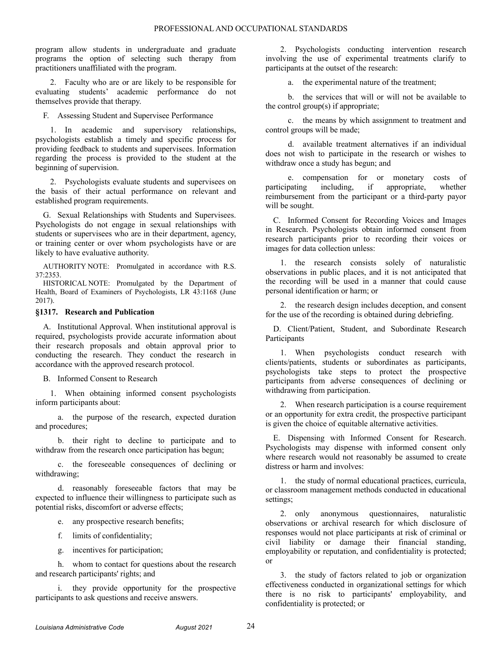program allow students in undergraduate and graduate programs the option of selecting such therapy from practitioners unaffiliated with the program.

2. Faculty who are or are likely to be responsible for evaluating students' academic performance do not themselves provide that therapy.

F. Assessing Student and Supervisee Performance

1. In academic and supervisory relationships, psychologists establish a timely and specific process for providing feedback to students and supervisees. Information regarding the process is provided to the student at the beginning of supervision.

2. Psychologists evaluate students and supervisees on the basis of their actual performance on relevant and established program requirements.

G. Sexual Relationships with Students and Supervisees. Psychologists do not engage in sexual relationships with students or supervisees who are in their department, agency, or training center or over whom psychologists have or are likely to have evaluative authority.

AUTHORITY NOTE: Promulgated in accordance with R.S. 37:2353.

HISTORICAL NOTE: Promulgated by the Department of Health, Board of Examiners of Psychologists, LR 43:1168 (June 2017).

### **§1317. Research and Publication**

A. Institutional Approval. When institutional approval is required, psychologists provide accurate information about their research proposals and obtain approval prior to conducting the research. They conduct the research in accordance with the approved research protocol.

B. Informed Consent to Research

1. When obtaining informed consent psychologists inform participants about:

a. the purpose of the research, expected duration and procedures;

b. their right to decline to participate and to withdraw from the research once participation has begun;

c. the foreseeable consequences of declining or withdrawing;

d. reasonably foreseeable factors that may be expected to influence their willingness to participate such as potential risks, discomfort or adverse effects;

- e. any prospective research benefits;
- f. limits of confidentiality;
- g. incentives for participation;

h. whom to contact for questions about the research and research participants' rights; and

i. they provide opportunity for the prospective participants to ask questions and receive answers.

2. Psychologists conducting intervention research involving the use of experimental treatments clarify to participants at the outset of the research:

a. the experimental nature of the treatment;

b. the services that will or will not be available to the control group(s) if appropriate;

c. the means by which assignment to treatment and control groups will be made;

d. available treatment alternatives if an individual does not wish to participate in the research or wishes to withdraw once a study has begun; and

e. compensation for or monetary costs of participating including, if appropriate, whether reimbursement from the participant or a third-party payor will be sought.

C. Informed Consent for Recording Voices and Images in Research. Psychologists obtain informed consent from research participants prior to recording their voices or images for data collection unless:

1. the research consists solely of naturalistic observations in public places, and it is not anticipated that the recording will be used in a manner that could cause personal identification or harm; or

2. the research design includes deception, and consent for the use of the recording is obtained during debriefing.

D. Client/Patient, Student, and Subordinate Research Participants

1. When psychologists conduct research with clients/patients, students or subordinates as participants, psychologists take steps to protect the prospective participants from adverse consequences of declining or withdrawing from participation.

2. When research participation is a course requirement or an opportunity for extra credit, the prospective participant is given the choice of equitable alternative activities.

E. Dispensing with Informed Consent for Research. Psychologists may dispense with informed consent only where research would not reasonably be assumed to create distress or harm and involves:

1. the study of normal educational practices, curricula, or classroom management methods conducted in educational settings;

2. only anonymous questionnaires, naturalistic observations or archival research for which disclosure of responses would not place participants at risk of criminal or civil liability or damage their financial standing, employability or reputation, and confidentiality is protected; or

3. the study of factors related to job or organization effectiveness conducted in organizational settings for which there is no risk to participants' employability, and confidentiality is protected; or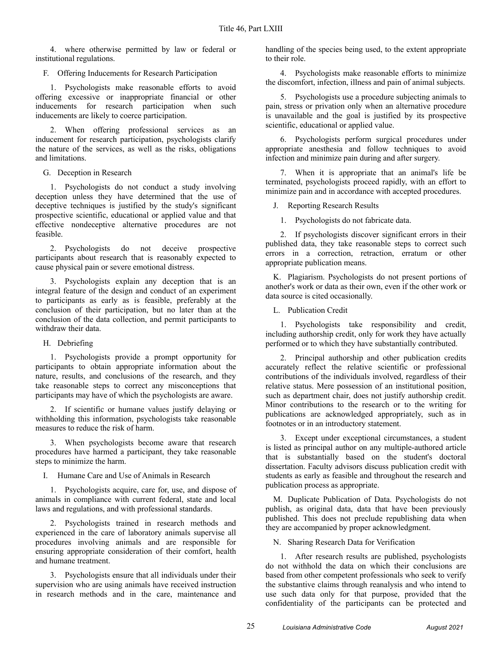4. where otherwise permitted by law or federal or institutional regulations.

F. Offering Inducements for Research Participation

1. Psychologists make reasonable efforts to avoid offering excessive or inappropriate financial or other inducements for research participation when such inducements are likely to coerce participation.

2. When offering professional services as an inducement for research participation, psychologists clarify the nature of the services, as well as the risks, obligations and limitations.

G. Deception in Research

1. Psychologists do not conduct a study involving deception unless they have determined that the use of deceptive techniques is justified by the study's significant prospective scientific, educational or applied value and that effective nondeceptive alternative procedures are not feasible.

2. Psychologists do not deceive prospective participants about research that is reasonably expected to cause physical pain or severe emotional distress.

3. Psychologists explain any deception that is an integral feature of the design and conduct of an experiment to participants as early as is feasible, preferably at the conclusion of their participation, but no later than at the conclusion of the data collection, and permit participants to withdraw their data.

H. Debriefing

1. Psychologists provide a prompt opportunity for participants to obtain appropriate information about the nature, results, and conclusions of the research, and they take reasonable steps to correct any misconceptions that participants may have of which the psychologists are aware.

2. If scientific or humane values justify delaying or withholding this information, psychologists take reasonable measures to reduce the risk of harm.

3. When psychologists become aware that research procedures have harmed a participant, they take reasonable steps to minimize the harm.

I. Humane Care and Use of Animals in Research

1. Psychologists acquire, care for, use, and dispose of animals in compliance with current federal, state and local laws and regulations, and with professional standards.

2. Psychologists trained in research methods and experienced in the care of laboratory animals supervise all procedures involving animals and are responsible for ensuring appropriate consideration of their comfort, health and humane treatment.

3. Psychologists ensure that all individuals under their supervision who are using animals have received instruction in research methods and in the care, maintenance and handling of the species being used, to the extent appropriate to their role.

4. Psychologists make reasonable efforts to minimize the discomfort, infection, illness and pain of animal subjects.

5. Psychologists use a procedure subjecting animals to pain, stress or privation only when an alternative procedure is unavailable and the goal is justified by its prospective scientific, educational or applied value.

6. Psychologists perform surgical procedures under appropriate anesthesia and follow techniques to avoid infection and minimize pain during and after surgery.

7. When it is appropriate that an animal's life be terminated, psychologists proceed rapidly, with an effort to minimize pain and in accordance with accepted procedures.

J. Reporting Research Results

1. Psychologists do not fabricate data.

2. If psychologists discover significant errors in their published data, they take reasonable steps to correct such errors in a correction, retraction, erratum or other appropriate publication means.

K. Plagiarism. Psychologists do not present portions of another's work or data as their own, even if the other work or data source is cited occasionally.

L. Publication Credit

1. Psychologists take responsibility and credit, including authorship credit, only for work they have actually performed or to which they have substantially contributed.

2. Principal authorship and other publication credits accurately reflect the relative scientific or professional contributions of the individuals involved, regardless of their relative status. Mere possession of an institutional position, such as department chair, does not justify authorship credit. Minor contributions to the research or to the writing for publications are acknowledged appropriately, such as in footnotes or in an introductory statement.

3. Except under exceptional circumstances, a student is listed as principal author on any multiple-authored article that is substantially based on the student's doctoral dissertation. Faculty advisors discuss publication credit with students as early as feasible and throughout the research and publication process as appropriate.

M. Duplicate Publication of Data. Psychologists do not publish, as original data, data that have been previously published. This does not preclude republishing data when they are accompanied by proper acknowledgment.

N. Sharing Research Data for Verification

1. After research results are published, psychologists do not withhold the data on which their conclusions are based from other competent professionals who seek to verify the substantive claims through reanalysis and who intend to use such data only for that purpose, provided that the confidentiality of the participants can be protected and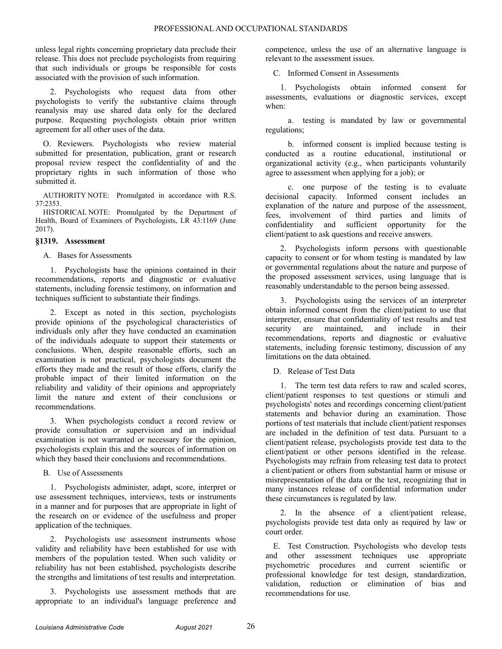unless legal rights concerning proprietary data preclude their release. This does not preclude psychologists from requiring that such individuals or groups be responsible for costs associated with the provision of such information.

2. Psychologists who request data from other psychologists to verify the substantive claims through reanalysis may use shared data only for the declared purpose. Requesting psychologists obtain prior written agreement for all other uses of the data.

O. Reviewers. Psychologists who review material submitted for presentation, publication, grant or research proposal review respect the confidentiality of and the proprietary rights in such information of those who submitted it.

AUTHORITY NOTE: Promulgated in accordance with R.S. 37:2353.

HISTORICAL NOTE: Promulgated by the Department of Health, Board of Examiners of Psychologists, LR 43:1169 (June 2017).

### **§1319. Assessment**

A. Bases for Assessments

1. Psychologists base the opinions contained in their recommendations, reports and diagnostic or evaluative statements, including forensic testimony, on information and techniques sufficient to substantiate their findings.

2. Except as noted in this section, psychologists provide opinions of the psychological characteristics of individuals only after they have conducted an examination of the individuals adequate to support their statements or conclusions. When, despite reasonable efforts, such an examination is not practical, psychologists document the efforts they made and the result of those efforts, clarify the probable impact of their limited information on the reliability and validity of their opinions and appropriately limit the nature and extent of their conclusions or recommendations.

3. When psychologists conduct a record review or provide consultation or supervision and an individual examination is not warranted or necessary for the opinion, psychologists explain this and the sources of information on which they based their conclusions and recommendations.

B. Use of Assessments

1. Psychologists administer, adapt, score, interpret or use assessment techniques, interviews, tests or instruments in a manner and for purposes that are appropriate in light of the research on or evidence of the usefulness and proper application of the techniques.

2. Psychologists use assessment instruments whose validity and reliability have been established for use with members of the population tested. When such validity or reliability has not been established, psychologists describe the strengths and limitations of test results and interpretation.

3. Psychologists use assessment methods that are appropriate to an individual's language preference and competence, unless the use of an alternative language is relevant to the assessment issues.

C. Informed Consent in Assessments

1. Psychologists obtain informed consent for assessments, evaluations or diagnostic services, except when:

a. testing is mandated by law or governmental regulations;

b. informed consent is implied because testing is conducted as a routine educational, institutional or organizational activity (e.g., when participants voluntarily agree to assessment when applying for a job); or

c. one purpose of the testing is to evaluate decisional capacity. Informed consent includes an explanation of the nature and purpose of the assessment, fees, involvement of third parties and limits of confidentiality and sufficient opportunity for the client/patient to ask questions and receive answers.

2. Psychologists inform persons with questionable capacity to consent or for whom testing is mandated by law or governmental regulations about the nature and purpose of the proposed assessment services, using language that is reasonably understandable to the person being assessed.

3. Psychologists using the services of an interpreter obtain informed consent from the client/patient to use that interpreter, ensure that confidentiality of test results and test security are maintained, and include in their recommendations, reports and diagnostic or evaluative statements, including forensic testimony, discussion of any limitations on the data obtained.

D. Release of Test Data

1. The term test data refers to raw and scaled scores, client/patient responses to test questions or stimuli and psychologists' notes and recordings concerning client/patient statements and behavior during an examination. Those portions of test materials that include client/patient responses are included in the definition of test data. Pursuant to a client/patient release, psychologists provide test data to the client/patient or other persons identified in the release. Psychologists may refrain from releasing test data to protect a client/patient or others from substantial harm or misuse or misrepresentation of the data or the test, recognizing that in many instances release of confidential information under these circumstances is regulated by law.

2. In the absence of a client/patient release, psychologists provide test data only as required by law or court order.

E. Test Construction. Psychologists who develop tests and other assessment techniques use appropriate psychometric procedures and current scientific or professional knowledge for test design, standardization, validation, reduction or elimination of bias and recommendations for use.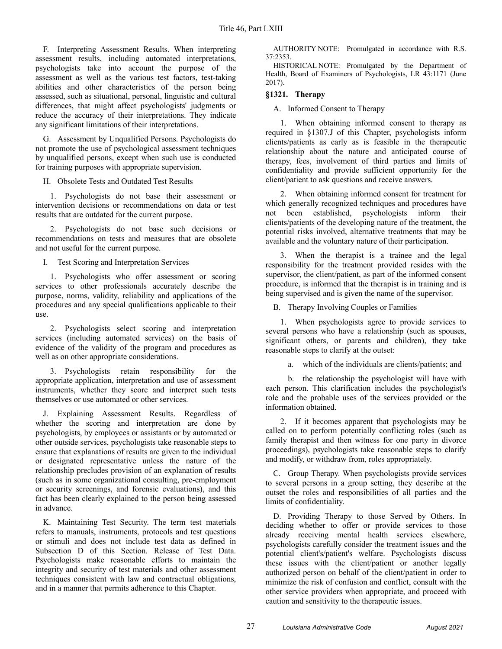F. Interpreting Assessment Results. When interpreting assessment results, including automated interpretations, psychologists take into account the purpose of the assessment as well as the various test factors, test-taking abilities and other characteristics of the person being assessed, such as situational, personal, linguistic and cultural differences, that might affect psychologists' judgments or reduce the accuracy of their interpretations. They indicate any significant limitations of their interpretations.

G. Assessment by Unqualified Persons. Psychologists do not promote the use of psychological assessment techniques by unqualified persons, except when such use is conducted for training purposes with appropriate supervision.

H. Obsolete Tests and Outdated Test Results

1. Psychologists do not base their assessment or intervention decisions or recommendations on data or test results that are outdated for the current purpose.

2. Psychologists do not base such decisions or recommendations on tests and measures that are obsolete and not useful for the current purpose.

I. Test Scoring and Interpretation Services

1. Psychologists who offer assessment or scoring services to other professionals accurately describe the purpose, norms, validity, reliability and applications of the procedures and any special qualifications applicable to their use.

2. Psychologists select scoring and interpretation services (including automated services) on the basis of evidence of the validity of the program and procedures as well as on other appropriate considerations.

3. Psychologists retain responsibility for the appropriate application, interpretation and use of assessment instruments, whether they score and interpret such tests themselves or use automated or other services.

J. Explaining Assessment Results. Regardless of whether the scoring and interpretation are done by psychologists, by employees or assistants or by automated or other outside services, psychologists take reasonable steps to ensure that explanations of results are given to the individual or designated representative unless the nature of the relationship precludes provision of an explanation of results (such as in some organizational consulting, pre-employment or security screenings, and forensic evaluations), and this fact has been clearly explained to the person being assessed in advance.

K. Maintaining Test Security. The term test materials refers to manuals, instruments, protocols and test questions or stimuli and does not include test data as defined in Subsection D of this Section. Release of Test Data. Psychologists make reasonable efforts to maintain the integrity and security of test materials and other assessment techniques consistent with law and contractual obligations, and in a manner that permits adherence to this Chapter.

AUTHORITY NOTE: Promulgated in accordance with R.S. 37:2353.

HISTORICAL NOTE: Promulgated by the Department of Health, Board of Examiners of Psychologists, LR 43:1171 (June 2017).

### **§1321. Therapy**

A. Informed Consent to Therapy

1. When obtaining informed consent to therapy as required in §1307.J of this Chapter, psychologists inform clients/patients as early as is feasible in the therapeutic relationship about the nature and anticipated course of therapy, fees, involvement of third parties and limits of confidentiality and provide sufficient opportunity for the client/patient to ask questions and receive answers.

2. When obtaining informed consent for treatment for which generally recognized techniques and procedures have not been established, psychologists inform their clients/patients of the developing nature of the treatment, the potential risks involved, alternative treatments that may be available and the voluntary nature of their participation.

3. When the therapist is a trainee and the legal responsibility for the treatment provided resides with the supervisor, the client/patient, as part of the informed consent procedure, is informed that the therapist is in training and is being supervised and is given the name of the supervisor.

B. Therapy Involving Couples or Families

1. When psychologists agree to provide services to several persons who have a relationship (such as spouses, significant others, or parents and children), they take reasonable steps to clarify at the outset:

a. which of the individuals are clients/patients; and

b. the relationship the psychologist will have with each person. This clarification includes the psychologist's role and the probable uses of the services provided or the information obtained.

2. If it becomes apparent that psychologists may be called on to perform potentially conflicting roles (such as family therapist and then witness for one party in divorce proceedings), psychologists take reasonable steps to clarify and modify, or withdraw from, roles appropriately.

C. Group Therapy. When psychologists provide services to several persons in a group setting, they describe at the outset the roles and responsibilities of all parties and the limits of confidentiality.

D. Providing Therapy to those Served by Others. In deciding whether to offer or provide services to those already receiving mental health services elsewhere, psychologists carefully consider the treatment issues and the potential client's/patient's welfare. Psychologists discuss these issues with the client/patient or another legally authorized person on behalf of the client/patient in order to minimize the risk of confusion and conflict, consult with the other service providers when appropriate, and proceed with caution and sensitivity to the therapeutic issues.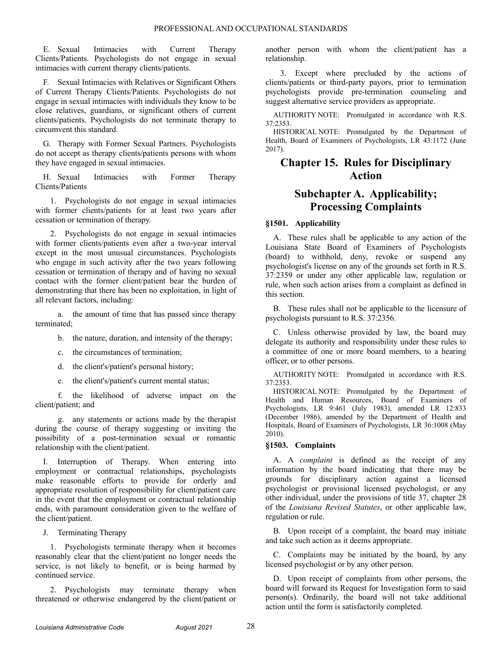E. Sexual Intimacies with Current Therapy Clients/Patients. Psychologists do not engage in sexual intimacies with current therapy clients/patients.

F. Sexual Intimacies with Relatives or Significant Others of Current Therapy Clients/Patients. Psychologists do not engage in sexual intimacies with individuals they know to be close relatives, guardians, or significant others of current clients/patients. Psychologists do not terminate therapy to circumvent this standard.

G. Therapy with Former Sexual Partners. Psychologists do not accept as therapy clients/patients persons with whom they have engaged in sexual intimacies.

H. Sexual Intimacies with Former Therapy Clients/Patients

1. Psychologists do not engage in sexual intimacies with former clients/patients for at least two years after cessation or termination of therapy.

2. Psychologists do not engage in sexual intimacies with former clients/patients even after a two-year interval except in the most unusual circumstances. Psychologists who engage in such activity after the two years following cessation or termination of therapy and of having no sexual contact with the former client/patient bear the burden of demonstrating that there has been no exploitation, in light of all relevant factors, including:

a. the amount of time that has passed since therapy terminated;

- b. the nature, duration, and intensity of the therapy;
- c. the circumstances of termination;
- d. the client's/patient's personal history;
- e. the client's/patient's current mental status;

f. the likelihood of adverse impact on the client/patient; and

g. any statements or actions made by the therapist during the course of therapy suggesting or inviting the possibility of a post-termination sexual or romantic relationship with the client/patient.

I. Interruption of Therapy. When entering into employment or contractual relationships, psychologists make reasonable efforts to provide for orderly and appropriate resolution of responsibility for client/patient care in the event that the employment or contractual relationship ends, with paramount consideration given to the welfare of the client/patient.

J. Terminating Therapy

1. Psychologists terminate therapy when it becomes reasonably clear that the client/patient no longer needs the service, is not likely to benefit, or is being harmed by continued service.

2. Psychologists may terminate therapy when threatened or otherwise endangered by the client/patient or another person with whom the client/patient has a relationship.

3. Except where precluded by the actions of clients/patients or third-party payors, prior to termination psychologists provide pre-termination counseling and suggest alternative service providers as appropriate.

AUTHORITY NOTE: Promulgated in accordance with R.S. 37:2353.

HISTORICAL NOTE: Promulgated by the Department of Health, Board of Examiners of Psychologists, LR 43:1172 (June 2017).

## **Chapter 15. Rules for Disciplinary Action**

## **Subchapter A. Applicability; Processing Complaints**

### **§1501. Applicability**

A. These rules shall be applicable to any action of the Louisiana State Board of Examiners of Psychologists (board) to withhold, deny, revoke or suspend any psychologist's license on any of the grounds set forth in R.S. 37:2359 or under any other applicable law, regulation or rule, when such action arises from a complaint as defined in this section.

B. These rules shall not be applicable to the licensure of psychologists pursuant to R.S. 37:2356.

C. Unless otherwise provided by law, the board may delegate its authority and responsibility under these rules to a committee of one or more board members, to a hearing officer, or to other persons.

AUTHORITY NOTE: Promulgated in accordance with R.S. 37:2353.

HISTORICAL NOTE: Promulgated by the Department of Health and Human Resources, Board of Examiners of Psychologists, LR 9:461 (July 1983), amended LR 12:833 (December 1986), amended by the Department of Health and Hospitals, Board of Examiners of Psychologists, LR 36:1008 (May 2010).

### **§1503. Complaints**

A. A *complaint* is defined as the receipt of any information by the board indicating that there may be grounds for disciplinary action against a licensed psychologist or provisional licensed psychologist, or any other individual, under the provisions of title 37, chapter 28 of the *Louisiana Revised Statutes*, or other applicable law, regulation or rule.

B. Upon receipt of a complaint, the board may initiate and take such action as it deems appropriate.

C. Complaints may be initiated by the board, by any licensed psychologist or by any other person.

D. Upon receipt of complaints from other persons, the board will forward its Request for Investigation form to said person(s). Ordinarily, the board will not take additional action until the form is satisfactorily completed.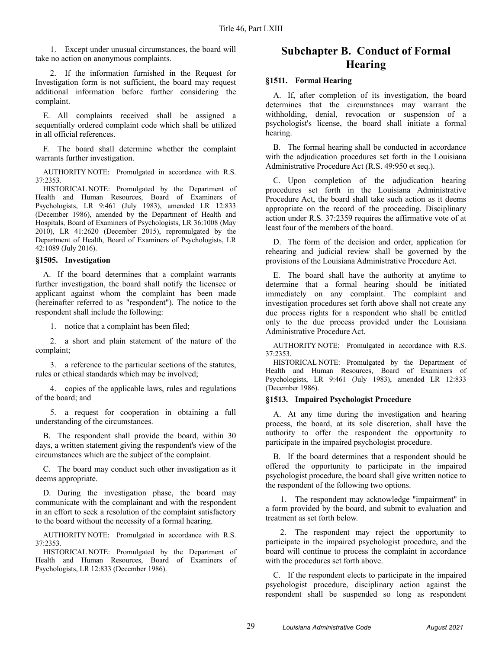1. Except under unusual circumstances, the board will take no action on anonymous complaints.

2. If the information furnished in the Request for Investigation form is not sufficient, the board may request additional information before further considering the complaint.

E. All complaints received shall be assigned a sequentially ordered complaint code which shall be utilized in all official references.

F. The board shall determine whether the complaint warrants further investigation.

AUTHORITY NOTE: Promulgated in accordance with R.S. 37:2353.

HISTORICAL NOTE: Promulgated by the Department of Health and Human Resources, Board of Examiners of Psychologists, LR 9:461 (July 1983), amended LR 12:833 (December 1986), amended by the Department of Health and Hospitals, Board of Examiners of Psychologists, LR 36:1008 (May 2010), LR 41:2620 (December 2015), repromulgated by the Department of Health, Board of Examiners of Psychologists, LR 42:1089 (July 2016).

### **§1505. Investigation**

A. If the board determines that a complaint warrants further investigation, the board shall notify the licensee or applicant against whom the complaint has been made (hereinafter referred to as "respondent"). The notice to the respondent shall include the following:

1. notice that a complaint has been filed;

2. a short and plain statement of the nature of the complaint;

3. a reference to the particular sections of the statutes, rules or ethical standards which may be involved;

4. copies of the applicable laws, rules and regulations of the board; and

5. a request for cooperation in obtaining a full understanding of the circumstances.

B. The respondent shall provide the board, within 30 days, a written statement giving the respondent's view of the circumstances which are the subject of the complaint.

C. The board may conduct such other investigation as it deems appropriate.

D. During the investigation phase, the board may communicate with the complainant and with the respondent in an effort to seek a resolution of the complaint satisfactory to the board without the necessity of a formal hearing.

AUTHORITY NOTE: Promulgated in accordance with R.S. 37:2353.

HISTORICAL NOTE: Promulgated by the Department of Health and Human Resources, Board of Examiners of Psychologists, LR 12:833 (December 1986).

## **Subchapter B. Conduct of Formal Hearing**

### **§1511. Formal Hearing**

A. If, after completion of its investigation, the board determines that the circumstances may warrant the withholding, denial, revocation or suspension of a psychologist's license, the board shall initiate a formal hearing.

B. The formal hearing shall be conducted in accordance with the adjudication procedures set forth in the Louisiana Administrative Procedure Act (R.S. 49:950 et seq.).

C. Upon completion of the adjudication hearing procedures set forth in the Louisiana Administrative Procedure Act, the board shall take such action as it deems appropriate on the record of the proceeding. Disciplinary action under R.S. 37:2359 requires the affirmative vote of at least four of the members of the board.

D. The form of the decision and order, application for rehearing and judicial review shall be governed by the provisions of the Louisiana Administrative Procedure Act.

E. The board shall have the authority at anytime to determine that a formal hearing should be initiated immediately on any complaint. The complaint and investigation procedures set forth above shall not create any due process rights for a respondent who shall be entitled only to the due process provided under the Louisiana Administrative Procedure Act.

AUTHORITY NOTE: Promulgated in accordance with R.S. 37:2353.

HISTORICAL NOTE: Promulgated by the Department of Health and Human Resources, Board of Examiners of Psychologists, LR 9:461 (July 1983), amended LR 12:833 (December 1986).

### **§1513. Impaired Psychologist Procedure**

A. At any time during the investigation and hearing process, the board, at its sole discretion, shall have the authority to offer the respondent the opportunity to participate in the impaired psychologist procedure.

B. If the board determines that a respondent should be offered the opportunity to participate in the impaired psychologist procedure, the board shall give written notice to the respondent of the following two options.

1. The respondent may acknowledge "impairment" in a form provided by the board, and submit to evaluation and treatment as set forth below.

2. The respondent may reject the opportunity to participate in the impaired psychologist procedure, and the board will continue to process the complaint in accordance with the procedures set forth above.

C. If the respondent elects to participate in the impaired psychologist procedure, disciplinary action against the respondent shall be suspended so long as respondent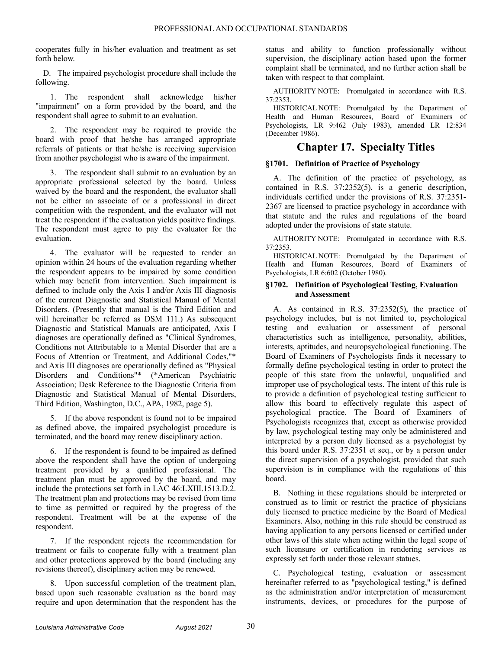cooperates fully in his/her evaluation and treatment as set forth below.

D. The impaired psychologist procedure shall include the following.

1. The respondent shall acknowledge his/her "impairment" on a form provided by the board, and the respondent shall agree to submit to an evaluation.

2. The respondent may be required to provide the board with proof that he/she has arranged appropriate referrals of patients or that he/she is receiving supervision from another psychologist who is aware of the impairment.

3. The respondent shall submit to an evaluation by an appropriate professional selected by the board. Unless waived by the board and the respondent, the evaluator shall not be either an associate of or a professional in direct competition with the respondent, and the evaluator will not treat the respondent if the evaluation yields positive findings. The respondent must agree to pay the evaluator for the evaluation.

4. The evaluator will be requested to render an opinion within 24 hours of the evaluation regarding whether the respondent appears to be impaired by some condition which may benefit from intervention. Such impairment is defined to include only the Axis I and/or Axis III diagnosis of the current Diagnostic and Statistical Manual of Mental Disorders. (Presently that manual is the Third Edition and will hereinafter be referred as DSM 111.) As subsequent Diagnostic and Statistical Manuals are anticipated, Axis I diagnoses are operationally defined as "Clinical Syndromes, Conditions not Attributable to a Mental Disorder that are a Focus of Attention or Treatment, and Additional Codes,"\* and Axis III diagnoses are operationally defined as "Physical Disorders and Conditions"\* (\*American Psychiatric Association; Desk Reference to the Diagnostic Criteria from Diagnostic and Statistical Manual of Mental Disorders, Third Edition, Washington, D.C., APA, 1982, page 5).

5. If the above respondent is found not to be impaired as defined above, the impaired psychologist procedure is terminated, and the board may renew disciplinary action.

6. If the respondent is found to be impaired as defined above the respondent shall have the option of undergoing treatment provided by a qualified professional. The treatment plan must be approved by the board, and may include the protections set forth in LAC 46:LXIII.1513.D.2. The treatment plan and protections may be revised from time to time as permitted or required by the progress of the respondent. Treatment will be at the expense of the respondent.

7. If the respondent rejects the recommendation for treatment or fails to cooperate fully with a treatment plan and other protections approved by the board (including any revisions thereof), disciplinary action may be renewed.

8. Upon successful completion of the treatment plan, based upon such reasonable evaluation as the board may require and upon determination that the respondent has the status and ability to function professionally without supervision, the disciplinary action based upon the former complaint shall be terminated, and no further action shall be taken with respect to that complaint.

AUTHORITY NOTE: Promulgated in accordance with R.S. 37:2353.

HISTORICAL NOTE: Promulgated by the Department of Health and Human Resources, Board of Examiners of Psychologists, LR 9:462 (July 1983), amended LR 12:834 (December 1986).

## **Chapter 17. Specialty Titles**

### **§1701. Definition of Practice of Psychology**

A. The definition of the practice of psychology, as contained in R.S. 37:2352(5), is a generic description, individuals certified under the provisions of R.S. 37:2351- 2367 are licensed to practice psychology in accordance with that statute and the rules and regulations of the board adopted under the provisions of state statute.

AUTHORITY NOTE: Promulgated in accordance with R.S. 37:2353.

HISTORICAL NOTE: Promulgated by the Department of Health and Human Resources, Board of Examiners of Psychologists, LR 6:602 (October 1980).

#### **§1702. Definition of Psychological Testing, Evaluation and Assessment**

A. As contained in R.S. 37:2352(5), the practice of psychology includes, but is not limited to, psychological testing and evaluation or assessment of personal characteristics such as intelligence, personality, abilities, interests, aptitudes, and neuropsychological functioning. The Board of Examiners of Psychologists finds it necessary to formally define psychological testing in order to protect the people of this state from the unlawful, unqualified and improper use of psychological tests. The intent of this rule is to provide a definition of psychological testing sufficient to allow this board to effectively regulate this aspect of psychological practice. The Board of Examiners of Psychologists recognizes that, except as otherwise provided by law, psychological testing may only be administered and interpreted by a person duly licensed as a psychologist by this board under R.S. 37:2351 et seq., or by a person under the direct supervision of a psychologist, provided that such supervision is in compliance with the regulations of this board.

B. Nothing in these regulations should be interpreted or construed as to limit or restrict the practice of physicians duly licensed to practice medicine by the Board of Medical Examiners. Also, nothing in this rule should be construed as having application to any persons licensed or certified under other laws of this state when acting within the legal scope of such licensure or certification in rendering services as expressly set forth under those relevant statues.

C. Psychological testing, evaluation or assessment hereinafter referred to as "psychological testing," is defined as the administration and/or interpretation of measurement instruments, devices, or procedures for the purpose of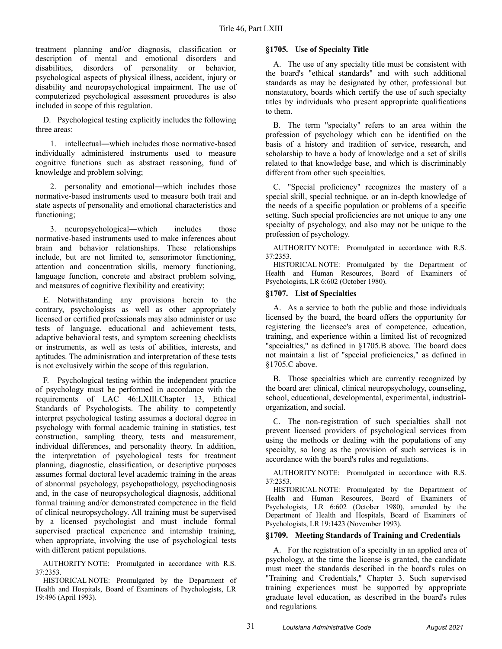treatment planning and/or diagnosis, classification or description of mental and emotional disorders and disabilities, disorders of personality or behavior, psychological aspects of physical illness, accident, injury or disability and neuropsychological impairment. The use of computerized psychological assessment procedures is also included in scope of this regulation.

D. Psychological testing explicitly includes the following three areas:

1. intellectual―which includes those normative-based individually administered instruments used to measure cognitive functions such as abstract reasoning, fund of knowledge and problem solving;

2. personality and emotional―which includes those normative-based instruments used to measure both trait and state aspects of personality and emotional characteristics and functioning;

3. neuropsychological―which includes those normative-based instruments used to make inferences about brain and behavior relationships. These relationships include, but are not limited to, sensorimotor functioning, attention and concentration skills, memory functioning, language function, concrete and abstract problem solving, and measures of cognitive flexibility and creativity;

E. Notwithstanding any provisions herein to the contrary, psychologists as well as other appropriately licensed or certified professionals may also administer or use tests of language, educational and achievement tests, adaptive behavioral tests, and symptom screening checklists or instruments, as well as tests of abilities, interests, and aptitudes. The administration and interpretation of these tests is not exclusively within the scope of this regulation.

F. Psychological testing within the independent practice of psychology must be performed in accordance with the requirements of LAC 46:LXIII.Chapter 13, Ethical Standards of Psychologists. The ability to competently interpret psychological testing assumes a doctoral degree in psychology with formal academic training in statistics, test construction, sampling theory, tests and measurement, individual differences, and personality theory. In addition, the interpretation of psychological tests for treatment planning, diagnostic, classification, or descriptive purposes assumes formal doctoral level academic training in the areas of abnormal psychology, psychopathology, psychodiagnosis and, in the case of neuropsychological diagnosis, additional formal training and/or demonstrated competence in the field of clinical neuropsychology. All training must be supervised by a licensed psychologist and must include formal supervised practical experience and internship training, when appropriate, involving the use of psychological tests with different patient populations.

AUTHORITY NOTE: Promulgated in accordance with R.S. 37:2353.

HISTORICAL NOTE: Promulgated by the Department of Health and Hospitals, Board of Examiners of Psychologists, LR 19:496 (April 1993).

### **§1705. Use of Specialty Title**

A. The use of any specialty title must be consistent with the board's "ethical standards" and with such additional standards as may be designated by other, professional but nonstatutory, boards which certify the use of such specialty titles by individuals who present appropriate qualifications to them.

B. The term "specialty" refers to an area within the profession of psychology which can be identified on the basis of a history and tradition of service, research, and scholarship to have a body of knowledge and a set of skills related to that knowledge base, and which is discriminably different from other such specialties.

C. "Special proficiency" recognizes the mastery of a special skill, special technique, or an in-depth knowledge of the needs of a specific population or problems of a specific setting. Such special proficiencies are not unique to any one specialty of psychology, and also may not be unique to the profession of psychology.

AUTHORITY NOTE: Promulgated in accordance with R.S. 37:2353.

HISTORICAL NOTE: Promulgated by the Department of Health and Human Resources, Board of Examiners of Psychologists, LR 6:602 (October 1980).

### **§1707. List of Specialties**

A. As a service to both the public and those individuals licensed by the board, the board offers the opportunity for registering the licensee's area of competence, education, training, and experience within a limited list of recognized "specialties," as defined in §1705.B above. The board does not maintain a list of "special proficiencies," as defined in §1705.C above.

B. Those specialties which are currently recognized by the board are: clinical, clinical neuropsychology, counseling, school, educational, developmental, experimental, industrialorganization, and social.

C. The non-registration of such specialties shall not prevent licensed providers of psychological services from using the methods or dealing with the populations of any specialty, so long as the provision of such services is in accordance with the board's rules and regulations.

AUTHORITY NOTE: Promulgated in accordance with R.S. 37:2353.

HISTORICAL NOTE: Promulgated by the Department of Health and Human Resources, Board of Examiners of Psychologists, LR 6:602 (October 1980), amended by the Department of Health and Hospitals, Board of Examiners of Psychologists, LR 19:1423 (November 1993).

### **§1709. Meeting Standards of Training and Credentials**

A. For the registration of a specialty in an applied area of psychology, at the time the license is granted, the candidate must meet the standards described in the board's rules on "Training and Credentials," Chapter 3. Such supervised training experiences must be supported by appropriate graduate level education, as described in the board's rules and regulations.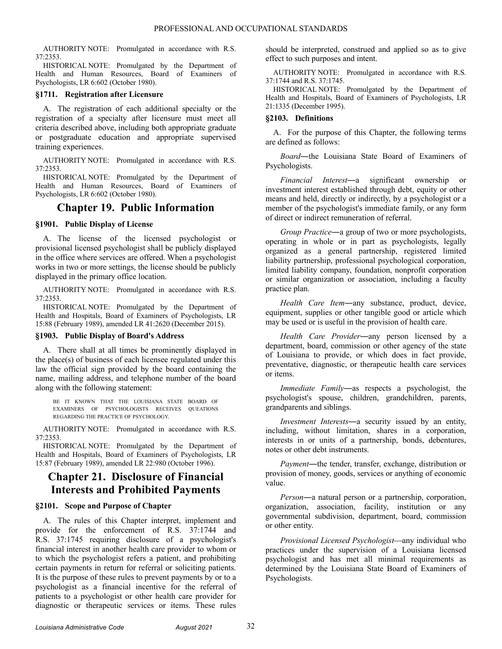AUTHORITY NOTE: Promulgated in accordance with R.S. 37:2353.

HISTORICAL NOTE: Promulgated by the Department of Health and Human Resources, Board of Examiners of Psychologists, LR 6:602 (October 1980).

#### **§1711. Registration after Licensure**

A. The registration of each additional specialty or the registration of a specialty after licensure must meet all criteria described above, including both appropriate graduate or postgraduate education and appropriate supervised training experiences.

AUTHORITY NOTE: Promulgated in accordance with R.S. 37:2353.

HISTORICAL NOTE: Promulgated by the Department of Health and Human Resources, Board of Examiners of Psychologists, LR 6:602 (October 1980).

## **Chapter 19. Public Information**

### **§1901. Public Display of License**

A. The license of the licensed psychologist or provisional licensed psychologist shall be publicly displayed in the office where services are offered. When a psychologist works in two or more settings, the license should be publicly displayed in the primary office location.

AUTHORITY NOTE: Promulgated in accordance with R.S. 37:2353.

HISTORICAL NOTE: Promulgated by the Department of Health and Hospitals, Board of Examiners of Psychologists, LR 15:88 (February 1989), amended LR 41:2620 (December 2015).

### **§1903. Public Display of Board's Address**

A. There shall at all times be prominently displayed in the place(s) of business of each licensee regulated under this law the official sign provided by the board containing the name, mailing address, and telephone number of the board along with the following statement:

BE IT KNOWN THAT THE LOUISIANA STATE BOARD OF EXAMINERS OF PSYCHOLOGISTS RECEIVES QUEATIONS REGARDING THE PRACTICE OF PSYCHOLOGY.

AUTHORITY NOTE: Promulgated in accordance with R.S. 37:2353.

HISTORICAL NOTE: Promulgated by the Department of Health and Hospitals, Board of Examiners of Psychologists, LR 15:87 (February 1989), amended LR 22:980 (October 1996).

## **Chapter 21. Disclosure of Financial Interests and Prohibited Payments**

### **§2101. Scope and Purpose of Chapter**

A. The rules of this Chapter interpret, implement and provide for the enforcement of R.S. 37:1744 and R.S. 37:1745 requiring disclosure of a psychologist's financial interest in another health care provider to whom or to which the psychologist refers a patient, and prohibiting certain payments in return for referral or soliciting patients. It is the purpose of these rules to prevent payments by or to a psychologist as a financial incentive for the referral of patients to a psychologist or other health care provider for diagnostic or therapeutic services or items. These rules should be interpreted, construed and applied so as to give effect to such purposes and intent.

AUTHORITY NOTE: Promulgated in accordance with R.S. 37:1744 and R.S. 37:1745.

HISTORICAL NOTE: Promulgated by the Department of Health and Hospitals, Board of Examiners of Psychologists, LR 21:1335 (December 1995).

### **§2103. Definitions**

A. For the purpose of this Chapter, the following terms are defined as follows:

*Board*―the Louisiana State Board of Examiners of Psychologists.

*Financial Interest*―a significant ownership or investment interest established through debt, equity or other means and held, directly or indirectly, by a psychologist or a member of the psychologist's immediate family, or any form of direct or indirect remuneration of referral.

*Group Practice*―a group of two or more psychologists, operating in whole or in part as psychologists, legally organized as a general partnership, registered limited liability partnership, professional psychological corporation, limited liability company, foundation, nonprofit corporation or similar organization or association, including a faculty practice plan.

*Health Care Item*―any substance, product, device, equipment, supplies or other tangible good or article which may be used or is useful in the provision of health care.

*Health Care Provider*―any person licensed by a department, board, commission or other agency of the state of Louisiana to provide, or which does in fact provide, preventative, diagnostic, or therapeutic health care services or items.

*Immediate Family*―as respects a psychologist, the psychologist's spouse, children, grandchildren, parents, grandparents and siblings.

*Investment Interests*―a security issued by an entity, including, without limitation, shares in a corporation, interests in or units of a partnership, bonds, debentures, notes or other debt instruments.

*Payment*―the tender, transfer, exchange, distribution or provision of money, goods, services or anything of economic value.

*Person*―a natural person or a partnership, corporation, organization, association, facility, institution or any governmental subdivision, department, board, commission or other entity.

*Provisional Licensed Psychologist*—any individual who practices under the supervision of a Louisiana licensed psychologist and has met all minimal requirements as determined by the Louisiana State Board of Examiners of Psychologists.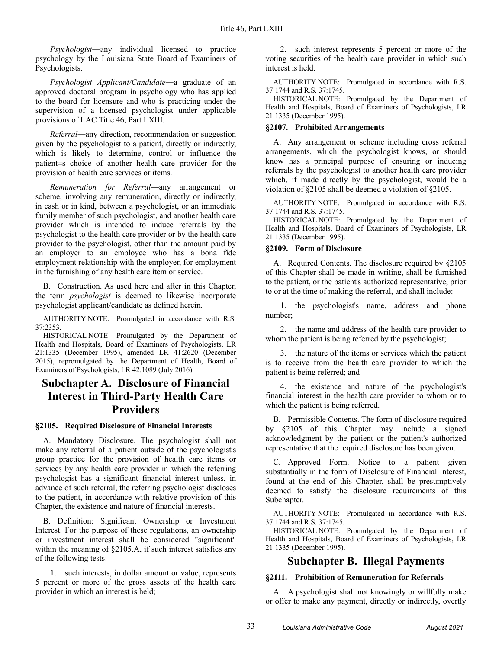*Psychologist*―any individual licensed to practice psychology by the Louisiana State Board of Examiners of Psychologists.

*Psychologist Applicant/Candidate*―a graduate of an approved doctoral program in psychology who has applied to the board for licensure and who is practicing under the supervision of a licensed psychologist under applicable provisions of LAC Title 46, Part LXIII.

*Referral*―any direction, recommendation or suggestion given by the psychologist to a patient, directly or indirectly, which is likely to determine, control or influence the patient=s choice of another health care provider for the provision of health care services or items.

*Remuneration for Referral*―any arrangement or scheme, involving any remuneration, directly or indirectly, in cash or in kind, between a psychologist, or an immediate family member of such psychologist, and another health care provider which is intended to induce referrals by the psychologist to the health care provider or by the health care provider to the psychologist, other than the amount paid by an employer to an employee who has a bona fide employment relationship with the employer, for employment in the furnishing of any health care item or service.

B. Construction. As used here and after in this Chapter, the term *psychologist* is deemed to likewise incorporate psychologist applicant/candidate as defined herein.

AUTHORITY NOTE: Promulgated in accordance with R.S. 37:2353.

HISTORICAL NOTE: Promulgated by the Department of Health and Hospitals, Board of Examiners of Psychologists, LR 21:1335 (December 1995), amended LR 41:2620 (December 2015), repromulgated by the Department of Health, Board of Examiners of Psychologists, LR 42:1089 (July 2016).

## **Subchapter A. Disclosure of Financial Interest in Third-Party Health Care Providers**

### **§2105. Required Disclosure of Financial Interests**

A. Mandatory Disclosure. The psychologist shall not make any referral of a patient outside of the psychologist's group practice for the provision of health care items or services by any health care provider in which the referring psychologist has a significant financial interest unless, in advance of such referral, the referring psychologist discloses to the patient, in accordance with relative provision of this Chapter, the existence and nature of financial interests.

B. Definition: Significant Ownership or Investment Interest. For the purpose of these regulations, an ownership or investment interest shall be considered "significant" within the meaning of §2105.A, if such interest satisfies any of the following tests:

1. such interests, in dollar amount or value, represents 5 percent or more of the gross assets of the health care provider in which an interest is held;

2. such interest represents 5 percent or more of the voting securities of the health care provider in which such interest is held.

AUTHORITY NOTE: Promulgated in accordance with R.S. 37:1744 and R.S. 37:1745.

HISTORICAL NOTE: Promulgated by the Department of Health and Hospitals, Board of Examiners of Psychologists, LR 21:1335 (December 1995).

### **§2107. Prohibited Arrangements**

A. Any arrangement or scheme including cross referral arrangements, which the psychologist knows, or should know has a principal purpose of ensuring or inducing referrals by the psychologist to another health care provider which, if made directly by the psychologist, would be a violation of §2105 shall be deemed a violation of §2105.

AUTHORITY NOTE: Promulgated in accordance with R.S. 37:1744 and R.S. 37:1745.

HISTORICAL NOTE: Promulgated by the Department of Health and Hospitals, Board of Examiners of Psychologists, LR 21:1335 (December 1995).

### **§2109. Form of Disclosure**

A. Required Contents. The disclosure required by §2105 of this Chapter shall be made in writing, shall be furnished to the patient, or the patient's authorized representative, prior to or at the time of making the referral, and shall include:

1. the psychologist's name, address and phone number;

2. the name and address of the health care provider to whom the patient is being referred by the psychologist;

3. the nature of the items or services which the patient is to receive from the health care provider to which the patient is being referred; and

4. the existence and nature of the psychologist's financial interest in the health care provider to whom or to which the patient is being referred.

B. Permissible Contents. The form of disclosure required by §2105 of this Chapter may include a signed acknowledgment by the patient or the patient's authorized representative that the required disclosure has been given.

C. Approved Form. Notice to a patient given substantially in the form of Disclosure of Financial Interest, found at the end of this Chapter, shall be presumptively deemed to satisfy the disclosure requirements of this Subchapter.

AUTHORITY NOTE: Promulgated in accordance with R.S. 37:1744 and R.S. 37:1745.

HISTORICAL NOTE: Promulgated by the Department of Health and Hospitals, Board of Examiners of Psychologists, LR 21:1335 (December 1995).

## **Subchapter B. Illegal Payments**

### **§2111. Prohibition of Remuneration for Referrals**

A. A psychologist shall not knowingly or willfully make or offer to make any payment, directly or indirectly, overtly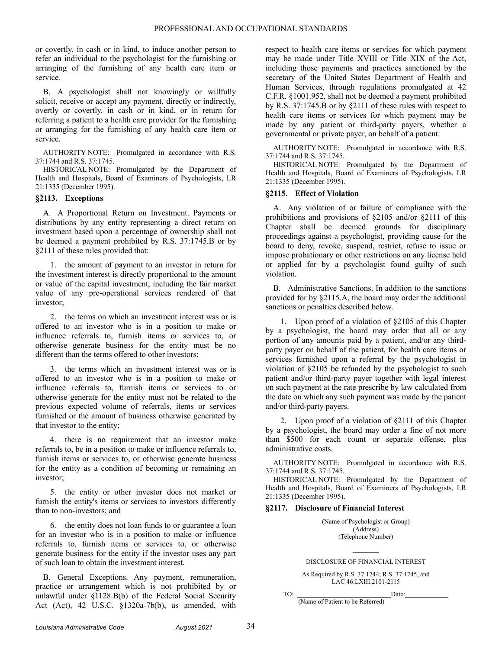or covertly, in cash or in kind, to induce another person to refer an individual to the psychologist for the furnishing or arranging of the furnishing of any health care item or service.

B. A psychologist shall not knowingly or willfully solicit, receive or accept any payment, directly or indirectly, overtly or covertly, in cash or in kind, or in return for referring a patient to a health care provider for the furnishing or arranging for the furnishing of any health care item or service.

AUTHORITY NOTE: Promulgated in accordance with R.S. 37:1744 and R.S. 37:1745.

HISTORICAL NOTE: Promulgated by the Department of Health and Hospitals, Board of Examiners of Psychologists, LR 21:1335 (December 1995).

#### **§2113. Exceptions**

A. A Proportional Return on Investment. Payments or distributions by any entity representing a direct return on investment based upon a percentage of ownership shall not be deemed a payment prohibited by R.S. 37:1745.B or by §2111 of these rules provided that:

1. the amount of payment to an investor in return for the investment interest is directly proportional to the amount or value of the capital investment, including the fair market value of any pre-operational services rendered of that investor;

2. the terms on which an investment interest was or is offered to an investor who is in a position to make or influence referrals to, furnish items or services to, or otherwise generate business for the entity must be no different than the terms offered to other investors;

3. the terms which an investment interest was or is offered to an investor who is in a position to make or influence referrals to, furnish items or services to or otherwise generate for the entity must not be related to the previous expected volume of referrals, items or services furnished or the amount of business otherwise generated by that investor to the entity;

4. there is no requirement that an investor make referrals to, be in a position to make or influence referrals to, furnish items or services to, or otherwise generate business for the entity as a condition of becoming or remaining an investor;

5. the entity or other investor does not market or furnish the entity's items or services to investors differently than to non-investors; and

6. the entity does not loan funds to or guarantee a loan for an investor who is in a position to make or influence referrals to, furnish items or services to, or otherwise generate business for the entity if the investor uses any part of such loan to obtain the investment interest.

B. General Exceptions. Any payment, remuneration, practice or arrangement which is not prohibited by or unlawful under §1128.B(b) of the Federal Social Security Act (Act), 42 U.S.C. §1320a-7b(b), as amended, with respect to health care items or services for which payment may be made under Title XVIII or Title XIX of the Act, including those payments and practices sanctioned by the secretary of the United States Department of Health and Human Services, through regulations promulgated at 42 C.F.R. §1001.952, shall not be deemed a payment prohibited by R.S. 37:1745.B or by §2111 of these rules with respect to health care items or services for which payment may be made by any patient or third-party payers, whether a governmental or private payer, on behalf of a patient.

AUTHORITY NOTE: Promulgated in accordance with R.S. 37:1744 and R.S. 37:1745.

HISTORICAL NOTE: Promulgated by the Department of Health and Hospitals, Board of Examiners of Psychologists, LR 21:1335 (December 1995).

#### **§2115. Effect of Violation**

A. Any violation of or failure of compliance with the prohibitions and provisions of §2105 and/or §2111 of this Chapter shall be deemed grounds for disciplinary proceedings against a psychologist, providing cause for the board to deny, revoke, suspend, restrict, refuse to issue or impose probationary or other restrictions on any license held or applied for by a psychologist found guilty of such violation.

B. Administrative Sanctions. In addition to the sanctions provided for by §2115.A, the board may order the additional sanctions or penalties described below.

1. Upon proof of a violation of §2105 of this Chapter by a psychologist, the board may order that all or any portion of any amounts paid by a patient, and/or any thirdparty payer on behalf of the patient, for health care items or services furnished upon a referral by the psychologist in violation of §2105 be refunded by the psychologist to such patient and/or third-party payer together with legal interest on such payment at the rate prescribe by law calculated from the date on which any such payment was made by the patient and/or third-party payers.

2. Upon proof of a violation of §2111 of this Chapter by a psychologist, the board may order a fine of not more than \$500 for each count or separate offense, plus administrative costs.

AUTHORITY NOTE: Promulgated in accordance with R.S. 37:1744 and R.S. 37:1745.

HISTORICAL NOTE: Promulgated by the Department of Health and Hospitals, Board of Examiners of Psychologists, LR 21:1335 (December 1995).

#### **§2117. Disclosure of Financial Interest**

(Name of Psychologist or Group) (Address) (Telephone Number)

DISCLOSURE OF FINANCIAL INTEREST

l

As Required by R.S. 37:1744; R.S. 37:1745, and LAC 46:LXIII.2101-2115

TO: Date: (Name of Patient to be Referred)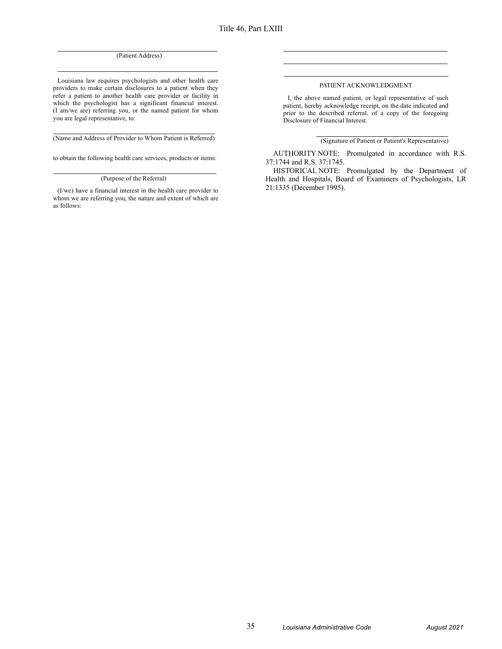$\overline{a}$   $\overline{a}$ 

(Patient Address)

 $\overline{a}$ 

 $\overline{a}$ 

 $\overline{a}$ 

Louisiana law requires psychologists and other health care providers to make certain disclosures to a patient when they refer a patient to another health care provider or facility in which the psychologist has a significant financial interest. (I am/we are) referring you, or the named patient for whom you are legal representative, to:

(Name and Address of Provider to Whom Patient is Referred)

to obtain the following health care services, products or items:

#### (Purpose of the Referral)

(I/we) have a financial interest in the health care provider to whom we are referring you, the nature and extent of which are as follows:

#### PATIENT ACKNOWLEDGMENT

I, the above named patient, or legal representative of such patient, hereby acknowledge receipt, on the date indicated and prior to the described referral, of a copy of the foregoing Disclosure of Financial Interest.

 $\overline{a}$ 

#### (Signature of Patient or Patient's Representative)

AUTHORITY NOTE: Promulgated in accordance with R.S. 37:1744 and R.S. 37:1745.

HISTORICAL NOTE: Promulgated by the Department of Health and Hospitals, Board of Examiners of Psychologists, LR 21:1335 (December 1995).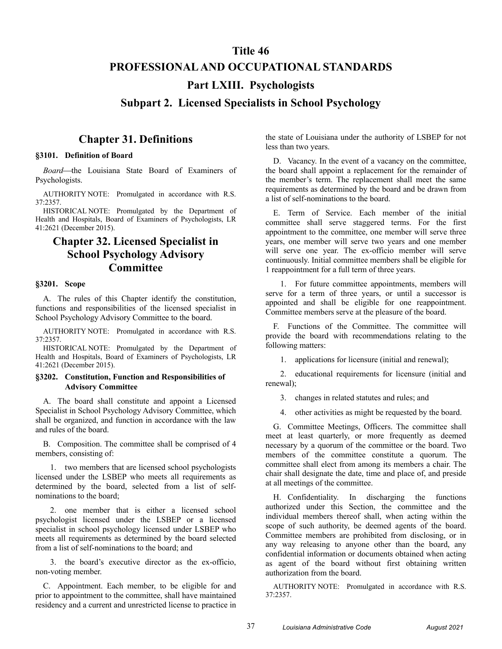# **Title 46 PROFESSIONAL AND OCCUPATIONAL STANDARDS Part LXIII. Psychologists**

## **Subpart 2. Licensed Specialists in School Psychology**

### **Chapter 31. Definitions**

#### **§3101. Definition of Board**

*Board*¾the Louisiana State Board of Examiners of Psychologists.

AUTHORITY NOTE: Promulgated in accordance with R.S. 37:2357.

HISTORICAL NOTE: Promulgated by the Department of Health and Hospitals, Board of Examiners of Psychologists, LR 41:2621 (December 2015).

## **Chapter 32. Licensed Specialist in School Psychology Advisory Committee**

### **§3201. Scope**

A. The rules of this Chapter identify the constitution, functions and responsibilities of the licensed specialist in School Psychology Advisory Committee to the board.

AUTHORITY NOTE: Promulgated in accordance with R.S. 37:2357.

HISTORICAL NOTE: Promulgated by the Department of Health and Hospitals, Board of Examiners of Psychologists, LR 41:2621 (December 2015).

#### **§3202. Constitution, Function and Responsibilities of Advisory Committee**

A. The board shall constitute and appoint a Licensed Specialist in School Psychology Advisory Committee, which shall be organized, and function in accordance with the law and rules of the board.

B. Composition. The committee shall be comprised of 4 members, consisting of:

1. two members that are licensed school psychologists licensed under the LSBEP who meets all requirements as determined by the board, selected from a list of selfnominations to the board;

2. one member that is either a licensed school psychologist licensed under the LSBEP or a licensed specialist in school psychology licensed under LSBEP who meets all requirements as determined by the board selected from a list of self-nominations to the board; and

3. the board's executive director as the ex-officio, non-voting member.

C. Appointment. Each member, to be eligible for and prior to appointment to the committee, shall have maintained residency and a current and unrestricted license to practice in the state of Louisiana under the authority of LSBEP for not less than two years.

D. Vacancy. In the event of a vacancy on the committee, the board shall appoint a replacement for the remainder of the member's term. The replacement shall meet the same requirements as determined by the board and be drawn from a list of self-nominations to the board.

E. Term of Service. Each member of the initial committee shall serve staggered terms. For the first appointment to the committee, one member will serve three years, one member will serve two years and one member will serve one year. The ex-officio member will serve continuously. Initial committee members shall be eligible for 1 reappointment for a full term of three years.

1. For future committee appointments, members will serve for a term of three years, or until a successor is appointed and shall be eligible for one reappointment. Committee members serve at the pleasure of the board.

F. Functions of the Committee. The committee will provide the board with recommendations relating to the following matters:

1. applications for licensure (initial and renewal);

2. educational requirements for licensure (initial and renewal);

3. changes in related statutes and rules; and

4. other activities as might be requested by the board.

G. Committee Meetings, Officers. The committee shall meet at least quarterly, or more frequently as deemed necessary by a quorum of the committee or the board. Two members of the committee constitute a quorum. The committee shall elect from among its members a chair. The chair shall designate the date, time and place of, and preside at all meetings of the committee.

H. Confidentiality. In discharging the functions authorized under this Section, the committee and the individual members thereof shall, when acting within the scope of such authority, be deemed agents of the board. Committee members are prohibited from disclosing, or in any way releasing to anyone other than the board, any confidential information or documents obtained when acting as agent of the board without first obtaining written authorization from the board.

AUTHORITY NOTE: Promulgated in accordance with R.S. 37:2357.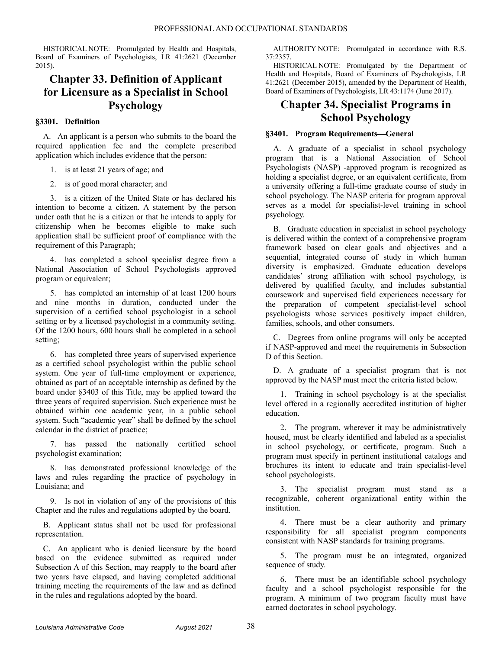HISTORICAL NOTE: Promulgated by Health and Hospitals, Board of Examiners of Psychologists, LR 41:2621 (December 2015).

## **Chapter 33. Definition of Applicant for Licensure as a Specialist in School Psychology**

### **§3301. Definition**

A. An applicant is a person who submits to the board the required application fee and the complete prescribed application which includes evidence that the person:

1. is at least 21 years of age; and

2. is of good moral character; and

3. is a citizen of the United State or has declared his intention to become a citizen. A statement by the person under oath that he is a citizen or that he intends to apply for citizenship when he becomes eligible to make such application shall be sufficient proof of compliance with the requirement of this Paragraph;

4. has completed a school specialist degree from a National Association of School Psychologists approved program or equivalent;

5. has completed an internship of at least 1200 hours and nine months in duration, conducted under the supervision of a certified school psychologist in a school setting or by a licensed psychologist in a community setting. Of the 1200 hours, 600 hours shall be completed in a school setting;

6. has completed three years of supervised experience as a certified school psychologist within the public school system. One year of full-time employment or experience, obtained as part of an acceptable internship as defined by the board under §3403 of this Title, may be applied toward the three years of required supervision. Such experience must be obtained within one academic year, in a public school system. Such "academic year" shall be defined by the school calendar in the district of practice;

7. has passed the nationally certified school psychologist examination;

8. has demonstrated professional knowledge of the laws and rules regarding the practice of psychology in Louisiana; and

9. Is not in violation of any of the provisions of this Chapter and the rules and regulations adopted by the board.

B. Applicant status shall not be used for professional representation.

C. An applicant who is denied licensure by the board based on the evidence submitted as required under Subsection A of this Section, may reapply to the board after two years have elapsed, and having completed additional training meeting the requirements of the law and as defined in the rules and regulations adopted by the board.

AUTHORITY NOTE: Promulgated in accordance with R.S. 37:2357.

HISTORICAL NOTE: Promulgated by the Department of Health and Hospitals, Board of Examiners of Psychologists, LR 41:2621 (December 2015), amended by the Department of Health, Board of Examiners of Psychologists, LR 43:1174 (June 2017).

## **Chapter 34. Specialist Programs in School Psychology**

### **§3401.** Program Requirements—General

A. A graduate of a specialist in school psychology program that is a National Association of School Psychologists (NASP) -approved program is recognized as holding a specialist degree, or an equivalent certificate, from a university offering a full-time graduate course of study in school psychology. The NASP criteria for program approval serves as a model for specialist-level training in school psychology.

B. Graduate education in specialist in school psychology is delivered within the context of a comprehensive program framework based on clear goals and objectives and a sequential, integrated course of study in which human diversity is emphasized. Graduate education develops candidates' strong affiliation with school psychology, is delivered by qualified faculty, and includes substantial coursework and supervised field experiences necessary for the preparation of competent specialist-level school psychologists whose services positively impact children, families, schools, and other consumers.

C. Degrees from online programs will only be accepted if NASP-approved and meet the requirements in Subsection D of this Section.

D. A graduate of a specialist program that is not approved by the NASP must meet the criteria listed below.

1. Training in school psychology is at the specialist level offered in a regionally accredited institution of higher education.

2. The program, wherever it may be administratively housed, must be clearly identified and labeled as a specialist in school psychology, or certificate, program. Such a program must specify in pertinent institutional catalogs and brochures its intent to educate and train specialist-level school psychologists.

3. The specialist program must stand as a recognizable, coherent organizational entity within the institution.

4. There must be a clear authority and primary responsibility for all specialist program components consistent with NASP standards for training programs.

5. The program must be an integrated, organized sequence of study.

6. There must be an identifiable school psychology faculty and a school psychologist responsible for the program. A minimum of two program faculty must have earned doctorates in school psychology.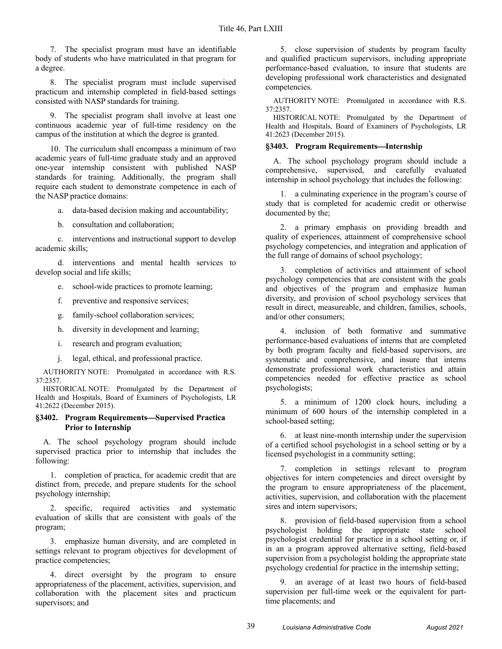7. The specialist program must have an identifiable body of students who have matriculated in that program for a degree.

8. The specialist program must include supervised practicum and internship completed in field-based settings consisted with NASP standards for training.

9. The specialist program shall involve at least one continuous academic year of full-time residency on the campus of the institution at which the degree is granted.

10. The curriculum shall encompass a minimum of two academic years of full-time graduate study and an approved one-year internship consistent with published NASP standards for training. Additionally, the program shall require each student to demonstrate competence in each of the NASP practice domains:

a. data-based decision making and accountability;

b. consultation and collaboration;

c. interventions and instructional support to develop academic skills;

d. interventions and mental health services to develop social and life skills;

- e. school-wide practices to promote learning;
- f. preventive and responsive services;
- g. family-school collaboration services;
- h. diversity in development and learning;
- i. research and program evaluation;
- j. legal, ethical, and professional practice.

AUTHORITY NOTE: Promulgated in accordance with R.S. 37:2357.

HISTORICAL NOTE: Promulgated by the Department of Health and Hospitals, Board of Examiners of Psychologists, LR 41:2622 (December 2015).

### **§3402. Program Requirements**¾**Supervised Practica Prior to Internship**

A. The school psychology program should include supervised practica prior to internship that includes the following:

1. completion of practica, for academic credit that are distinct from, precede, and prepare students for the school psychology internship;

2. specific, required activities and systematic evaluation of skills that are consistent with goals of the program;

3. emphasize human diversity, and are completed in settings relevant to program objectives for development of practice competencies;

4. direct oversight by the program to ensure appropriateness of the placement, activities, supervision, and collaboration with the placement sites and practicum supervisors; and

5. close supervision of students by program faculty and qualified practicum supervisors, including appropriate performance-based evaluation, to insure that students are developing professional work characteristics and designated competencies.

AUTHORITY NOTE: Promulgated in accordance with R.S. 37:2357.

HISTORICAL NOTE: Promulgated by the Department of Health and Hospitals, Board of Examiners of Psychologists, LR 41:2623 (December 2015).

### **§3403.** Program Requirements—Internship

A. The school psychology program should include a comprehensive, supervised, and carefully evaluated internship in school psychology that includes the following:

1. a culminating experience in the program's course of study that is completed for academic credit or otherwise documented by the;

2. a primary emphasis on providing breadth and quality of experiences, attainment of comprehensive school psychology competencies, and integration and application of the full range of domains of school psychology;

3. completion of activities and attainment of school psychology competencies that are consistent with the goals and objectives of the program and emphasize human diversity, and provision of school psychology services that result in direct, measureable, and children, families, schools, and/or other consumers;

4. inclusion of both formative and summative performance-based evaluations of interns that are completed by both program faculty and field-based supervisors, are systematic and comprehensive, and insure that interns demonstrate professional work characteristics and attain competencies needed for effective practice as school psychologists;

5. a minimum of 1200 clock hours, including a minimum of 600 hours of the internship completed in a school-based setting;

6. at least nine-month internship under the supervision of a certified school psychologist in a school setting or by a licensed psychologist in a community setting;

7. completion in settings relevant to program objectives for intern competencies and direct oversight by the program to ensure appropriateness of the placement, activities, supervision, and collaboration with the placement sires and intern supervisors;

8. provision of field-based supervision from a school psychologist holding the appropriate state school psychologist credential for practice in a school setting or, if in an a program approved alternative setting, field-based supervision from a psychologist holding the appropriate state psychology credential for practice in the internship setting;

9. an average of at least two hours of field-based supervision per full-time week or the equivalent for parttime placements; and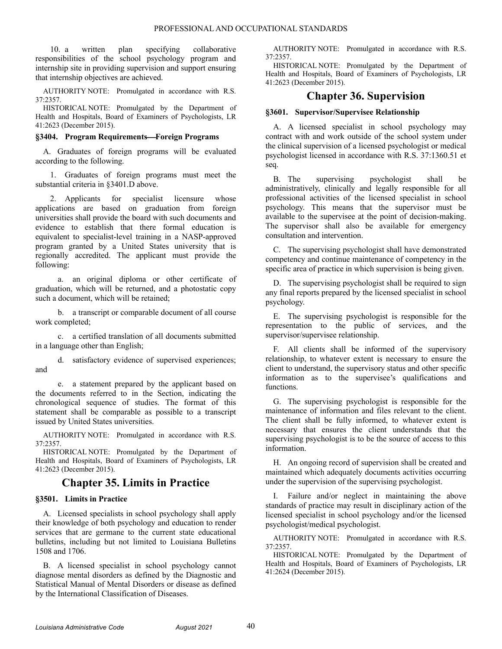10. a written plan specifying collaborative responsibilities of the school psychology program and internship site in providing supervision and support ensuring that internship objectives are achieved.

AUTHORITY NOTE: Promulgated in accordance with R.S. 37:2357.

HISTORICAL NOTE: Promulgated by the Department of Health and Hospitals, Board of Examiners of Psychologists, LR 41:2623 (December 2015).

### **§3404. Program Requirements**¾**Foreign Programs**

A. Graduates of foreign programs will be evaluated according to the following.

1. Graduates of foreign programs must meet the substantial criteria in §3401.D above.

2. Applicants for specialist licensure whose applications are based on graduation from foreign universities shall provide the board with such documents and evidence to establish that there formal education is equivalent to specialist-level training in a NASP-approved program granted by a United States university that is regionally accredited. The applicant must provide the following:

a. an original diploma or other certificate of graduation, which will be returned, and a photostatic copy such a document, which will be retained;

b. a transcript or comparable document of all course work completed;

c. a certified translation of all documents submitted in a language other than English;

d. satisfactory evidence of supervised experiences; and

e. a statement prepared by the applicant based on the documents referred to in the Section, indicating the chronological sequence of studies. The format of this statement shall be comparable as possible to a transcript issued by United States universities.

AUTHORITY NOTE: Promulgated in accordance with R.S. 37:2357.

HISTORICAL NOTE: Promulgated by the Department of Health and Hospitals, Board of Examiners of Psychologists, LR 41:2623 (December 2015).

## **Chapter 35. Limits in Practice**

### **§3501. Limits in Practice**

A. Licensed specialists in school psychology shall apply their knowledge of both psychology and education to render services that are germane to the current state educational bulletins, including but not limited to Louisiana Bulletins 1508 and 1706.

B. A licensed specialist in school psychology cannot diagnose mental disorders as defined by the Diagnostic and Statistical Manual of Mental Disorders or disease as defined by the International Classification of Diseases.

AUTHORITY NOTE: Promulgated in accordance with R.S. 37:2357.

HISTORICAL NOTE: Promulgated by the Department of Health and Hospitals, Board of Examiners of Psychologists, LR 41:2623 (December 2015).

## **Chapter 36. Supervision**

### **§3601. Supervisor/Supervisee Relationship**

A. A licensed specialist in school psychology may contract with and work outside of the school system under the clinical supervision of a licensed psychologist or medical psychologist licensed in accordance with R.S. 37:1360.51 et seq.

B. The supervising psychologist shall be administratively, clinically and legally responsible for all professional activities of the licensed specialist in school psychology. This means that the supervisor must be available to the supervisee at the point of decision-making. The supervisor shall also be available for emergency consultation and intervention.

C. The supervising psychologist shall have demonstrated competency and continue maintenance of competency in the specific area of practice in which supervision is being given.

D. The supervising psychologist shall be required to sign any final reports prepared by the licensed specialist in school psychology.

E. The supervising psychologist is responsible for the representation to the public of services, and the supervisor/supervisee relationship.

F. All clients shall be informed of the supervisory relationship, to whatever extent is necessary to ensure the client to understand, the supervisory status and other specific information as to the supervisee's qualifications and functions.

G. The supervising psychologist is responsible for the maintenance of information and files relevant to the client. The client shall be fully informed, to whatever extent is necessary that ensures the client understands that the supervising psychologist is to be the source of access to this information.

H. An ongoing record of supervision shall be created and maintained which adequately documents activities occurring under the supervision of the supervising psychologist.

I. Failure and/or neglect in maintaining the above standards of practice may result in disciplinary action of the licensed specialist in school psychology and/or the licensed psychologist/medical psychologist.

AUTHORITY NOTE: Promulgated in accordance with R.S. 37:2357.

HISTORICAL NOTE: Promulgated by the Department of Health and Hospitals, Board of Examiners of Psychologists, LR 41:2624 (December 2015).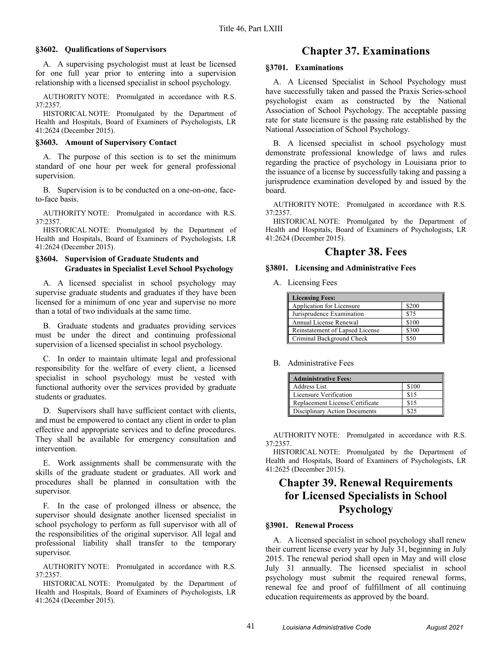### **§3602. Qualifications of Supervisors**

A. A supervising psychologist must at least be licensed for one full year prior to entering into a supervision relationship with a licensed specialist in school psychology.

AUTHORITY NOTE: Promulgated in accordance with R.S. 37:2357.

HISTORICAL NOTE: Promulgated by the Department of Health and Hospitals, Board of Examiners of Psychologists, LR 41:2624 (December 2015).

#### **§3603. Amount of Supervisory Contact**

A. The purpose of this section is to set the minimum standard of one hour per week for general professional supervision.

B. Supervision is to be conducted on a one-on-one, faceto-face basis.

AUTHORITY NOTE: Promulgated in accordance with R.S. 37:2357.

HISTORICAL NOTE: Promulgated by the Department of Health and Hospitals, Board of Examiners of Psychologists, LR 41:2624 (December 2015).

### **§3604. Supervision of Graduate Students and Graduates in Specialist Level School Psychology**

A. A licensed specialist in school psychology may supervise graduate students and graduates if they have been licensed for a minimum of one year and supervise no more than a total of two individuals at the same time.

B. Graduate students and graduates providing services must be under the direct and continuing professional supervision of a licensed specialist in school psychology.

C. In order to maintain ultimate legal and professional responsibility for the welfare of every client, a licensed specialist in school psychology must be vested with functional authority over the services provided by graduate students or graduates.

D. Supervisors shall have sufficient contact with clients, and must be empowered to contact any client in order to plan effective and appropriate services and to define procedures. They shall be available for emergency consultation and intervention.

E. Work assignments shall be commensurate with the skills of the graduate student or graduates. All work and procedures shall be planned in consultation with the supervisor.

F. In the case of prolonged illness or absence, the supervisor should designate another licensed specialist in school psychology to perform as full supervisor with all of the responsibilities of the original supervisor. All legal and professional liability shall transfer to the temporary supervisor.

AUTHORITY NOTE: Promulgated in accordance with R.S. 37:2357.

HISTORICAL NOTE: Promulgated by the Department of Health and Hospitals, Board of Examiners of Psychologists, LR 41:2624 (December 2015).

## **Chapter 37. Examinations**

### **§3701. Examinations**

A. A Licensed Specialist in School Psychology must have successfully taken and passed the Praxis Series-school psychologist exam as constructed by the National Association of School Psychology. The acceptable passing rate for state licensure is the passing rate established by the National Association of School Psychology.

B. A licensed specialist in school psychology must demonstrate professional knowledge of laws and rules regarding the practice of psychology in Louisiana prior to the issuance of a license by successfully taking and passing a jurisprudence examination developed by and issued by the board.

AUTHORITY NOTE: Promulgated in accordance with R.S. 37:2357.

HISTORICAL NOTE: Promulgated by the Department of Health and Hospitals, Board of Examiners of Psychologists, LR 41:2624 (December 2015).

## **Chapter 38. Fees**

### **§3801. Licensing and Administrative Fees**

A. Licensing Fees

| <b>Licensing Fees:</b>          |       |  |
|---------------------------------|-------|--|
| Application for Licensure       | \$200 |  |
| Jurisprudence Examination       | \$75  |  |
| Annual License Renewal          | \$100 |  |
| Reinstatement of Lapsed License | \$300 |  |
| Criminal Background Check       | \$50  |  |

B. Administrative Fees

| <b>Administrative Fees:</b>          |       |  |
|--------------------------------------|-------|--|
| Address List                         | \$100 |  |
| Licensure Verification               | \$15  |  |
| Replacement License/Certificate      | \$15  |  |
| <b>Disciplinary Action Documents</b> |       |  |

AUTHORITY NOTE: Promulgated in accordance with R.S. 37:2357.

HISTORICAL NOTE: Promulgated by the Department of Health and Hospitals, Board of Examiners of Psychologists, LR 41:2625 (December 2015).

## **Chapter 39. Renewal Requirements for Licensed Specialists in School Psychology**

#### **§3901. Renewal Process**

A. A licensed specialist in school psychology shall renew their current license every year by July 31, beginning in July 2015. The renewal period shall open in May and will close July 31 annually. The licensed specialist in school psychology must submit the required renewal forms, renewal fee and proof of fulfillment of all continuing education requirements as approved by the board.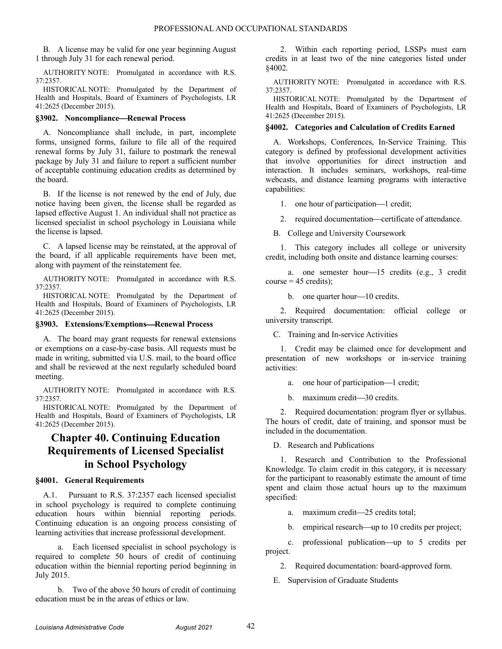B. A license may be valid for one year beginning August 1 through July 31 for each renewal period.

AUTHORITY NOTE: Promulgated in accordance with R.S. 37:2357.

HISTORICAL NOTE: Promulgated by the Department of Health and Hospitals, Board of Examiners of Psychologists, LR 41:2625 (December 2015).

### **§3902. Noncompliance**¾**Renewal Process**

A. Noncompliance shall include, in part, incomplete forms, unsigned forms, failure to file all of the required renewal forms by July 31, failure to postmark the renewal package by July 31 and failure to report a sufficient number of acceptable continuing education credits as determined by the board.

B. If the license is not renewed by the end of July, due notice having been given, the license shall be regarded as lapsed effective August 1. An individual shall not practice as licensed specialist in school psychology in Louisiana while the license is lapsed.

C. A lapsed license may be reinstated, at the approval of the board, if all applicable requirements have been met, along with payment of the reinstatement fee.

AUTHORITY NOTE: Promulgated in accordance with R.S. 37:2357.

HISTORICAL NOTE: Promulgated by the Department of Health and Hospitals, Board of Examiners of Psychologists, LR 41:2625 (December 2015).

#### **§3903. Extensions/Exemptions**¾**Renewal Process**

A. The board may grant requests for renewal extensions or exemptions on a case-by-case basis. All requests must be made in writing, submitted via U.S. mail, to the board office and shall be reviewed at the next regularly scheduled board meeting.

AUTHORITY NOTE: Promulgated in accordance with R.S. 37:2357.

HISTORICAL NOTE: Promulgated by the Department of Health and Hospitals, Board of Examiners of Psychologists, LR 41:2625 (December 2015).

## **Chapter 40. Continuing Education Requirements of Licensed Specialist in School Psychology**

### **§4001. General Requirements**

A.1. Pursuant to R.S. 37:2357 each licensed specialist in school psychology is required to complete continuing education hours within biennial reporting periods. Continuing education is an ongoing process consisting of learning activities that increase professional development.

a. Each licensed specialist in school psychology is required to complete 50 hours of credit of continuing education within the biennial reporting period beginning in July 2015.

b. Two of the above 50 hours of credit of continuing education must be in the areas of ethics or law.

2. Within each reporting period, LSSPs must earn credits in at least two of the nine categories listed under §4002.

AUTHORITY NOTE: Promulgated in accordance with R.S. 37:2357.

HISTORICAL NOTE: Promulgated by the Department of Health and Hospitals, Board of Examiners of Psychologists, LR 41:2625 (December 2015).

### **§4002. Categories and Calculation of Credits Earned**

A. Workshops, Conferences, In-Service Training. This category is defined by professional development activities that involve opportunities for direct instruction and interaction. It includes seminars, workshops, real-time webcasts, and distance learning programs with interactive capabilities:

1. one hour of participation—1 credit;

2. required documentation—certificate of attendance.

B. College and University Coursework

1. This category includes all college or university credit, including both onsite and distance learning courses:

a. one semester hour—15 credits (e.g., 3 credit  $course = 45 \text{ credits}:$ 

b. one quarter hour—10 credits.

2. Required documentation: official college or university transcript.

C. Training and In-service Activities

1. Credit may be claimed once for development and presentation of new workshops or in-service training activities:

a. one hour of participation—1 credit;

b. maximum credit—30 credits.

2. Required documentation: program flyer or syllabus. The hours of credit, date of training, and sponsor must be included in the documentation.

D. Research and Publications

1. Research and Contribution to the Professional Knowledge. To claim credit in this category, it is necessary for the participant to reasonably estimate the amount of time spent and claim those actual hours up to the maximum specified:

a. maximum credit—25 credits total;

b. empirical research—up to 10 credits per project;

c. professional publication—up to 5 credits per project.

2. Required documentation: board-approved form.

E. Supervision of Graduate Students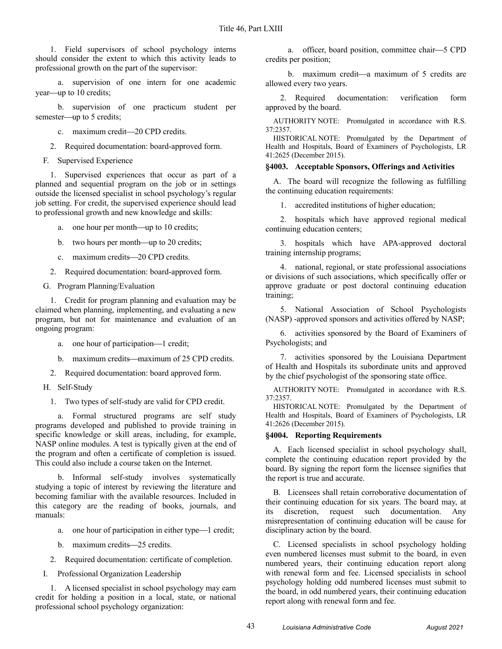1. Field supervisors of school psychology interns should consider the extent to which this activity leads to professional growth on the part of the supervisor:

a. supervision of one intern for one academic year—up to 10 credits;

b. supervision of one practicum student per semester—up to 5 credits;

- c. maximum credit—20 CPD credits.
- 2. Required documentation: board-approved form.

F. Supervised Experience

1. Supervised experiences that occur as part of a planned and sequential program on the job or in settings outside the licensed specialist in school psychology's regular job setting. For credit, the supervised experience should lead to professional growth and new knowledge and skills:

- a. one hour per month—up to 10 credits;
- b. two hours per month—up to 20 credits;
- c. maximum credits—20 CPD credits.
- 2. Required documentation: board-approved form.
- G. Program Planning/Evaluation

1. Credit for program planning and evaluation may be claimed when planning, implementing, and evaluating a new program, but not for maintenance and evaluation of an ongoing program:

- a. one hour of participation—1 credit;
- b. maximum credits—maximum of 25 CPD credits.
- 2. Required documentation: board approved form.
- H. Self-Study
	- 1. Two types of self-study are valid for CPD credit.

a. Formal structured programs are self study programs developed and published to provide training in specific knowledge or skill areas, including, for example, NASP online modules. A test is typically given at the end of the program and often a certificate of completion is issued. This could also include a course taken on the Internet.

b. Informal self-study involves systematically studying a topic of interest by reviewing the literature and becoming familiar with the available resources. Included in this category are the reading of books, journals, and manuals:

- a. one hour of participation in either type— $1$  credit;
- b. maximum credits—25 credits.
- 2. Required documentation: certificate of completion.
- I. Professional Organization Leadership

1. A licensed specialist in school psychology may earn credit for holding a position in a local, state, or national professional school psychology organization:

a. officer, board position, committee chair-5 CPD credits per position;

b. maximum credit—a maximum of 5 credits are allowed every two years.

2. Required documentation: verification form approved by the board.

AUTHORITY NOTE: Promulgated in accordance with R.S. 37:2357.

HISTORICAL NOTE: Promulgated by the Department of Health and Hospitals, Board of Examiners of Psychologists, LR 41:2625 (December 2015).

### **§4003. Acceptable Sponsors, Offerings and Activities**

A. The board will recognize the following as fulfilling the continuing education requirements:

1. accredited institutions of higher education;

2. hospitals which have approved regional medical continuing education centers;

3. hospitals which have APA-approved doctoral training internship programs;

4. national, regional, or state professional associations or divisions of such associations, which specifically offer or approve graduate or post doctoral continuing education training;

5. National Association of School Psychologists (NASP) -approved sponsors and activities offered by NASP;

6. activities sponsored by the Board of Examiners of Psychologists; and

7. activities sponsored by the Louisiana Department of Health and Hospitals its subordinate units and approved by the chief psychologist of the sponsoring state office.

AUTHORITY NOTE: Promulgated in accordance with R.S. 37:2357.

HISTORICAL NOTE: Promulgated by the Department of Health and Hospitals, Board of Examiners of Psychologists, LR 41:2626 (December 2015).

### **§4004. Reporting Requirements**

A. Each licensed specialist in school psychology shall, complete the continuing education report provided by the board. By signing the report form the licensee signifies that the report is true and accurate.

B. Licensees shall retain corroborative documentation of their continuing education for six years. The board may, at its discretion, request such documentation. Any misrepresentation of continuing education will be cause for disciplinary action by the board.

C. Licensed specialists in school psychology holding even numbered licenses must submit to the board, in even numbered years, their continuing education report along with renewal form and fee. Licensed specialists in school psychology holding odd numbered licenses must submit to the board, in odd numbered years, their continuing education report along with renewal form and fee.